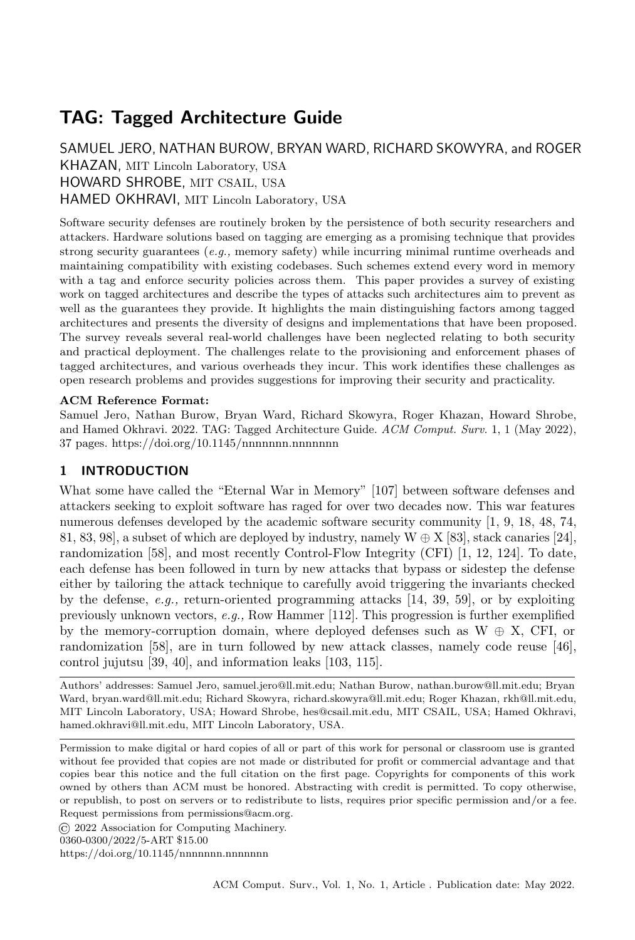# TAG: Tagged Architecture Guide

SAMUEL JERO, NATHAN BUROW, BRYAN WARD, RICHARD SKOWYRA, and ROGER KHAZAN, MIT Lincoln Laboratory, USA HOWARD SHROBE, MIT CSAIL, USA HAMED OKHRAVI, MIT Lincoln Laboratory, USA

Software security defenses are routinely broken by the persistence of both security researchers and attackers. Hardware solutions based on tagging are emerging as a promising technique that provides strong security guarantees (e.g., memory safety) while incurring minimal runtime overheads and maintaining compatibility with existing codebases. Such schemes extend every word in memory with a tag and enforce security policies across them. This paper provides a survey of existing work on tagged architectures and describe the types of attacks such architectures aim to prevent as well as the guarantees they provide. It highlights the main distinguishing factors among tagged architectures and presents the diversity of designs and implementations that have been proposed. The survey reveals several real-world challenges have been neglected relating to both security and practical deployment. The challenges relate to the provisioning and enforcement phases of tagged architectures, and various overheads they incur. This work identifies these challenges as open research problems and provides suggestions for improving their security and practicality.

## ACM Reference Format:

Samuel Jero, Nathan Burow, Bryan Ward, Richard Skowyra, Roger Khazan, Howard Shrobe, and Hamed Okhravi. 2022. TAG: Tagged Architecture Guide. ACM Comput. Surv. 1, 1 (May 2022), [37](#page-36-0) pages.<https://doi.org/10.1145/nnnnnnn.nnnnnnn>

# 1 INTRODUCTION

What some have called the "Eternal War in Memory" [\[107\]](#page-35-0) between software defenses and attackers seeking to exploit software has raged for over two decades now. This war features numerous defenses developed by the academic software security community [\[1,](#page-30-0) [9,](#page-30-1) [18,](#page-31-0) [48,](#page-32-0) [74,](#page-33-0) [81,](#page-34-0) [83,](#page-34-1) [98\]](#page-34-2), a subset of which are deployed by industry, namely  $W \oplus X$  [\[83\]](#page-34-1), stack canaries [\[24\]](#page-31-1), randomization [\[58\]](#page-33-1), and most recently Control-Flow Integrity (CFI) [\[1,](#page-30-0) [12,](#page-30-2) [124\]](#page-36-1). To date, each defense has been followed in turn by new attacks that bypass or sidestep the defense either by tailoring the attack technique to carefully avoid triggering the invariants checked by the defense, e.g., return-oriented programming attacks [\[14,](#page-30-3) [39,](#page-32-1) [59\]](#page-33-2), or by exploiting previously unknown vectors, e.g., Row Hammer [\[112\]](#page-35-1). This progression is further exemplified by the memory-corruption domain, where deployed defenses such as  $W \oplus X$ , CFI, or randomization [\[58\]](#page-33-1), are in turn followed by new attack classes, namely code reuse [\[46\]](#page-32-2), control jujutsu [\[39,](#page-32-1) [40\]](#page-32-3), and information leaks [\[103,](#page-35-2) [115\]](#page-35-3).

Authors' addresses: Samuel Jero, samuel.jero@ll.mit.edu; Nathan Burow, nathan.burow@ll.mit.edu; Bryan Ward, bryan.ward@ll.mit.edu; Richard Skowyra, richard.skowyra@ll.mit.edu; Roger Khazan, rkh@ll.mit.edu, MIT Lincoln Laboratory, USA; Howard Shrobe, hes@csail.mit.edu, MIT CSAIL, USA; Hamed Okhravi, hamed.okhravi@ll.mit.edu, MIT Lincoln Laboratory, USA.

Permission to make digital or hard copies of all or part of this work for personal or classroom use is granted without fee provided that copies are not made or distributed for profit or commercial advantage and that copies bear this notice and the full citation on the first page. Copyrights for components of this work owned by others than ACM must be honored. Abstracting with credit is permitted. To copy otherwise, or republish, to post on servers or to redistribute to lists, requires prior specific permission and/or a fee. Request permissions from permissions@acm.org.

© 2022 Association for Computing Machinery.

0360-0300/2022/5-ART \$15.00

<https://doi.org/10.1145/nnnnnnn.nnnnnnn>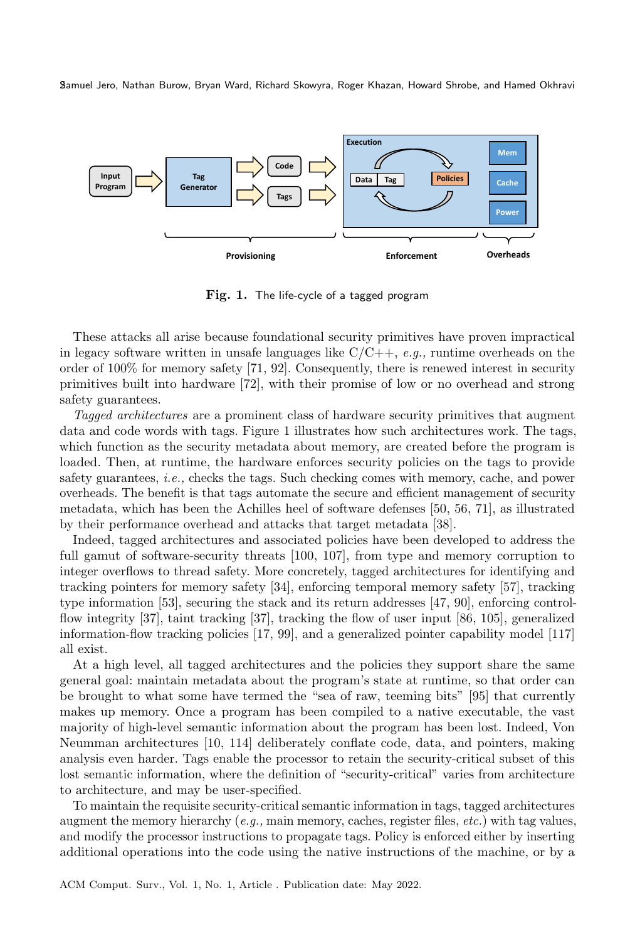<span id="page-1-0"></span>

Fig. 1. The life-cycle of a tagged program

These attacks all arise because foundational security primitives have proven impractical in legacy software written in unsafe languages like  $C/C++$ , e.g., runtime overheads on the order of 100% for memory safety [\[71,](#page-33-3) [92\]](#page-34-3). Consequently, there is renewed interest in security primitives built into hardware [\[72\]](#page-33-4), with their promise of low or no overhead and strong safety guarantees.

Tagged architectures are a prominent class of hardware security primitives that augment data and code words with tags. [Figure 1](#page-1-0) illustrates how such architectures work. The tags, which function as the security metadata about memory, are created before the program is loaded. Then, at runtime, the hardware enforces security policies on the tags to provide safety guarantees, i.e., checks the tags. Such checking comes with memory, cache, and power overheads. The benefit is that tags automate the secure and efficient management of security metadata, which has been the Achilles heel of software defenses [\[50,](#page-32-4) [56,](#page-33-5) [71\]](#page-33-3), as illustrated by their performance overhead and attacks that target metadata [\[38\]](#page-32-5).

Indeed, tagged architectures and associated policies have been developed to address the full gamut of software-security threats [\[100,](#page-34-4) [107\]](#page-35-0), from type and memory corruption to integer overflows to thread safety. More concretely, tagged architectures for identifying and tracking pointers for memory safety [\[34\]](#page-32-6), enforcing temporal memory safety [\[57\]](#page-33-6), tracking type information [\[53\]](#page-32-7), securing the stack and its return addresses [\[47,](#page-32-8) [90\]](#page-34-5), enforcing controlflow integrity [\[37\]](#page-32-9), taint tracking [\[37\]](#page-32-9), tracking the flow of user input [\[86,](#page-34-6) [105\]](#page-35-4), generalized information-flow tracking policies [\[17,](#page-31-2) [99\]](#page-34-7), and a generalized pointer capability model [\[117\]](#page-35-5) all exist.

At a high level, all tagged architectures and the policies they support share the same general goal: maintain metadata about the program's state at runtime, so that order can be brought to what some have termed the "sea of raw, teeming bits" [\[95\]](#page-34-8) that currently makes up memory. Once a program has been compiled to a native executable, the vast majority of high-level semantic information about the program has been lost. Indeed, Von Neumman architectures [\[10,](#page-30-4) [114\]](#page-35-6) deliberately conflate code, data, and pointers, making analysis even harder. Tags enable the processor to retain the security-critical subset of this lost semantic information, where the definition of "security-critical" varies from architecture to architecture, and may be user-specified.

To maintain the requisite security-critical semantic information in tags, tagged architectures augment the memory hierarchy (e.g., main memory, caches, register files, etc.) with tag values, and modify the processor instructions to propagate tags. Policy is enforced either by inserting additional operations into the code using the native instructions of the machine, or by a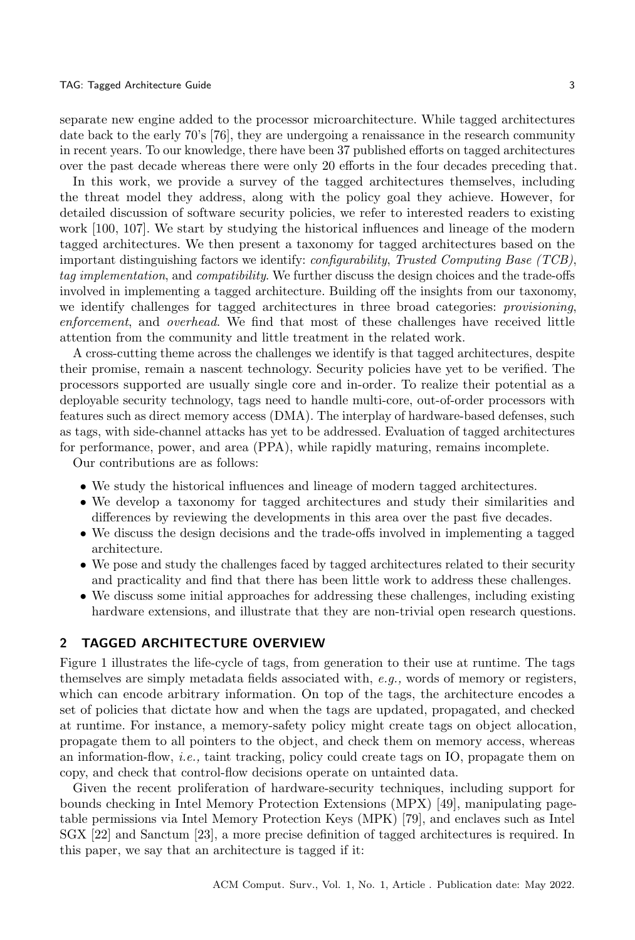separate new engine added to the processor microarchitecture. While tagged architectures date back to the early 70's [\[76\]](#page-34-9), they are undergoing a renaissance in the research community in recent years. To our knowledge, there have been 37 published efforts on tagged architectures over the past decade whereas there were only 20 efforts in the four decades preceding that.

In this work, we provide a survey of the tagged architectures themselves, including the threat model they address, along with the policy goal they achieve. However, for detailed discussion of software security policies, we refer to interested readers to existing work [\[100,](#page-34-4) [107\]](#page-35-0). We start by studying the historical influences and lineage of the modern tagged architectures. We then present a taxonomy for tagged architectures based on the important distinguishing factors we identify: configurability, Trusted Computing Base (TCB), tag implementation, and compatibility. We further discuss the design choices and the trade-offs involved in implementing a tagged architecture. Building off the insights from our taxonomy, we identify challenges for tagged architectures in three broad categories: provisioning, enforcement, and overhead. We find that most of these challenges have received little attention from the community and little treatment in the related work.

A cross-cutting theme across the challenges we identify is that tagged architectures, despite their promise, remain a nascent technology. Security policies have yet to be verified. The processors supported are usually single core and in-order. To realize their potential as a deployable security technology, tags need to handle multi-core, out-of-order processors with features such as direct memory access (DMA). The interplay of hardware-based defenses, such as tags, with side-channel attacks has yet to be addressed. Evaluation of tagged architectures for performance, power, and area (PPA), while rapidly maturing, remains incomplete.

Our contributions are as follows:

- ∙ We study the historical influences and lineage of modern tagged architectures.
- ∙ We develop a taxonomy for tagged architectures and study their similarities and differences by reviewing the developments in this area over the past five decades.
- ∙ We discuss the design decisions and the trade-offs involved in implementing a tagged architecture.
- ∙ We pose and study the challenges faced by tagged architectures related to their security and practicality and find that there has been little work to address these challenges.
- ∙ We discuss some initial approaches for addressing these challenges, including existing hardware extensions, and illustrate that they are non-trivial open research questions.

### 2 TAGGED ARCHITECTURE OVERVIEW

[Figure 1](#page-1-0) illustrates the life-cycle of tags, from generation to their use at runtime. The tags themselves are simply metadata fields associated with, e.g., words of memory or registers, which can encode arbitrary information. On top of the tags, the architecture encodes a set of policies that dictate how and when the tags are updated, propagated, and checked at runtime. For instance, a memory-safety policy might create tags on object allocation, propagate them to all pointers to the object, and check them on memory access, whereas an information-flow, i.e., taint tracking, policy could create tags on IO, propagate them on copy, and check that control-flow decisions operate on untainted data.

Given the recent proliferation of hardware-security techniques, including support for bounds checking in Intel Memory Protection Extensions (MPX) [\[49\]](#page-32-10), manipulating pagetable permissions via Intel Memory Protection Keys (MPK) [\[79\]](#page-34-10), and enclaves such as Intel SGX [\[22\]](#page-31-3) and Sanctum [\[23\]](#page-31-4), a more precise definition of tagged architectures is required. In this paper, we say that an architecture is tagged if it: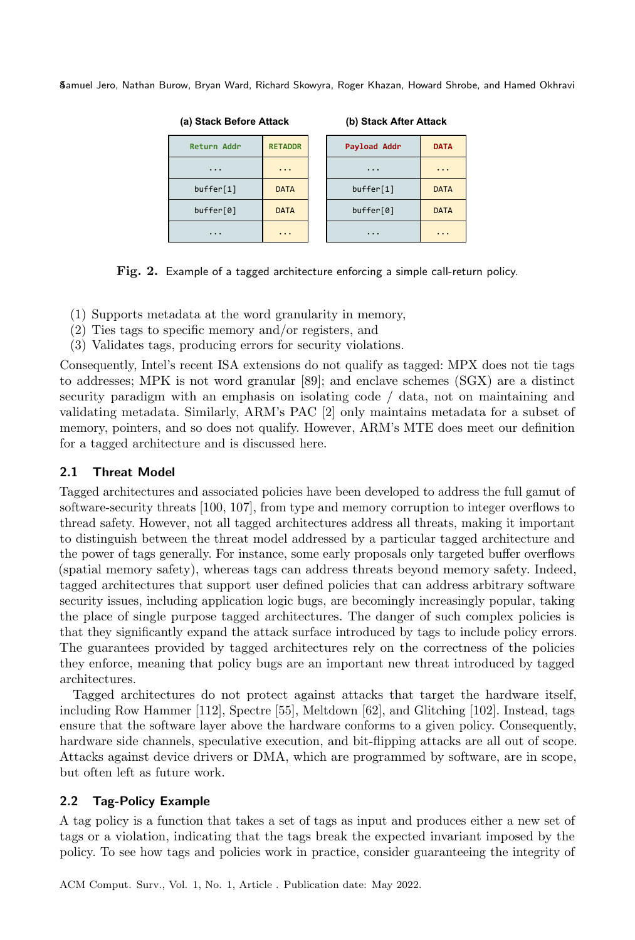<span id="page-3-0"></span>

| (a) Stack Before Attack |                | (b) Stack After Attack |                     |  |  |  |  |  |  |
|-------------------------|----------------|------------------------|---------------------|--|--|--|--|--|--|
| <b>Return Addr</b>      | <b>RETADDR</b> | Payload Addr           | <b>DATA</b>         |  |  |  |  |  |  |
| $\cdot$                 | .              | $\cdot$                | .                   |  |  |  |  |  |  |
| buffer[1]               | <b>DATA</b>    | buffer[1]              | <b>DATA</b>         |  |  |  |  |  |  |
| buffer[0]               | <b>DATA</b>    | buffer[0]              | <b>DATA</b>         |  |  |  |  |  |  |
| $\cdots$                | .              | $\cdot$                | $\cdot \cdot \cdot$ |  |  |  |  |  |  |

Fig. 2. Example of a tagged architecture enforcing a simple call-return policy.

- (1) Supports metadata at the word granularity in memory,
- (2) Ties tags to specific memory and/or registers, and
- (3) Validates tags, producing errors for security violations.

Consequently, Intel's recent ISA extensions do not qualify as tagged: MPX does not tie tags to addresses; MPK is not word granular [\[89\]](#page-34-11); and enclave schemes (SGX) are a distinct security paradigm with an emphasis on isolating code / data, not on maintaining and validating metadata. Similarly, ARM's PAC [\[2\]](#page-30-5) only maintains metadata for a subset of memory, pointers, and so does not qualify. However, ARM's MTE does meet our definition for a tagged architecture and is discussed here.

# 2.1 Threat Model

Tagged architectures and associated policies have been developed to address the full gamut of software-security threats [\[100,](#page-34-4) [107\]](#page-35-0), from type and memory corruption to integer overflows to thread safety. However, not all tagged architectures address all threats, making it important to distinguish between the threat model addressed by a particular tagged architecture and the power of tags generally. For instance, some early proposals only targeted buffer overflows (spatial memory safety), whereas tags can address threats beyond memory safety. Indeed, tagged architectures that support user defined policies that can address arbitrary software security issues, including application logic bugs, are becomingly increasingly popular, taking the place of single purpose tagged architectures. The danger of such complex policies is that they significantly expand the attack surface introduced by tags to include policy errors. The guarantees provided by tagged architectures rely on the correctness of the policies they enforce, meaning that policy bugs are an important new threat introduced by tagged architectures.

Tagged architectures do not protect against attacks that target the hardware itself, including Row Hammer [\[112\]](#page-35-1), Spectre [\[55\]](#page-33-7), Meltdown [\[62\]](#page-33-8), and Glitching [\[102\]](#page-35-7). Instead, tags ensure that the software layer above the hardware conforms to a given policy. Consequently, hardware side channels, speculative execution, and bit-flipping attacks are all out of scope. Attacks against device drivers or DMA, which are programmed by software, are in scope, but often left as future work.

# <span id="page-3-1"></span>2.2 Tag-Policy Example

A tag policy is a function that takes a set of tags as input and produces either a new set of tags or a violation, indicating that the tags break the expected invariant imposed by the policy. To see how tags and policies work in practice, consider guaranteeing the integrity of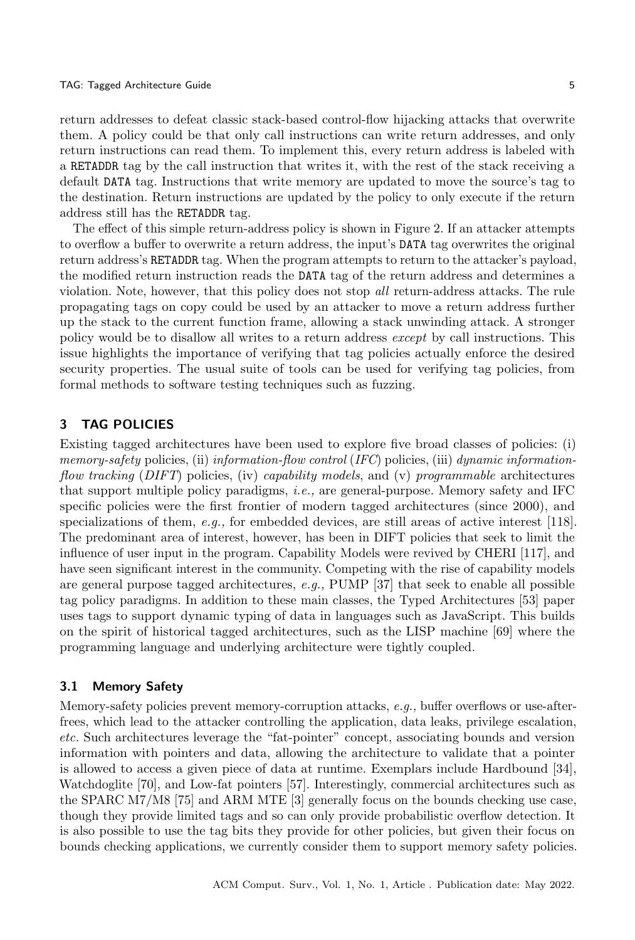return addresses to defeat classic stack-based control-flow hijacking attacks that overwrite them. A policy could be that only call instructions can write return addresses, and only return instructions can read them. To implement this, every return address is labeled with a RETADDR tag by the call instruction that writes it, with the rest of the stack receiving a default DATA tag. Instructions that write memory are updated to move the source's tag to the destination. Return instructions are updated by the policy to only execute if the return address still has the RETADDR tag.

The effect of this simple return-address policy is shown in [Figure 2.](#page-3-0) If an attacker attempts to overflow a buffer to overwrite a return address, the input's DATA tag overwrites the original return address's RETADDR tag. When the program attempts to return to the attacker's payload, the modified return instruction reads the DATA tag of the return address and determines a violation. Note, however, that this policy does not stop all return-address attacks. The rule propagating tags on copy could be used by an attacker to move a return address further up the stack to the current function frame, allowing a stack unwinding attack. A stronger policy would be to disallow all writes to a return address except by call instructions. This issue highlights the importance of verifying that tag policies actually enforce the desired security properties. The usual suite of tools can be used for verifying tag policies, from formal methods to software testing techniques such as fuzzing.

# 3 TAG POLICIES

Existing tagged architectures have been used to explore five broad classes of policies: (i) memory-safety policies, (ii) information-flow control (IFC) policies, (iii) dynamic informationflow tracking (DIFT) policies, (iv) capability models, and (v) programmable architectures that support multiple policy paradigms, i.e., are general-purpose. Memory safety and IFC specific policies were the first frontier of modern tagged architectures (since 2000), and specializations of them,  $e.g.,$  for embedded devices, are still areas of active interest [\[118\]](#page-35-8). The predominant area of interest, however, has been in DIFT policies that seek to limit the influence of user input in the program. Capability Models were revived by CHERI [\[117\]](#page-35-5), and have seen significant interest in the community. Competing with the rise of capability models are general purpose tagged architectures,  $e.g.,$  PUMP [\[37\]](#page-32-9) that seek to enable all possible tag policy paradigms. In addition to these main classes, the Typed Architectures [\[53\]](#page-32-7) paper uses tags to support dynamic typing of data in languages such as JavaScript. This builds on the spirit of historical tagged architectures, such as the LISP machine [\[69\]](#page-33-9) where the programming language and underlying architecture were tightly coupled.

# 3.1 Memory Safety

Memory-safety policies prevent memory-corruption attacks, e.g., buffer overflows or use-afterfrees, which lead to the attacker controlling the application, data leaks, privilege escalation, etc. Such architectures leverage the "fat-pointer" concept, associating bounds and version information with pointers and data, allowing the architecture to validate that a pointer is allowed to access a given piece of data at runtime. Exemplars include Hardbound [\[34\]](#page-32-6), Watchdoglite [\[70\]](#page-33-10), and Low-fat pointers [\[57\]](#page-33-6). Interestingly, commercial architectures such as the SPARC M7/M8 [\[75\]](#page-34-12) and ARM MTE [\[3\]](#page-30-6) generally focus on the bounds checking use case, though they provide limited tags and so can only provide probabilistic overflow detection. It is also possible to use the tag bits they provide for other policies, but given their focus on bounds checking applications, we currently consider them to support memory safety policies.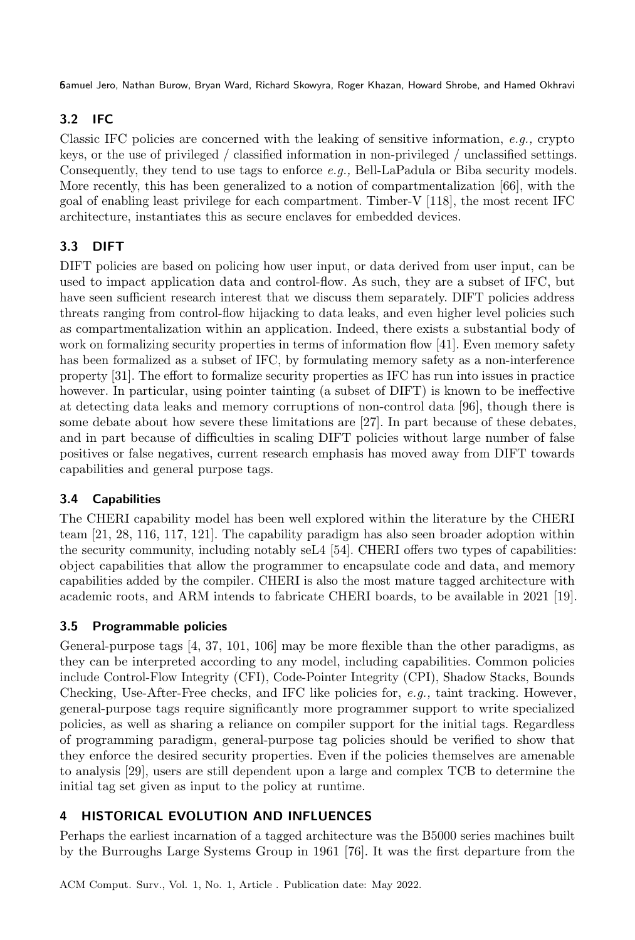# 3.2 IFC

Classic IFC policies are concerned with the leaking of sensitive information,  $e.g.,$  crypto keys, or the use of privileged / classified information in non-privileged / unclassified settings. Consequently, they tend to use tags to enforce e.g., Bell-LaPadula or Biba security models. More recently, this has been generalized to a notion of compartmentalization [\[66\]](#page-33-11), with the goal of enabling least privilege for each compartment. Timber-V [\[118\]](#page-35-8), the most recent IFC architecture, instantiates this as secure enclaves for embedded devices.

# 3.3 DIFT

DIFT policies are based on policing how user input, or data derived from user input, can be used to impact application data and control-flow. As such, they are a subset of IFC, but have seen sufficient research interest that we discuss them separately. DIFT policies address threats ranging from control-flow hijacking to data leaks, and even higher level policies such as compartmentalization within an application. Indeed, there exists a substantial body of work on formalizing security properties in terms of information flow [\[41\]](#page-32-11). Even memory safety has been formalized as a subset of IFC, by formulating memory safety as a non-interference property [\[31\]](#page-31-5). The effort to formalize security properties as IFC has run into issues in practice however. In particular, using pointer tainting (a subset of DIFT) is known to be ineffective at detecting data leaks and memory corruptions of non-control data [\[96\]](#page-34-13), though there is some debate about how severe these limitations are [\[27\]](#page-31-6). In part because of these debates, and in part because of difficulties in scaling DIFT policies without large number of false positives or false negatives, current research emphasis has moved away from DIFT towards capabilities and general purpose tags.

# 3.4 Capabilities

The CHERI capability model has been well explored within the literature by the CHERI team [\[21,](#page-31-7) [28,](#page-31-8) [116,](#page-35-9) [117,](#page-35-5) [121\]](#page-35-10). The capability paradigm has also seen broader adoption within the security community, including notably seL4 [\[54\]](#page-33-12). CHERI offers two types of capabilities: object capabilities that allow the programmer to encapsulate code and data, and memory capabilities added by the compiler. CHERI is also the most mature tagged architecture with academic roots, and ARM intends to fabricate CHERI boards, to be available in 2021 [\[19\]](#page-31-9).

# 3.5 Programmable policies

General-purpose tags [\[4,](#page-30-7) [37,](#page-32-9) [101,](#page-35-11) [106\]](#page-35-12) may be more flexible than the other paradigms, as they can be interpreted according to any model, including capabilities. Common policies include Control-Flow Integrity (CFI), Code-Pointer Integrity (CPI), Shadow Stacks, Bounds Checking, Use-After-Free checks, and IFC like policies for, e.g., taint tracking. However, general-purpose tags require significantly more programmer support to write specialized policies, as well as sharing a reliance on compiler support for the initial tags. Regardless of programming paradigm, general-purpose tag policies should be verified to show that they enforce the desired security properties. Even if the policies themselves are amenable to analysis [\[29\]](#page-31-10), users are still dependent upon a large and complex TCB to determine the initial tag set given as input to the policy at runtime.

# 4 HISTORICAL EVOLUTION AND INFLUENCES

Perhaps the earliest incarnation of a tagged architecture was the B5000 series machines built by the Burroughs Large Systems Group in 1961 [\[76\]](#page-34-9). It was the first departure from the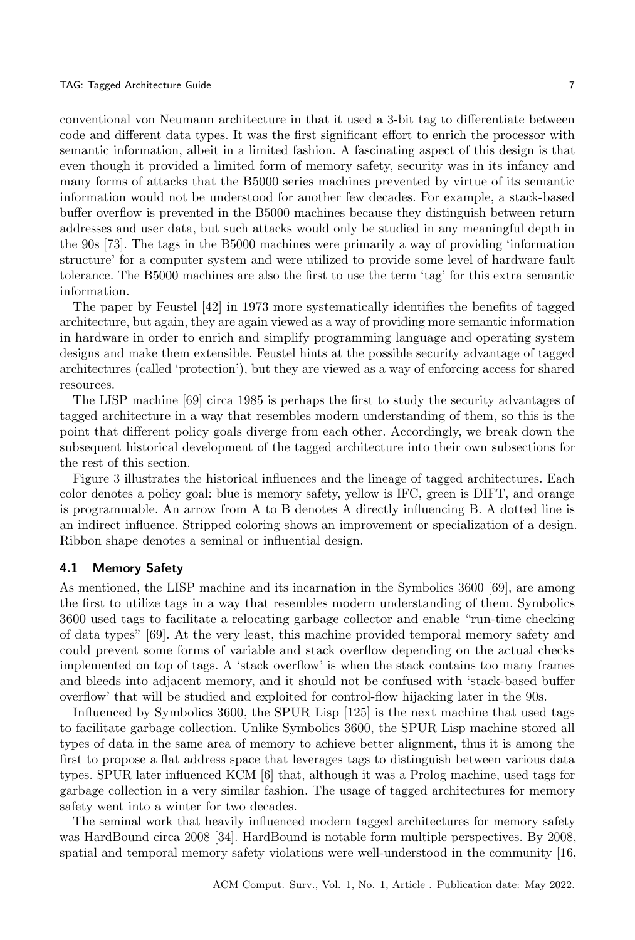conventional von Neumann architecture in that it used a 3-bit tag to differentiate between code and different data types. It was the first significant effort to enrich the processor with semantic information, albeit in a limited fashion. A fascinating aspect of this design is that even though it provided a limited form of memory safety, security was in its infancy and many forms of attacks that the B5000 series machines prevented by virtue of its semantic information would not be understood for another few decades. For example, a stack-based buffer overflow is prevented in the B5000 machines because they distinguish between return addresses and user data, but such attacks would only be studied in any meaningful depth in the 90s [\[73\]](#page-33-13). The tags in the B5000 machines were primarily a way of providing 'information structure' for a computer system and were utilized to provide some level of hardware fault tolerance. The B5000 machines are also the first to use the term 'tag' for this extra semantic information.

The paper by Feustel [\[42\]](#page-32-12) in 1973 more systematically identifies the benefits of tagged architecture, but again, they are again viewed as a way of providing more semantic information in hardware in order to enrich and simplify programming language and operating system designs and make them extensible. Feustel hints at the possible security advantage of tagged architectures (called 'protection'), but they are viewed as a way of enforcing access for shared resources.

The LISP machine [\[69\]](#page-33-9) circa 1985 is perhaps the first to study the security advantages of tagged architecture in a way that resembles modern understanding of them, so this is the point that different policy goals diverge from each other. Accordingly, we break down the subsequent historical development of the tagged architecture into their own subsections for the rest of this section.

Figure [3](#page-7-0) illustrates the historical influences and the lineage of tagged architectures. Each color denotes a policy goal: blue is memory safety, yellow is IFC, green is DIFT, and orange is programmable. An arrow from A to B denotes A directly influencing B. A dotted line is an indirect influence. Stripped coloring shows an improvement or specialization of a design. Ribbon shape denotes a seminal or influential design.

#### 4.1 Memory Safety

As mentioned, the LISP machine and its incarnation in the Symbolics 3600 [\[69\]](#page-33-9), are among the first to utilize tags in a way that resembles modern understanding of them. Symbolics 3600 used tags to facilitate a relocating garbage collector and enable "run-time checking of data types" [\[69\]](#page-33-9). At the very least, this machine provided temporal memory safety and could prevent some forms of variable and stack overflow depending on the actual checks implemented on top of tags. A 'stack overflow' is when the stack contains too many frames and bleeds into adjacent memory, and it should not be confused with 'stack-based buffer overflow' that will be studied and exploited for control-flow hijacking later in the 90s.

Influenced by Symbolics 3600, the SPUR Lisp [\[125\]](#page-36-2) is the next machine that used tags to facilitate garbage collection. Unlike Symbolics 3600, the SPUR Lisp machine stored all types of data in the same area of memory to achieve better alignment, thus it is among the first to propose a flat address space that leverages tags to distinguish between various data types. SPUR later influenced KCM [\[6\]](#page-30-8) that, although it was a Prolog machine, used tags for garbage collection in a very similar fashion. The usage of tagged architectures for memory safety went into a winter for two decades.

The seminal work that heavily influenced modern tagged architectures for memory safety was HardBound circa 2008 [\[34\]](#page-32-6). HardBound is notable form multiple perspectives. By 2008, spatial and temporal memory safety violations were well-understood in the community [\[16,](#page-31-11)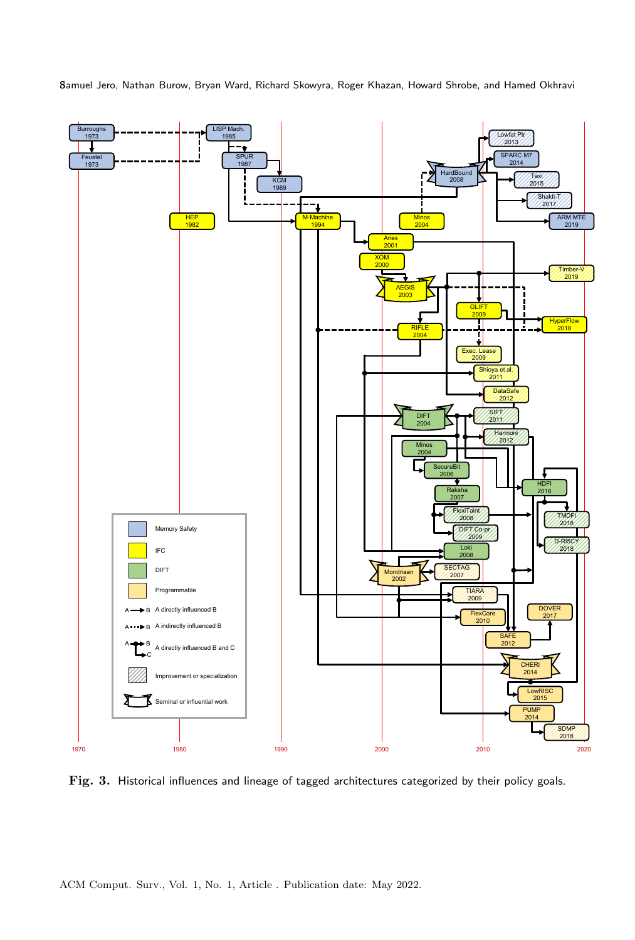

<span id="page-7-0"></span>

Fig. 3. Historical influences and lineage of tagged architectures categorized by their policy goals.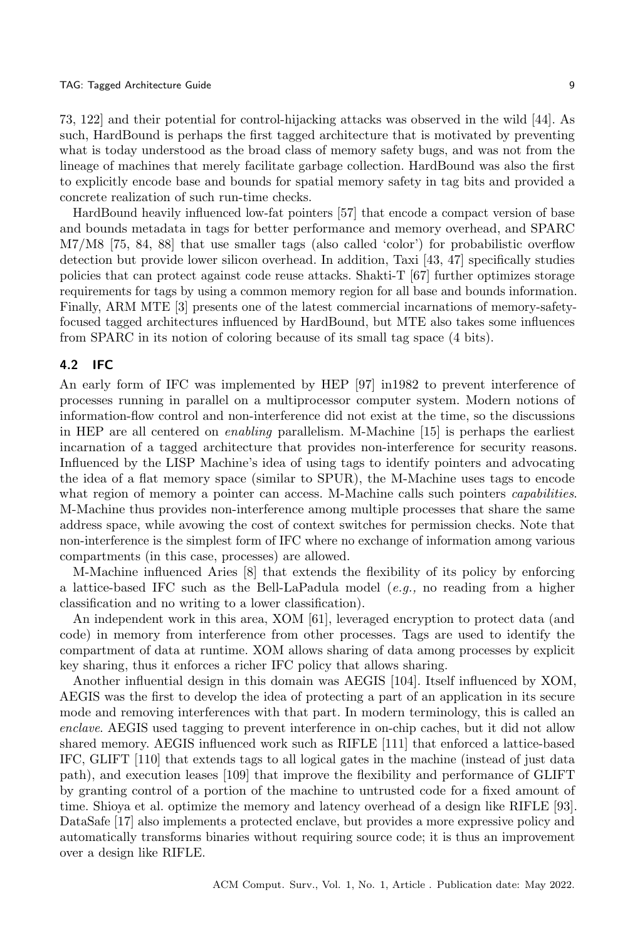#### TAG: Tagged Architecture Guide 9

[73,](#page-33-13) [122\]](#page-36-3) and their potential for control-hijacking attacks was observed in the wild [\[44\]](#page-32-13). As such, HardBound is perhaps the first tagged architecture that is motivated by preventing what is today understood as the broad class of memory safety bugs, and was not from the lineage of machines that merely facilitate garbage collection. HardBound was also the first to explicitly encode base and bounds for spatial memory safety in tag bits and provided a concrete realization of such run-time checks.

HardBound heavily influenced low-fat pointers [\[57\]](#page-33-6) that encode a compact version of base and bounds metadata in tags for better performance and memory overhead, and SPARC M7/M8 [\[75,](#page-34-12) [84,](#page-34-14) [88\]](#page-34-15) that use smaller tags (also called 'color') for probabilistic overflow detection but provide lower silicon overhead. In addition, Taxi [\[43,](#page-32-14) [47\]](#page-32-8) specifically studies policies that can protect against code reuse attacks. Shakti-T [\[67\]](#page-33-14) further optimizes storage requirements for tags by using a common memory region for all base and bounds information. Finally, ARM MTE [\[3\]](#page-30-6) presents one of the latest commercial incarnations of memory-safetyfocused tagged architectures influenced by HardBound, but MTE also takes some influences from SPARC in its notion of coloring because of its small tag space (4 bits).

#### 4.2 IFC

An early form of IFC was implemented by HEP [\[97\]](#page-34-16) in1982 to prevent interference of processes running in parallel on a multiprocessor computer system. Modern notions of information-flow control and non-interference did not exist at the time, so the discussions in HEP are all centered on enabling parallelism. M-Machine [\[15\]](#page-31-12) is perhaps the earliest incarnation of a tagged architecture that provides non-interference for security reasons. Influenced by the LISP Machine's idea of using tags to identify pointers and advocating the idea of a flat memory space (similar to SPUR), the M-Machine uses tags to encode what region of memory a pointer can access. M-Machine calls such pointers *capabilities*. M-Machine thus provides non-interference among multiple processes that share the same address space, while avowing the cost of context switches for permission checks. Note that non-interference is the simplest form of IFC where no exchange of information among various compartments (in this case, processes) are allowed.

M-Machine influenced Aries [\[8\]](#page-30-9) that extends the flexibility of its policy by enforcing a lattice-based IFC such as the Bell-LaPadula model  $(e.g., no reading from a higher$ classification and no writing to a lower classification).

An independent work in this area, XOM [\[61\]](#page-33-15), leveraged encryption to protect data (and code) in memory from interference from other processes. Tags are used to identify the compartment of data at runtime. XOM allows sharing of data among processes by explicit key sharing, thus it enforces a richer IFC policy that allows sharing.

Another influential design in this domain was AEGIS [\[104\]](#page-35-13). Itself influenced by XOM, AEGIS was the first to develop the idea of protecting a part of an application in its secure mode and removing interferences with that part. In modern terminology, this is called an enclave. AEGIS used tagging to prevent interference in on-chip caches, but it did not allow shared memory. AEGIS influenced work such as RIFLE [\[111\]](#page-35-14) that enforced a lattice-based IFC, GLIFT [\[110\]](#page-35-15) that extends tags to all logical gates in the machine (instead of just data path), and execution leases [\[109\]](#page-35-16) that improve the flexibility and performance of GLIFT by granting control of a portion of the machine to untrusted code for a fixed amount of time. Shioya et al. optimize the memory and latency overhead of a design like RIFLE [\[93\]](#page-34-17). DataSafe [\[17\]](#page-31-2) also implements a protected enclave, but provides a more expressive policy and automatically transforms binaries without requiring source code; it is thus an improvement over a design like RIFLE.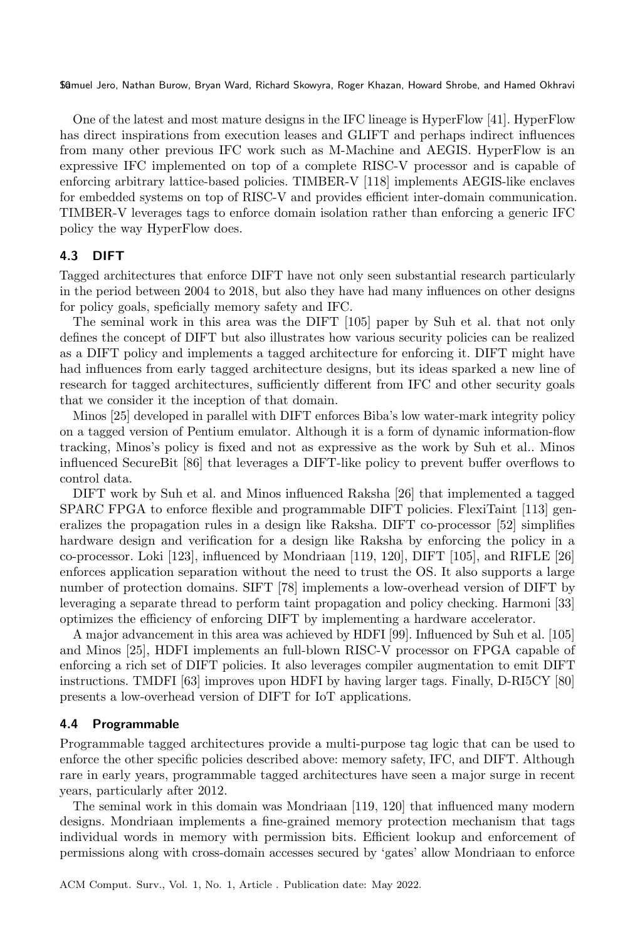One of the latest and most mature designs in the IFC lineage is HyperFlow [\[41\]](#page-32-11). HyperFlow has direct inspirations from execution leases and GLIFT and perhaps indirect influences from many other previous IFC work such as M-Machine and AEGIS. HyperFlow is an expressive IFC implemented on top of a complete RISC-V processor and is capable of enforcing arbitrary lattice-based policies. TIMBER-V [\[118\]](#page-35-8) implements AEGIS-like enclaves for embedded systems on top of RISC-V and provides efficient inter-domain communication. TIMBER-V leverages tags to enforce domain isolation rather than enforcing a generic IFC policy the way HyperFlow does.

#### 4.3 DIFT

Tagged architectures that enforce DIFT have not only seen substantial research particularly in the period between 2004 to 2018, but also they have had many influences on other designs for policy goals, speficially memory safety and IFC.

The seminal work in this area was the DIFT [\[105\]](#page-35-4) paper by Suh et al. that not only defines the concept of DIFT but also illustrates how various security policies can be realized as a DIFT policy and implements a tagged architecture for enforcing it. DIFT might have had influences from early tagged architecture designs, but its ideas sparked a new line of research for tagged architectures, sufficiently different from IFC and other security goals that we consider it the inception of that domain.

Minos [\[25\]](#page-31-13) developed in parallel with DIFT enforces Biba's low water-mark integrity policy on a tagged version of Pentium emulator. Although it is a form of dynamic information-flow tracking, Minos's policy is fixed and not as expressive as the work by Suh et al.. Minos influenced SecureBit [\[86\]](#page-34-6) that leverages a DIFT-like policy to prevent buffer overflows to control data.

DIFT work by Suh et al. and Minos influenced Raksha [\[26\]](#page-31-14) that implemented a tagged SPARC FPGA to enforce flexible and programmable DIFT policies. FlexiTaint [\[113\]](#page-35-17) generalizes the propagation rules in a design like Raksha. DIFT co-processor [\[52\]](#page-32-15) simplifies hardware design and verification for a design like Raksha by enforcing the policy in a co-processor. Loki [\[123\]](#page-36-4), influenced by Mondriaan [\[119,](#page-35-18) [120\]](#page-35-19), DIFT [\[105\]](#page-35-4), and RIFLE [\[26\]](#page-31-14) enforces application separation without the need to trust the OS. It also supports a large number of protection domains. SIFT [\[78\]](#page-34-18) implements a low-overhead version of DIFT by leveraging a separate thread to perform taint propagation and policy checking. Harmoni [\[33\]](#page-31-15) optimizes the efficiency of enforcing DIFT by implementing a hardware accelerator.

A major advancement in this area was achieved by HDFI [\[99\]](#page-34-7). Influenced by Suh et al. [\[105\]](#page-35-4) and Minos [\[25\]](#page-31-13), HDFI implements an full-blown RISC-V processor on FPGA capable of enforcing a rich set of DIFT policies. It also leverages compiler augmentation to emit DIFT instructions. TMDFI [\[63\]](#page-33-16) improves upon HDFI by having larger tags. Finally, D-RI5CY [\[80\]](#page-34-19) presents a low-overhead version of DIFT for IoT applications.

#### 4.4 Programmable

Programmable tagged architectures provide a multi-purpose tag logic that can be used to enforce the other specific policies described above: memory safety, IFC, and DIFT. Although rare in early years, programmable tagged architectures have seen a major surge in recent years, particularly after 2012.

The seminal work in this domain was Mondriaan [\[119,](#page-35-18) [120\]](#page-35-19) that influenced many modern designs. Mondriaan implements a fine-grained memory protection mechanism that tags individual words in memory with permission bits. Efficient lookup and enforcement of permissions along with cross-domain accesses secured by 'gates' allow Mondriaan to enforce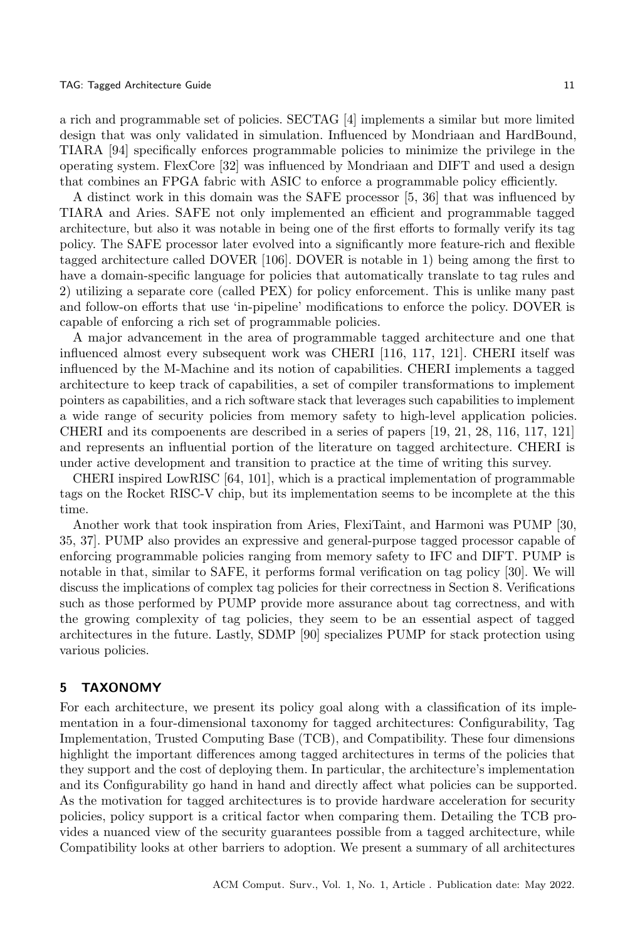a rich and programmable set of policies. SECTAG [\[4\]](#page-30-7) implements a similar but more limited design that was only validated in simulation. Influenced by Mondriaan and HardBound, TIARA [\[94\]](#page-34-20) specifically enforces programmable policies to minimize the privilege in the operating system. FlexCore [\[32\]](#page-31-16) was influenced by Mondriaan and DIFT and used a design that combines an FPGA fabric with ASIC to enforce a programmable policy efficiently.

A distinct work in this domain was the SAFE processor [\[5,](#page-30-10) [36\]](#page-32-16) that was influenced by TIARA and Aries. SAFE not only implemented an efficient and programmable tagged architecture, but also it was notable in being one of the first efforts to formally verify its tag policy. The SAFE processor later evolved into a significantly more feature-rich and flexible tagged architecture called DOVER [\[106\]](#page-35-12). DOVER is notable in 1) being among the first to have a domain-specific language for policies that automatically translate to tag rules and 2) utilizing a separate core (called PEX) for policy enforcement. This is unlike many past and follow-on efforts that use 'in-pipeline' modifications to enforce the policy. DOVER is capable of enforcing a rich set of programmable policies.

A major advancement in the area of programmable tagged architecture and one that influenced almost every subsequent work was CHERI [\[116,](#page-35-9) [117,](#page-35-5) [121\]](#page-35-10). CHERI itself was influenced by the M-Machine and its notion of capabilities. CHERI implements a tagged architecture to keep track of capabilities, a set of compiler transformations to implement pointers as capabilities, and a rich software stack that leverages such capabilities to implement a wide range of security policies from memory safety to high-level application policies. CHERI and its compoenents are described in a series of papers [\[19,](#page-31-9) [21,](#page-31-7) [28,](#page-31-8) [116,](#page-35-9) [117,](#page-35-5) [121\]](#page-35-10) and represents an influential portion of the literature on tagged architecture. CHERI is under active development and transition to practice at the time of writing this survey.

CHERI inspired LowRISC [\[64,](#page-33-17) [101\]](#page-35-11), which is a practical implementation of programmable tags on the Rocket RISC-V chip, but its implementation seems to be incomplete at the this time.

Another work that took inspiration from Aries, FlexiTaint, and Harmoni was PUMP [\[30,](#page-31-17) [35,](#page-32-17) [37\]](#page-32-9). PUMP also provides an expressive and general-purpose tagged processor capable of enforcing programmable policies ranging from memory safety to IFC and DIFT. PUMP is notable in that, similar to SAFE, it performs formal verification on tag policy [\[30\]](#page-31-17). We will discuss the implications of complex tag policies for their correctness in Section [8.](#page-20-0) Verifications such as those performed by PUMP provide more assurance about tag correctness, and with the growing complexity of tag policies, they seem to be an essential aspect of tagged architectures in the future. Lastly, SDMP [\[90\]](#page-34-5) specializes PUMP for stack protection using various policies.

### 5 TAXONOMY

For each architecture, we present its policy goal along with a classification of its implementation in a four-dimensional taxonomy for tagged architectures: Configurability, Tag Implementation, Trusted Computing Base (TCB), and Compatibility. These four dimensions highlight the important differences among tagged architectures in terms of the policies that they support and the cost of deploying them. In particular, the architecture's implementation and its Configurability go hand in hand and directly affect what policies can be supported. As the motivation for tagged architectures is to provide hardware acceleration for security policies, policy support is a critical factor when comparing them. Detailing the TCB provides a nuanced view of the security guarantees possible from a tagged architecture, while Compatibility looks at other barriers to adoption. We present a summary of all architectures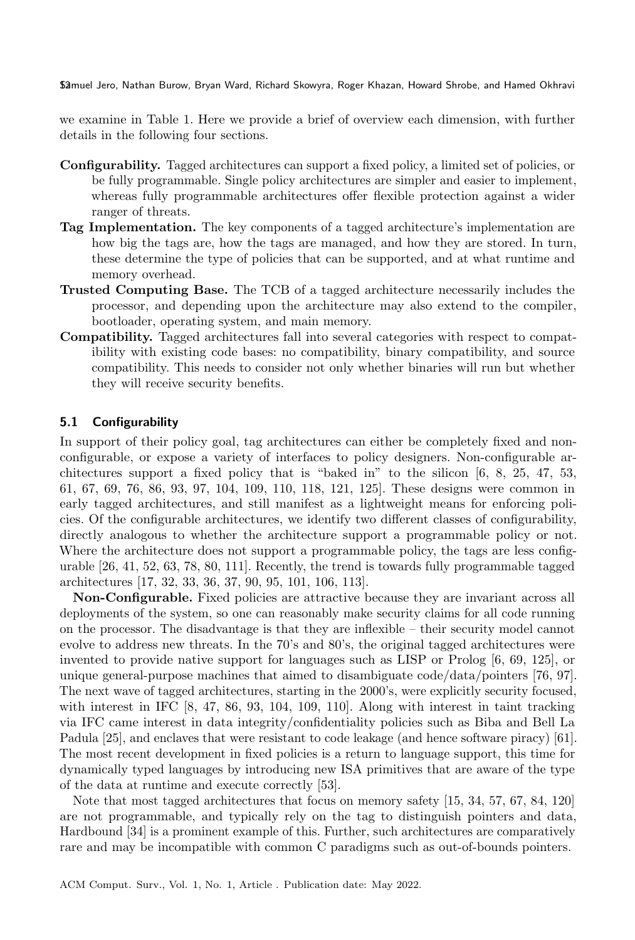we examine in Table [1.](#page-12-0) Here we provide a brief of overview each dimension, with further details in the following four sections.

- Configurability. Tagged architectures can support a fixed policy, a limited set of policies, or be fully programmable. Single policy architectures are simpler and easier to implement, whereas fully programmable architectures offer flexible protection against a wider ranger of threats.
- Tag Implementation. The key components of a tagged architecture's implementation are how big the tags are, how the tags are managed, and how they are stored. In turn, these determine the type of policies that can be supported, and at what runtime and memory overhead.
- Trusted Computing Base. The TCB of a tagged architecture necessarily includes the processor, and depending upon the architecture may also extend to the compiler, bootloader, operating system, and main memory.
- Compatibility. Tagged architectures fall into several categories with respect to compatibility with existing code bases: no compatibility, binary compatibility, and source compatibility. This needs to consider not only whether binaries will run but whether they will receive security benefits.

### 5.1 Configurability

In support of their policy goal, tag architectures can either be completely fixed and nonconfigurable, or expose a variety of interfaces to policy designers. Non-configurable architectures support a fixed policy that is "baked in" to the silicon [\[6,](#page-30-8) [8,](#page-30-9) [25,](#page-31-13) [47,](#page-32-8) [53,](#page-32-7) [61,](#page-33-15) [67,](#page-33-14) [69,](#page-33-9) [76,](#page-34-9) [86,](#page-34-6) [93,](#page-34-17) [97,](#page-34-16) [104,](#page-35-13) [109,](#page-35-16) [110,](#page-35-15) [118,](#page-35-8) [121,](#page-35-10) [125\]](#page-36-2). These designs were common in early tagged architectures, and still manifest as a lightweight means for enforcing policies. Of the configurable architectures, we identify two different classes of configurability, directly analogous to whether the architecture support a programmable policy or not. Where the architecture does not support a programmable policy, the tags are less configurable [\[26,](#page-31-14) [41,](#page-32-11) [52,](#page-32-15) [63,](#page-33-16) [78,](#page-34-18) [80,](#page-34-19) [111\]](#page-35-14). Recently, the trend is towards fully programmable tagged architectures [\[17,](#page-31-2) [32,](#page-31-16) [33,](#page-31-15) [36,](#page-32-16) [37,](#page-32-9) [90,](#page-34-5) [95,](#page-34-8) [101,](#page-35-11) [106,](#page-35-12) [113\]](#page-35-17).

Non-Configurable. Fixed policies are attractive because they are invariant across all deployments of the system, so one can reasonably make security claims for all code running on the processor. The disadvantage is that they are inflexible – their security model cannot evolve to address new threats. In the 70's and 80's, the original tagged architectures were invented to provide native support for languages such as LISP or Prolog [\[6,](#page-30-8) [69,](#page-33-9) [125\]](#page-36-2), or unique general-purpose machines that aimed to disambiguate code/data/pointers [\[76,](#page-34-9) [97\]](#page-34-16). The next wave of tagged architectures, starting in the 2000's, were explicitly security focused, with interest in IFC [\[8,](#page-30-9) [47,](#page-32-8) [86,](#page-34-6) [93,](#page-34-17) [104,](#page-35-13) [109,](#page-35-16) [110\]](#page-35-15). Along with interest in taint tracking via IFC came interest in data integrity/confidentiality policies such as Biba and Bell La Padula [\[25\]](#page-31-13), and enclaves that were resistant to code leakage (and hence software piracy) [\[61\]](#page-33-15). The most recent development in fixed policies is a return to language support, this time for dynamically typed languages by introducing new ISA primitives that are aware of the type of the data at runtime and execute correctly [\[53\]](#page-32-7).

Note that most tagged architectures that focus on memory safety [\[15,](#page-31-12) [34,](#page-32-6) [57,](#page-33-6) [67,](#page-33-14) [84,](#page-34-14) [120\]](#page-35-19) are not programmable, and typically rely on the tag to distinguish pointers and data, Hardbound [\[34\]](#page-32-6) is a prominent example of this. Further, such architectures are comparatively rare and may be incompatible with common C paradigms such as out-of-bounds pointers.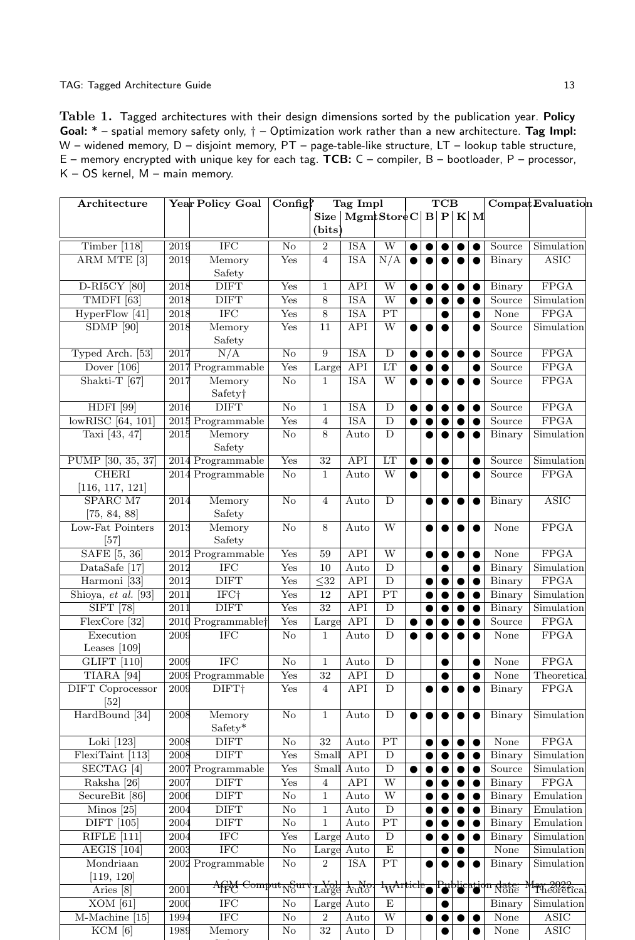<span id="page-12-0"></span>Table 1. Tagged architectures with their design dimensions sorted by the publication year. Policy Goal:  $*$  – spatial memory safety only,  $\dagger$  – Optimization work rather than a new architecture. Tag Impl: W – widened memory, D – disjoint memory, PT – page-table-like structure, LT – lookup table structure, E – memory encrypted with unique key for each tag. TCB: C – compiler, B – bootloader, P – processor, K – OS kernel, M – main memory.

| Architecture                                 |      | Year Policy Goal                      | $\text{Config}$        | Tag Impl             |                    |                          | <b>TCB</b> |           |           |           |           | Compat Evaluation |                          |
|----------------------------------------------|------|---------------------------------------|------------------------|----------------------|--------------------|--------------------------|------------|-----------|-----------|-----------|-----------|-------------------|--------------------------|
|                                              |      |                                       |                        | Size  <br>(bits)     | MgmtStoreC B P K M |                          |            |           |           |           |           |                   |                          |
| Timber [118]                                 | 2019 | $\rm IFC$                             | No                     | $\,2$                | <b>ISA</b>         | W                        |            |           | 0         |           | $\bullet$ | Source            | Simulation               |
| ARM MTE <sup>[3]</sup>                       | 2019 | Memory                                | $_{\rm Yes}$           | $\overline{4}$       | <b>ISA</b>         | $\overline{\text{N/A}}$  |            |           |           |           |           | Binary            | <b>ASIC</b>              |
|                                              |      | Safety                                |                        |                      |                    |                          |            |           |           |           |           |                   |                          |
| D-RI5CY [80]                                 | 2018 | <b>DIFT</b>                           | Yes                    | $\mathbf 1$          | API                | W                        | $\bullet$  | $\bullet$ | $\bullet$ | $\bullet$ | $\bullet$ | Binary            | <b>FPGA</b>              |
| TMDFI [63]                                   | 2018 | <b>DIFT</b>                           | Yes                    | 8                    | <b>ISA</b>         | $\overline{W}$           | $\bullet$  | ●         |           |           | $\bullet$ | Source            | Simulation               |
| HyperFlow [41]                               | 2018 | <b>IFC</b>                            | Yes                    | 8                    | <b>ISA</b>         | $\overline{\text{PT}}$   |            |           | 0         |           | $\bullet$ | None              | <b>FPGA</b>              |
| $SDMP$ [90]                                  | 2018 | Memory                                | Yes                    | 11                   | API                | $\overline{W}$           |            |           | $\bullet$ |           | $\bullet$ | Source            | Simulation               |
|                                              |      | Safety                                |                        |                      |                    |                          |            |           |           |           |           |                   |                          |
| Typed Arch. [53]                             | 2017 | N/A                                   | $\rm No$               | 9                    | <b>ISA</b>         | D                        |            |           |           | $\bullet$ | $\bullet$ | Source            | <b>FPGA</b>              |
| Dover $[106]$                                |      | 2017 Programmable                     | Yes                    | Large                | API                | LT                       |            |           | $\bullet$ |           | $\bullet$ | Source            | <b>FPGA</b>              |
| Shakti-T [67]                                | 2017 | Memory                                | No                     | $\mathbf{1}$         | <b>ISA</b>         | W                        | $\bullet$  | $\bullet$ | $\bullet$ | $\bullet$ | $\bullet$ | Source            | <b>FPGA</b>              |
|                                              |      | Safety <sup>†</sup>                   |                        |                      |                    |                          |            |           |           |           |           |                   |                          |
| <b>HDFI</b> [99]                             | 2016 | <b>DIFT</b>                           | No                     | $\mathbf 1$          | <b>ISA</b>         | D                        | e          |           | ●         | $\bullet$ | $\bullet$ | Source            | FPGA                     |
| lowRISC [64, 101]                            |      | 2015 Programmable                     | Yes                    | $\overline{4}$       | $_{\rm ISA}$       | D<br>D                   |            | $\bullet$ | $\bullet$ |           | $\bullet$ | Source            | FPGA                     |
| Taxi [43, 47]                                | 2015 | Memory<br>Safety                      | No                     | 8                    | Auto               |                          |            |           | $\bullet$ | $\bullet$ | $\bullet$ | Binary            | Simulation               |
| PUMP [30, 35, 37]                            |      | 2014 Programmable                     | Yes                    | 32                   | API                | LT                       | $\bullet$  | $\bullet$ | $\bullet$ |           | $\bullet$ | Source            | Simulation               |
| <b>CHERI</b>                                 |      | 2014 Programmable                     | No                     | $\mathbf{1}$         | Auto               | W                        | $\bullet$  |           | $\bullet$ |           | $\bullet$ | Source            | FPGA                     |
| [116, 117, 121]                              |      |                                       |                        |                      |                    |                          |            |           |           |           |           |                   |                          |
| SPARC M7                                     | 2014 | Memory                                | No                     | $\overline{4}$       | Auto               | D                        |            |           |           |           | $\bullet$ | Binary            | <b>ASIC</b>              |
| [75, 84, 88]                                 |      | Safety                                |                        |                      |                    |                          |            |           |           |           |           |                   |                          |
| Low-Fat Pointers                             | 2013 | Memory                                | No                     | 8                    | Auto               | W                        |            |           |           |           | $\bullet$ | None              | FPGA                     |
| [57]                                         |      | Safety                                |                        |                      |                    |                          |            |           |           |           |           |                   |                          |
| SAFE [5, 36]                                 |      | 2012 Programmable                     | Yes                    | 59                   | <b>API</b>         | W                        |            |           |           | $\bullet$ | $\bullet$ | None              | <b>FPGA</b>              |
| DataSafe [17]                                | 2012 | <b>IFC</b>                            | Yes                    | 10                   | Auto               | D                        |            |           | 0         |           | $\bullet$ | Binary            | Simulation               |
| Harmoni <sup>[33]</sup>                      | 2012 | <b>DIFT</b>                           | Yes                    | $\overline{\leq}32$  | <b>API</b>         | D                        |            |           | 0         | $\bullet$ | $\bullet$ | Binary            | <b>FPGA</b>              |
| Shioya, et al. [93]                          | 2011 | IFC+                                  | Yes                    | 12                   | API                | PT                       |            |           | 0         | $\bullet$ | $\bullet$ | Binary            | Simulation               |
| $SIFT$ [78]                                  | 2011 | <b>DIFT</b>                           | Yes                    | $\overline{32}$      | <b>API</b>         | $\overline{D}$           |            |           | $\bullet$ | $\bullet$ | $\bullet$ | Binary            | Simulation               |
| FlexCore [32]                                |      | 2010 Programmable <sup>+</sup>        | Yes                    | Large                | API                | D                        |            |           |           |           | $\bullet$ | Source            | <b>FPGA</b>              |
| Execution                                    | 2009 | <b>IFC</b>                            | $\rm No$               | 1                    | Auto               | D                        | e          |           | 0         | $\bullet$ | $\bullet$ | None              | <b>FPGA</b>              |
| Leases $[109]$                               |      |                                       |                        |                      |                    |                          |            |           |           |           |           |                   |                          |
| <b>GLIFT</b> [110]                           | 2009 | <b>IFC</b>                            | No                     | $\mathbf 1$          | Auto               | D                        |            |           | ●         |           | $\bullet$ | None              | <b>FPGA</b>              |
| TIARA <sup>[94]</sup>                        |      | 2009 Programmable                     | Yes                    | 32<br>$\overline{4}$ | <b>API</b>         | D<br>D                   |            |           | 0         |           | $\bullet$ | None              | Theoretical<br>FPGA      |
| <b>DIFT</b> Coprocessor<br>$\left[52\right]$ | 2009 | DIFT <sup>+</sup>                     | Yes                    |                      | API                |                          |            | ●         |           |           | $\bullet$ | Binary            |                          |
| HardBound [34]                               | 2008 | Memory                                | $\rm No$               | $\mathbf{1}$         | Auto               | D                        |            |           |           |           | $\bullet$ | Binary            | Simulation               |
|                                              |      | Safety*                               |                        |                      |                    |                          |            |           |           |           |           |                   |                          |
| Loki $[123]$                                 | 2008 | <b>DIFT</b>                           | $\rm No$               | 32                   | Auto               | PT                       |            |           | $\bullet$ | $\bullet$ | $\bullet$ | None              | FPGA                     |
| FlexiTaint [113]                             | 2008 | <b>DIFT</b>                           | Yes                    | Small                | API                | D                        |            |           | ●         |           | $\bullet$ | Binary            | Simulation               |
| SECTAG <sup>[4]</sup>                        |      | 2007 Programmable                     | $_{\rm Yes}$           |                      | Small Auto         | D                        | 0          |           | 0         |           | 0         | Source            | Simulation               |
| Raksha [26]                                  | 2007 | <b>DIFT</b>                           | Yes                    | $\overline{4}$       | $\overline{API}$   | $\overline{W}$           |            |           |           |           |           | Binary            | FPGA                     |
| SecureBit [86]                               | 2006 | <b>DIFT</b>                           | No                     | $\mathbf{1}$         | Auto               | W                        |            |           | $\bullet$ | $\bullet$ | $\bullet$ | Binary            | Emulation                |
| Minos $[25]$                                 | 2004 | <b>DIFT</b>                           | No                     | 1                    | Auto               | D                        |            |           |           |           | $\bullet$ | Binary            | Emulation                |
| <b>DIFT</b> [105]                            | 2004 | <b>DIFT</b>                           | $\overline{\text{No}}$ | $\mathbf{1}$         | Auto               | PT                       |            |           |           |           | $\bullet$ | Binary            | Emulation                |
| <b>RIFLE</b> [111]                           | 2004 | <b>IFC</b>                            | $_{\rm Yes}$           | Large                | Auto               | D                        |            |           | $\bullet$ |           | $\bullet$ | Binary            | Simulation               |
| AEGIS <sup>[104]</sup>                       | 2003 | $\overline{\text{IFC}}$               | $\rm No$               | Large                | Auto               | E                        |            |           | ●         | ●         |           | None              | Simulation               |
| Mondriaan                                    |      | 2002 Programmable                     | No                     | $\overline{2}$       | <b>ISA</b>         | PT                       |            |           |           |           |           | Binary            | Simulation               |
| [119, 120]                                   |      |                                       |                        |                      |                    |                          |            |           |           |           |           |                   |                          |
| Aries [8]                                    | 2001 | <del>AfpA Comput<sub>N</sub>Sur</del> |                        |                      | Large Auto         | $1$ <sub>W</sub> Article |            |           |           |           |           | Publication date  | fay 2022.<br>Theoretical |
| $XOM$ [61]                                   | 2000 | <b>IFC</b>                            | No                     | Large                | Auto               | E                        |            |           |           |           |           | Binary            | Simulation               |
| M-Machine [15]                               | 1994 | <b>IFC</b>                            | $\rm No$               | $\boldsymbol{2}$     | Auto               | W                        |            | ●         |           |           | $\bullet$ | None              | ASIC                     |
| $KCM$ [6]                                    | 1989 | Memory                                | No                     | 32                   | Auto               | D                        |            |           | 0         |           |           | None              | ASIC                     |

Safety and the safety of the safety of the safety of the safety of the safety of the safety of the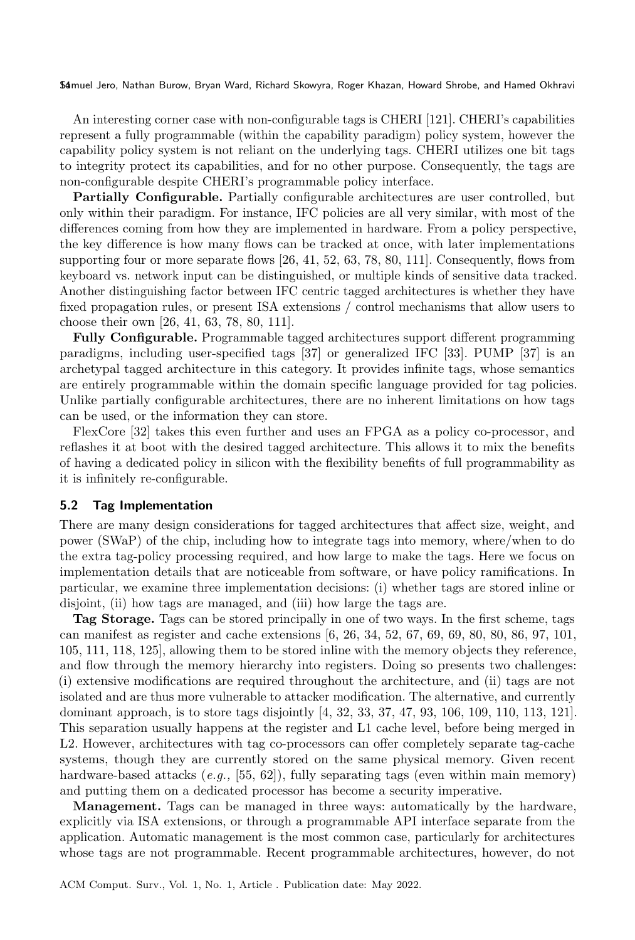An interesting corner case with non-configurable tags is CHERI [\[121\]](#page-35-10). CHERI's capabilities represent a fully programmable (within the capability paradigm) policy system, however the capability policy system is not reliant on the underlying tags. CHERI utilizes one bit tags to integrity protect its capabilities, and for no other purpose. Consequently, the tags are non-configurable despite CHERI's programmable policy interface.

Partially Configurable. Partially configurable architectures are user controlled, but only within their paradigm. For instance, IFC policies are all very similar, with most of the differences coming from how they are implemented in hardware. From a policy perspective, the key difference is how many flows can be tracked at once, with later implementations supporting four or more separate flows [\[26,](#page-31-14) [41,](#page-32-11) [52,](#page-32-15) [63,](#page-33-16) [78,](#page-34-18) [80,](#page-34-19) [111\]](#page-35-14). Consequently, flows from keyboard vs. network input can be distinguished, or multiple kinds of sensitive data tracked. Another distinguishing factor between IFC centric tagged architectures is whether they have fixed propagation rules, or present ISA extensions / control mechanisms that allow users to choose their own [\[26,](#page-31-14) [41,](#page-32-11) [63,](#page-33-16) [78,](#page-34-18) [80,](#page-34-19) [111\]](#page-35-14).

Fully Configurable. Programmable tagged architectures support different programming paradigms, including user-specified tags [\[37\]](#page-32-9) or generalized IFC [\[33\]](#page-31-15). PUMP [\[37\]](#page-32-9) is an archetypal tagged architecture in this category. It provides infinite tags, whose semantics are entirely programmable within the domain specific language provided for tag policies. Unlike partially configurable architectures, there are no inherent limitations on how tags can be used, or the information they can store.

FlexCore [\[32\]](#page-31-16) takes this even further and uses an FPGA as a policy co-processor, and reflashes it at boot with the desired tagged architecture. This allows it to mix the benefits of having a dedicated policy in silicon with the flexibility benefits of full programmability as it is infinitely re-configurable.

#### 5.2 Tag Implementation

There are many design considerations for tagged architectures that affect size, weight, and power (SWaP) of the chip, including how to integrate tags into memory, where/when to do the extra tag-policy processing required, and how large to make the tags. Here we focus on implementation details that are noticeable from software, or have policy ramifications. In particular, we examine three implementation decisions: (i) whether tags are stored inline or disjoint, (ii) how tags are managed, and (iii) how large the tags are.

Tag Storage. Tags can be stored principally in one of two ways. In the first scheme, tags can manifest as register and cache extensions [\[6,](#page-30-8) [26,](#page-31-14) [34,](#page-32-6) [52,](#page-32-15) [67,](#page-33-14) [69,](#page-33-9) [69,](#page-33-9) [80,](#page-34-19) [80,](#page-34-19) [86,](#page-34-6) [97,](#page-34-16) [101,](#page-35-11) [105,](#page-35-4) [111,](#page-35-14) [118,](#page-35-8) [125\]](#page-36-2), allowing them to be stored inline with the memory objects they reference, and flow through the memory hierarchy into registers. Doing so presents two challenges: (i) extensive modifications are required throughout the architecture, and (ii) tags are not isolated and are thus more vulnerable to attacker modification. The alternative, and currently dominant approach, is to store tags disjointly [\[4,](#page-30-7) [32,](#page-31-16) [33,](#page-31-15) [37,](#page-32-9) [47,](#page-32-8) [93,](#page-34-17) [106,](#page-35-12) [109,](#page-35-16) [110,](#page-35-15) [113,](#page-35-17) [121\]](#page-35-10). This separation usually happens at the register and L1 cache level, before being merged in L2. However, architectures with tag co-processors can offer completely separate tag-cache systems, though they are currently stored on the same physical memory. Given recent hardware-based attacks  $(e.g., [55, 62])$  $(e.g., [55, 62])$  $(e.g., [55, 62])$  $(e.g., [55, 62])$  $(e.g., [55, 62])$ , fully separating tags (even within main memory) and putting them on a dedicated processor has become a security imperative.

Management. Tags can be managed in three ways: automatically by the hardware, explicitly via ISA extensions, or through a programmable API interface separate from the application. Automatic management is the most common case, particularly for architectures whose tags are not programmable. Recent programmable architectures, however, do not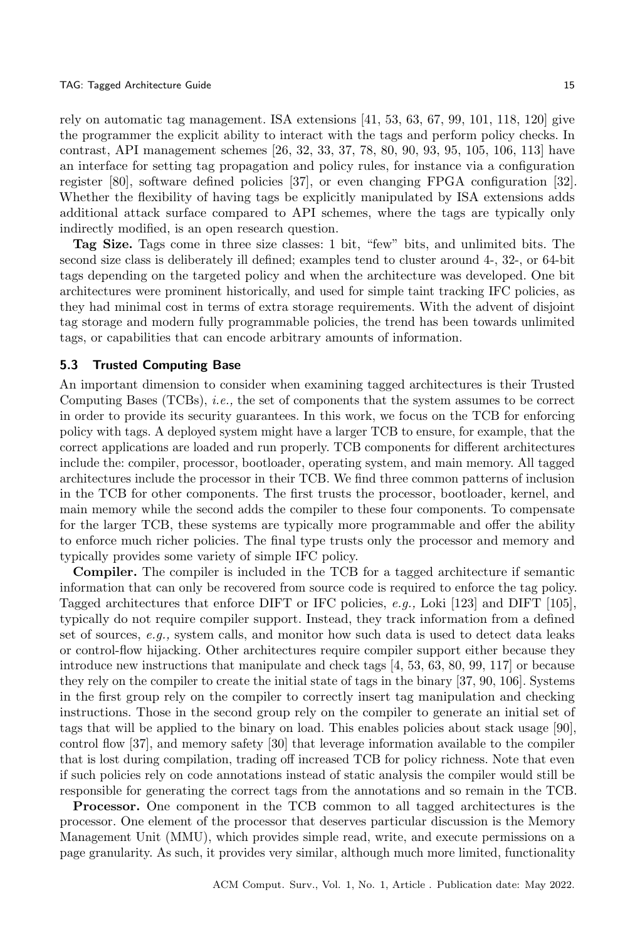rely on automatic tag management. ISA extensions [\[41,](#page-32-11) [53,](#page-32-7) [63,](#page-33-16) [67,](#page-33-14) [99,](#page-34-7) [101,](#page-35-11) [118,](#page-35-8) [120\]](#page-35-19) give the programmer the explicit ability to interact with the tags and perform policy checks. In contrast, API management schemes [\[26,](#page-31-14) [32,](#page-31-16) [33,](#page-31-15) [37,](#page-32-9) [78,](#page-34-18) [80,](#page-34-19) [90,](#page-34-5) [93,](#page-34-17) [95,](#page-34-8) [105,](#page-35-4) [106,](#page-35-12) [113\]](#page-35-17) have an interface for setting tag propagation and policy rules, for instance via a configuration register [\[80\]](#page-34-19), software defined policies [\[37\]](#page-32-9), or even changing FPGA configuration [\[32\]](#page-31-16). Whether the flexibility of having tags be explicitly manipulated by ISA extensions adds additional attack surface compared to API schemes, where the tags are typically only indirectly modified, is an open research question.

Tag Size. Tags come in three size classes: 1 bit, "few" bits, and unlimited bits. The second size class is deliberately ill defined; examples tend to cluster around 4-, 32-, or 64-bit tags depending on the targeted policy and when the architecture was developed. One bit architectures were prominent historically, and used for simple taint tracking IFC policies, as they had minimal cost in terms of extra storage requirements. With the advent of disjoint tag storage and modern fully programmable policies, the trend has been towards unlimited tags, or capabilities that can encode arbitrary amounts of information.

#### 5.3 Trusted Computing Base

An important dimension to consider when examining tagged architectures is their Trusted Computing Bases (TCBs), i.e., the set of components that the system assumes to be correct in order to provide its security guarantees. In this work, we focus on the TCB for enforcing policy with tags. A deployed system might have a larger TCB to ensure, for example, that the correct applications are loaded and run properly. TCB components for different architectures include the: compiler, processor, bootloader, operating system, and main memory. All tagged architectures include the processor in their TCB. We find three common patterns of inclusion in the TCB for other components. The first trusts the processor, bootloader, kernel, and main memory while the second adds the compiler to these four components. To compensate for the larger TCB, these systems are typically more programmable and offer the ability to enforce much richer policies. The final type trusts only the processor and memory and typically provides some variety of simple IFC policy.

Compiler. The compiler is included in the TCB for a tagged architecture if semantic information that can only be recovered from source code is required to enforce the tag policy. Tagged architectures that enforce DIFT or IFC policies, e.g., Loki [\[123\]](#page-36-4) and DIFT [\[105\]](#page-35-4), typically do not require compiler support. Instead, they track information from a defined set of sources,  $e.g.,$  system calls, and monitor how such data is used to detect data leaks or control-flow hijacking. Other architectures require compiler support either because they introduce new instructions that manipulate and check tags [\[4,](#page-30-7) [53,](#page-32-7) [63,](#page-33-16) [80,](#page-34-19) [99,](#page-34-7) [117\]](#page-35-5) or because they rely on the compiler to create the initial state of tags in the binary [\[37,](#page-32-9) [90,](#page-34-5) [106\]](#page-35-12). Systems in the first group rely on the compiler to correctly insert tag manipulation and checking instructions. Those in the second group rely on the compiler to generate an initial set of tags that will be applied to the binary on load. This enables policies about stack usage [\[90\]](#page-34-5), control flow [\[37\]](#page-32-9), and memory safety [\[30\]](#page-31-17) that leverage information available to the compiler that is lost during compilation, trading off increased TCB for policy richness. Note that even if such policies rely on code annotations instead of static analysis the compiler would still be responsible for generating the correct tags from the annotations and so remain in the TCB.

Processor. One component in the TCB common to all tagged architectures is the processor. One element of the processor that deserves particular discussion is the Memory Management Unit (MMU), which provides simple read, write, and execute permissions on a page granularity. As such, it provides very similar, although much more limited, functionality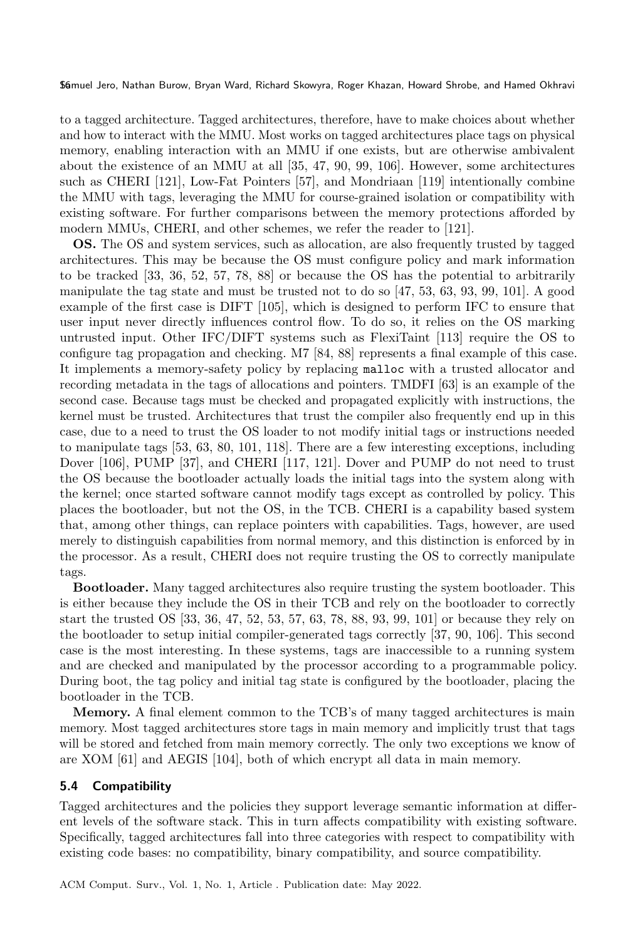to a tagged architecture. Tagged architectures, therefore, have to make choices about whether and how to interact with the MMU. Most works on tagged architectures place tags on physical memory, enabling interaction with an MMU if one exists, but are otherwise ambivalent about the existence of an MMU at all [\[35,](#page-32-17) [47,](#page-32-8) [90,](#page-34-5) [99,](#page-34-7) [106\]](#page-35-12). However, some architectures such as CHERI [\[121\]](#page-35-10), Low-Fat Pointers [\[57\]](#page-33-6), and Mondriaan [\[119\]](#page-35-18) intentionally combine the MMU with tags, leveraging the MMU for course-grained isolation or compatibility with existing software. For further comparisons between the memory protections afforded by modern MMUs, CHERI, and other schemes, we refer the reader to [\[121\]](#page-35-10).

OS. The OS and system services, such as allocation, are also frequently trusted by tagged architectures. This may be because the OS must configure policy and mark information to be tracked [\[33,](#page-31-15) [36,](#page-32-16) [52,](#page-32-15) [57,](#page-33-6) [78,](#page-34-18) [88\]](#page-34-15) or because the OS has the potential to arbitrarily manipulate the tag state and must be trusted not to do so [\[47,](#page-32-8) [53,](#page-32-7) [63,](#page-33-16) [93,](#page-34-17) [99,](#page-34-7) [101\]](#page-35-11). A good example of the first case is DIFT [\[105\]](#page-35-4), which is designed to perform IFC to ensure that user input never directly influences control flow. To do so, it relies on the OS marking untrusted input. Other IFC/DIFT systems such as FlexiTaint [\[113\]](#page-35-17) require the OS to configure tag propagation and checking. M7 [\[84,](#page-34-14) [88\]](#page-34-15) represents a final example of this case. It implements a memory-safety policy by replacing malloc with a trusted allocator and recording metadata in the tags of allocations and pointers. TMDFI [\[63\]](#page-33-16) is an example of the second case. Because tags must be checked and propagated explicitly with instructions, the kernel must be trusted. Architectures that trust the compiler also frequently end up in this case, due to a need to trust the OS loader to not modify initial tags or instructions needed to manipulate tags [\[53,](#page-32-7) [63,](#page-33-16) [80,](#page-34-19) [101,](#page-35-11) [118\]](#page-35-8). There are a few interesting exceptions, including Dover [\[106\]](#page-35-12), PUMP [\[37\]](#page-32-9), and CHERI [\[117,](#page-35-5) [121\]](#page-35-10). Dover and PUMP do not need to trust the OS because the bootloader actually loads the initial tags into the system along with the kernel; once started software cannot modify tags except as controlled by policy. This places the bootloader, but not the OS, in the TCB. CHERI is a capability based system that, among other things, can replace pointers with capabilities. Tags, however, are used merely to distinguish capabilities from normal memory, and this distinction is enforced by in the processor. As a result, CHERI does not require trusting the OS to correctly manipulate tags.

Bootloader. Many tagged architectures also require trusting the system bootloader. This is either because they include the OS in their TCB and rely on the bootloader to correctly start the trusted OS [\[33,](#page-31-15) [36,](#page-32-16) [47,](#page-32-8) [52,](#page-32-15) [53,](#page-32-7) [57,](#page-33-6) [63,](#page-33-16) [78,](#page-34-18) [88,](#page-34-15) [93,](#page-34-17) [99,](#page-34-7) [101\]](#page-35-11) or because they rely on the bootloader to setup initial compiler-generated tags correctly [\[37,](#page-32-9) [90,](#page-34-5) [106\]](#page-35-12). This second case is the most interesting. In these systems, tags are inaccessible to a running system and are checked and manipulated by the processor according to a programmable policy. During boot, the tag policy and initial tag state is configured by the bootloader, placing the bootloader in the TCB.

Memory. A final element common to the TCB's of many tagged architectures is main memory. Most tagged architectures store tags in main memory and implicitly trust that tags will be stored and fetched from main memory correctly. The only two exceptions we know of are XOM [\[61\]](#page-33-15) and AEGIS [\[104\]](#page-35-13), both of which encrypt all data in main memory.

## 5.4 Compatibility

Tagged architectures and the policies they support leverage semantic information at different levels of the software stack. This in turn affects compatibility with existing software. Specifically, tagged architectures fall into three categories with respect to compatibility with existing code bases: no compatibility, binary compatibility, and source compatibility.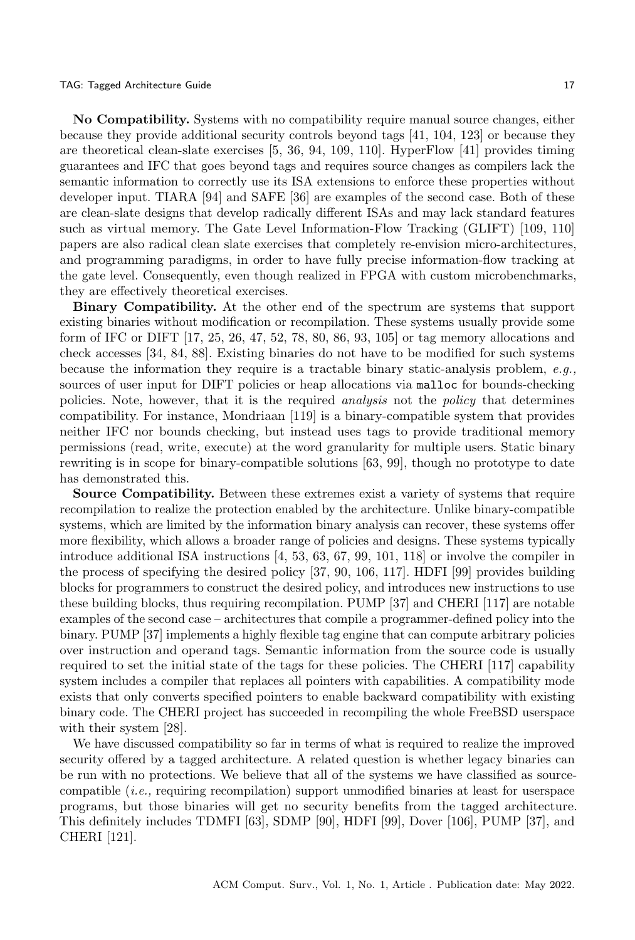#### TAG: Tagged Architecture Guide 17 and 17 and 17 and 17 and 17 and 17 and 17 and 17 and 17 and 17 and 17 and 17 and 17 and 17 and 17 and 17 and 17 and 17 and 17 and 17 and 17 and 17 and 17 and 17 and 17 and 17 and 17 and 17

No Compatibility. Systems with no compatibility require manual source changes, either because they provide additional security controls beyond tags [\[41,](#page-32-11) [104,](#page-35-13) [123\]](#page-36-4) or because they are theoretical clean-slate exercises [\[5,](#page-30-10) [36,](#page-32-16) [94,](#page-34-20) [109,](#page-35-16) [110\]](#page-35-15). HyperFlow [\[41\]](#page-32-11) provides timing guarantees and IFC that goes beyond tags and requires source changes as compilers lack the semantic information to correctly use its ISA extensions to enforce these properties without developer input. TIARA [\[94\]](#page-34-20) and SAFE [\[36\]](#page-32-16) are examples of the second case. Both of these are clean-slate designs that develop radically different ISAs and may lack standard features such as virtual memory. The Gate Level Information-Flow Tracking (GLIFT) [\[109,](#page-35-16) [110\]](#page-35-15) papers are also radical clean slate exercises that completely re-envision micro-architectures, and programming paradigms, in order to have fully precise information-flow tracking at the gate level. Consequently, even though realized in FPGA with custom microbenchmarks, they are effectively theoretical exercises.

Binary Compatibility. At the other end of the spectrum are systems that support existing binaries without modification or recompilation. These systems usually provide some form of IFC or DIFT [\[17,](#page-31-2) [25,](#page-31-13) [26,](#page-31-14) [47,](#page-32-8) [52,](#page-32-15) [78,](#page-34-18) [80,](#page-34-19) [86,](#page-34-6) [93,](#page-34-17) [105\]](#page-35-4) or tag memory allocations and check accesses [\[34,](#page-32-6) [84,](#page-34-14) [88\]](#page-34-15). Existing binaries do not have to be modified for such systems because the information they require is a tractable binary static-analysis problem, e.g., sources of user input for DIFT policies or heap allocations via malloc for bounds-checking policies. Note, however, that it is the required analysis not the policy that determines compatibility. For instance, Mondriaan [\[119\]](#page-35-18) is a binary-compatible system that provides neither IFC nor bounds checking, but instead uses tags to provide traditional memory permissions (read, write, execute) at the word granularity for multiple users. Static binary rewriting is in scope for binary-compatible solutions [\[63,](#page-33-16) [99\]](#page-34-7), though no prototype to date has demonstrated this.

Source Compatibility. Between these extremes exist a variety of systems that require recompilation to realize the protection enabled by the architecture. Unlike binary-compatible systems, which are limited by the information binary analysis can recover, these systems offer more flexibility, which allows a broader range of policies and designs. These systems typically introduce additional ISA instructions [\[4,](#page-30-7) [53,](#page-32-7) [63,](#page-33-16) [67,](#page-33-14) [99,](#page-34-7) [101,](#page-35-11) [118\]](#page-35-8) or involve the compiler in the process of specifying the desired policy [\[37,](#page-32-9) [90,](#page-34-5) [106,](#page-35-12) [117\]](#page-35-5). HDFI [\[99\]](#page-34-7) provides building blocks for programmers to construct the desired policy, and introduces new instructions to use these building blocks, thus requiring recompilation. PUMP [\[37\]](#page-32-9) and CHERI [\[117\]](#page-35-5) are notable examples of the second case – architectures that compile a programmer-defined policy into the binary. PUMP [\[37\]](#page-32-9) implements a highly flexible tag engine that can compute arbitrary policies over instruction and operand tags. Semantic information from the source code is usually required to set the initial state of the tags for these policies. The CHERI [\[117\]](#page-35-5) capability system includes a compiler that replaces all pointers with capabilities. A compatibility mode exists that only converts specified pointers to enable backward compatibility with existing binary code. The CHERI project has succeeded in recompiling the whole FreeBSD userspace with their system [\[28\]](#page-31-8).

We have discussed compatibility so far in terms of what is required to realize the improved security offered by a tagged architecture. A related question is whether legacy binaries can be run with no protections. We believe that all of the systems we have classified as sourcecompatible (i.e., requiring recompilation) support unmodified binaries at least for userspace programs, but those binaries will get no security benefits from the tagged architecture. This definitely includes TDMFI [\[63\]](#page-33-16), SDMP [\[90\]](#page-34-5), HDFI [\[99\]](#page-34-7), Dover [\[106\]](#page-35-12), PUMP [\[37\]](#page-32-9), and CHERI [\[121\]](#page-35-10).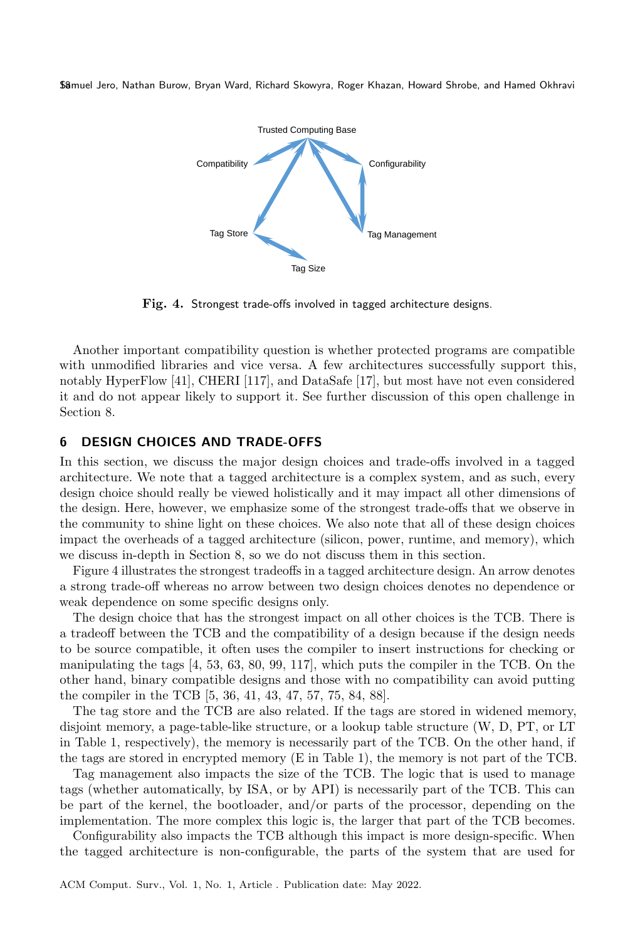<span id="page-17-0"></span>

Fig. 4. Strongest trade-offs involved in tagged architecture designs.

Another important compatibility question is whether protected programs are compatible with unmodified libraries and vice versa. A few architectures successfully support this, notably HyperFlow [\[41\]](#page-32-11), CHERI [\[117\]](#page-35-5), and DataSafe [\[17\]](#page-31-2), but most have not even considered it and do not appear likely to support it. See further discussion of this open challenge in Section [8.](#page-20-0)

### 6 DESIGN CHOICES AND TRADE-OFFS

In this section, we discuss the major design choices and trade-offs involved in a tagged architecture. We note that a tagged architecture is a complex system, and as such, every design choice should really be viewed holistically and it may impact all other dimensions of the design. Here, however, we emphasize some of the strongest trade-offs that we observe in the community to shine light on these choices. We also note that all of these design choices impact the overheads of a tagged architecture (silicon, power, runtime, and memory), which we discuss in-depth in Section [8,](#page-20-0) so we do not discuss them in this section.

Figure [4](#page-17-0) illustrates the strongest tradeoffs in a tagged architecture design. An arrow denotes a strong trade-off whereas no arrow between two design choices denotes no dependence or weak dependence on some specific designs only.

The design choice that has the strongest impact on all other choices is the TCB. There is a tradeoff between the TCB and the compatibility of a design because if the design needs to be source compatible, it often uses the compiler to insert instructions for checking or manipulating the tags [\[4,](#page-30-7) [53,](#page-32-7) [63,](#page-33-16) [80,](#page-34-19) [99,](#page-34-7) [117\]](#page-35-5), which puts the compiler in the TCB. On the other hand, binary compatible designs and those with no compatibility can avoid putting the compiler in the TCB [\[5,](#page-30-10) [36,](#page-32-16) [41,](#page-32-11) [43,](#page-32-14) [47,](#page-32-8) [57,](#page-33-6) [75,](#page-34-12) [84,](#page-34-14) [88\]](#page-34-15).

The tag store and the TCB are also related. If the tags are stored in widened memory, disjoint memory, a page-table-like structure, or a lookup table structure (W, D, PT, or LT in Table [1,](#page-12-0) respectively), the memory is necessarily part of the TCB. On the other hand, if the tags are stored in encrypted memory (E in Table [1\)](#page-12-0), the memory is not part of the TCB.

Tag management also impacts the size of the TCB. The logic that is used to manage tags (whether automatically, by ISA, or by API) is necessarily part of the TCB. This can be part of the kernel, the bootloader, and/or parts of the processor, depending on the implementation. The more complex this logic is, the larger that part of the TCB becomes.

Configurability also impacts the TCB although this impact is more design-specific. When the tagged architecture is non-configurable, the parts of the system that are used for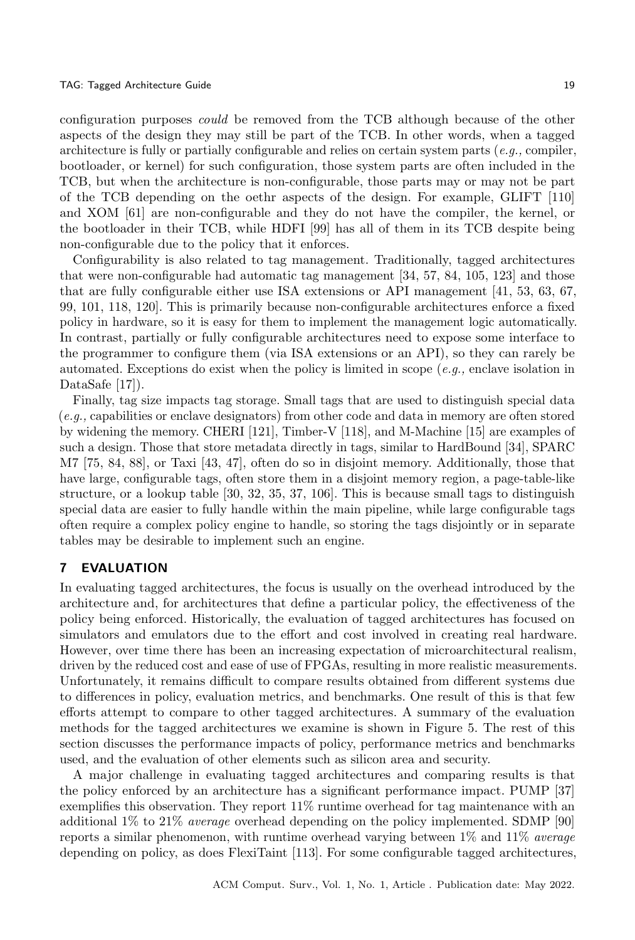configuration purposes could be removed from the TCB although because of the other aspects of the design they may still be part of the TCB. In other words, when a tagged architecture is fully or partially configurable and relies on certain system parts (e.g., compiler, bootloader, or kernel) for such configuration, those system parts are often included in the TCB, but when the architecture is non-configurable, those parts may or may not be part of the TCB depending on the oethr aspects of the design. For example, GLIFT [\[110\]](#page-35-15) and XOM [\[61\]](#page-33-15) are non-configurable and they do not have the compiler, the kernel, or the bootloader in their TCB, while HDFI [\[99\]](#page-34-7) has all of them in its TCB despite being non-configurable due to the policy that it enforces.

Configurability is also related to tag management. Traditionally, tagged architectures that were non-configurable had automatic tag management [\[34,](#page-32-6) [57,](#page-33-6) [84,](#page-34-14) [105,](#page-35-4) [123\]](#page-36-4) and those that are fully configurable either use ISA extensions or API management [\[41,](#page-32-11) [53,](#page-32-7) [63,](#page-33-16) [67,](#page-33-14) [99,](#page-34-7) [101,](#page-35-11) [118,](#page-35-8) [120\]](#page-35-19). This is primarily because non-configurable architectures enforce a fixed policy in hardware, so it is easy for them to implement the management logic automatically. In contrast, partially or fully configurable architectures need to expose some interface to the programmer to configure them (via ISA extensions or an API), so they can rarely be automated. Exceptions do exist when the policy is limited in scope  $(e.g.,$  enclave isolation in DataSafe [\[17\]](#page-31-2)).

Finally, tag size impacts tag storage. Small tags that are used to distinguish special data (e.g., capabilities or enclave designators) from other code and data in memory are often stored by widening the memory. CHERI [\[121\]](#page-35-10), Timber-V [\[118\]](#page-35-8), and M-Machine [\[15\]](#page-31-12) are examples of such a design. Those that store metadata directly in tags, similar to HardBound [\[34\]](#page-32-6), SPARC M7 [\[75,](#page-34-12) [84,](#page-34-14) [88\]](#page-34-15), or Taxi [\[43,](#page-32-14) [47\]](#page-32-8), often do so in disjoint memory. Additionally, those that have large, configurable tags, often store them in a disjoint memory region, a page-table-like structure, or a lookup table [\[30,](#page-31-17) [32,](#page-31-16) [35,](#page-32-17) [37,](#page-32-9) [106\]](#page-35-12). This is because small tags to distinguish special data are easier to fully handle within the main pipeline, while large configurable tags often require a complex policy engine to handle, so storing the tags disjointly or in separate tables may be desirable to implement such an engine.

### 7 EVALUATION

In evaluating tagged architectures, the focus is usually on the overhead introduced by the architecture and, for architectures that define a particular policy, the effectiveness of the policy being enforced. Historically, the evaluation of tagged architectures has focused on simulators and emulators due to the effort and cost involved in creating real hardware. However, over time there has been an increasing expectation of microarchitectural realism, driven by the reduced cost and ease of use of FPGAs, resulting in more realistic measurements. Unfortunately, it remains difficult to compare results obtained from different systems due to differences in policy, evaluation metrics, and benchmarks. One result of this is that few efforts attempt to compare to other tagged architectures. A summary of the evaluation methods for the tagged architectures we examine is shown in Figure [5.](#page-19-0) The rest of this section discusses the performance impacts of policy, performance metrics and benchmarks used, and the evaluation of other elements such as silicon area and security.

A major challenge in evaluating tagged architectures and comparing results is that the policy enforced by an architecture has a significant performance impact. PUMP [\[37\]](#page-32-9) exemplifies this observation. They report 11% runtime overhead for tag maintenance with an additional 1% to 21% average overhead depending on the policy implemented. SDMP [\[90\]](#page-34-5) reports a similar phenomenon, with runtime overhead varying between  $1\%$  and  $11\%$  average depending on policy, as does FlexiTaint [\[113\]](#page-35-17). For some configurable tagged architectures,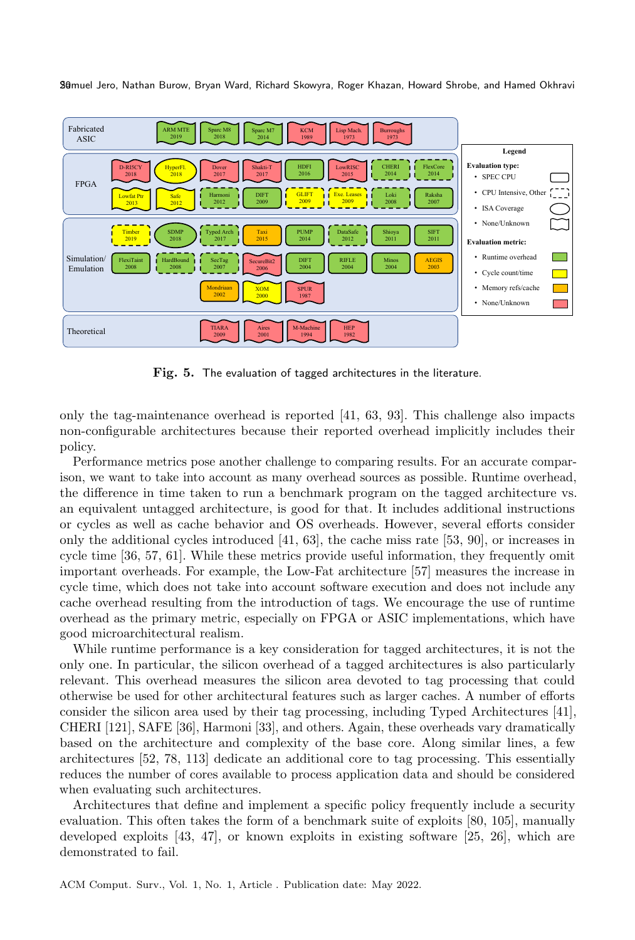<span id="page-19-0"></span>

Fig. 5. The evaluation of tagged architectures in the literature.

only the tag-maintenance overhead is reported [\[41,](#page-32-11) [63,](#page-33-16) [93\]](#page-34-17). This challenge also impacts non-configurable architectures because their reported overhead implicitly includes their policy.

Performance metrics pose another challenge to comparing results. For an accurate comparison, we want to take into account as many overhead sources as possible. Runtime overhead, the difference in time taken to run a benchmark program on the tagged architecture vs. an equivalent untagged architecture, is good for that. It includes additional instructions or cycles as well as cache behavior and OS overheads. However, several efforts consider only the additional cycles introduced [\[41,](#page-32-11) [63\]](#page-33-16), the cache miss rate [\[53,](#page-32-7) [90\]](#page-34-5), or increases in cycle time [\[36,](#page-32-16) [57,](#page-33-6) [61\]](#page-33-15). While these metrics provide useful information, they frequently omit important overheads. For example, the Low-Fat architecture [\[57\]](#page-33-6) measures the increase in cycle time, which does not take into account software execution and does not include any cache overhead resulting from the introduction of tags. We encourage the use of runtime overhead as the primary metric, especially on FPGA or ASIC implementations, which have good microarchitectural realism.

While runtime performance is a key consideration for tagged architectures, it is not the only one. In particular, the silicon overhead of a tagged architectures is also particularly relevant. This overhead measures the silicon area devoted to tag processing that could otherwise be used for other architectural features such as larger caches. A number of efforts consider the silicon area used by their tag processing, including Typed Architectures [\[41\]](#page-32-11), CHERI [\[121\]](#page-35-10), SAFE [\[36\]](#page-32-16), Harmoni [\[33\]](#page-31-15), and others. Again, these overheads vary dramatically based on the architecture and complexity of the base core. Along similar lines, a few architectures [\[52,](#page-32-15) [78,](#page-34-18) [113\]](#page-35-17) dedicate an additional core to tag processing. This essentially reduces the number of cores available to process application data and should be considered when evaluating such architectures.

Architectures that define and implement a specific policy frequently include a security evaluation. This often takes the form of a benchmark suite of exploits [\[80,](#page-34-19) [105\]](#page-35-4), manually developed exploits [\[43,](#page-32-14) [47\]](#page-32-8), or known exploits in existing software [\[25,](#page-31-13) [26\]](#page-31-14), which are demonstrated to fail.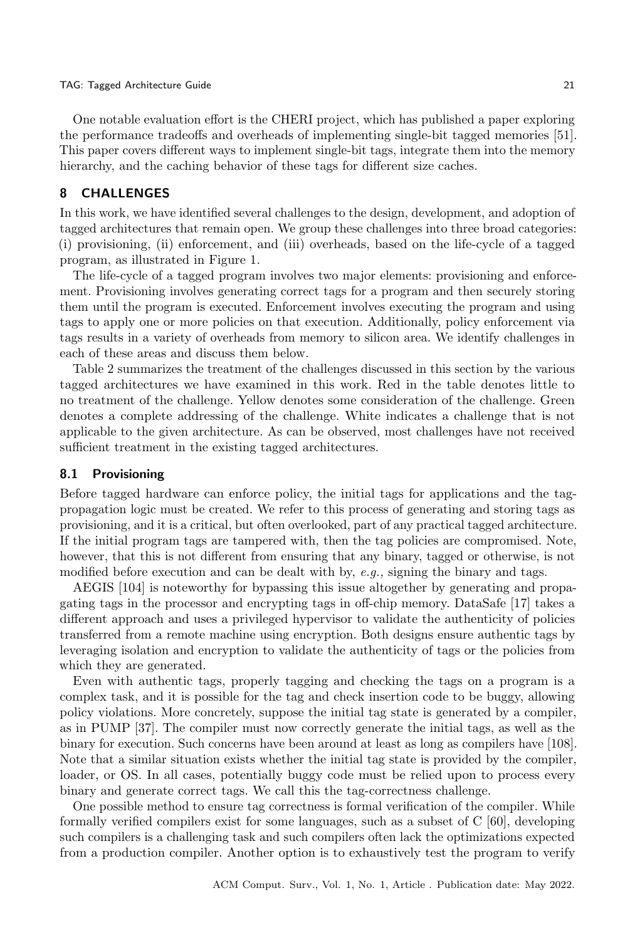#### TAG: Tagged Architecture Guide 21 and 2018 2019 2018 2019 2019 2019 2021 2021 2022 2023

One notable evaluation effort is the CHERI project, which has published a paper exploring the performance tradeoffs and overheads of implementing single-bit tagged memories [\[51\]](#page-32-18). This paper covers different ways to implement single-bit tags, integrate them into the memory hierarchy, and the caching behavior of these tags for different size caches.

### <span id="page-20-0"></span>8 CHALLENGES

In this work, we have identified several challenges to the design, development, and adoption of tagged architectures that remain open. We group these challenges into three broad categories: (i) provisioning, (ii) enforcement, and (iii) overheads, based on the life-cycle of a tagged program, as illustrated in Figure [1.](#page-1-0)

The life-cycle of a tagged program involves two major elements: provisioning and enforcement. Provisioning involves generating correct tags for a program and then securely storing them until the program is executed. Enforcement involves executing the program and using tags to apply one or more policies on that execution. Additionally, policy enforcement via tags results in a variety of overheads from memory to silicon area. We identify challenges in each of these areas and discuss them below.

Table [2](#page-21-0) summarizes the treatment of the challenges discussed in this section by the various tagged architectures we have examined in this work. Red in the table denotes little to no treatment of the challenge. Yellow denotes some consideration of the challenge. Green denotes a complete addressing of the challenge. White indicates a challenge that is not applicable to the given architecture. As can be observed, most challenges have not received sufficient treatment in the existing tagged architectures.

#### 8.1 Provisioning

Before tagged hardware can enforce policy, the initial tags for applications and the tagpropagation logic must be created. We refer to this process of generating and storing tags as provisioning, and it is a critical, but often overlooked, part of any practical tagged architecture. If the initial program tags are tampered with, then the tag policies are compromised. Note, however, that this is not different from ensuring that any binary, tagged or otherwise, is not modified before execution and can be dealt with by,  $e.g.,$  signing the binary and tags.

AEGIS [\[104\]](#page-35-13) is noteworthy for bypassing this issue altogether by generating and propagating tags in the processor and encrypting tags in off-chip memory. DataSafe [\[17\]](#page-31-2) takes a different approach and uses a privileged hypervisor to validate the authenticity of policies transferred from a remote machine using encryption. Both designs ensure authentic tags by leveraging isolation and encryption to validate the authenticity of tags or the policies from which they are generated.

Even with authentic tags, properly tagging and checking the tags on a program is a complex task, and it is possible for the tag and check insertion code to be buggy, allowing policy violations. More concretely, suppose the initial tag state is generated by a compiler, as in PUMP [\[37\]](#page-32-9). The compiler must now correctly generate the initial tags, as well as the binary for execution. Such concerns have been around at least as long as compilers have [\[108\]](#page-35-20). Note that a similar situation exists whether the initial tag state is provided by the compiler, loader, or OS. In all cases, potentially buggy code must be relied upon to process every binary and generate correct tags. We call this the tag-correctness challenge.

One possible method to ensure tag correctness is formal verification of the compiler. While formally verified compilers exist for some languages, such as a subset of C [\[60\]](#page-33-18), developing such compilers is a challenging task and such compilers often lack the optimizations expected from a production compiler. Another option is to exhaustively test the program to verify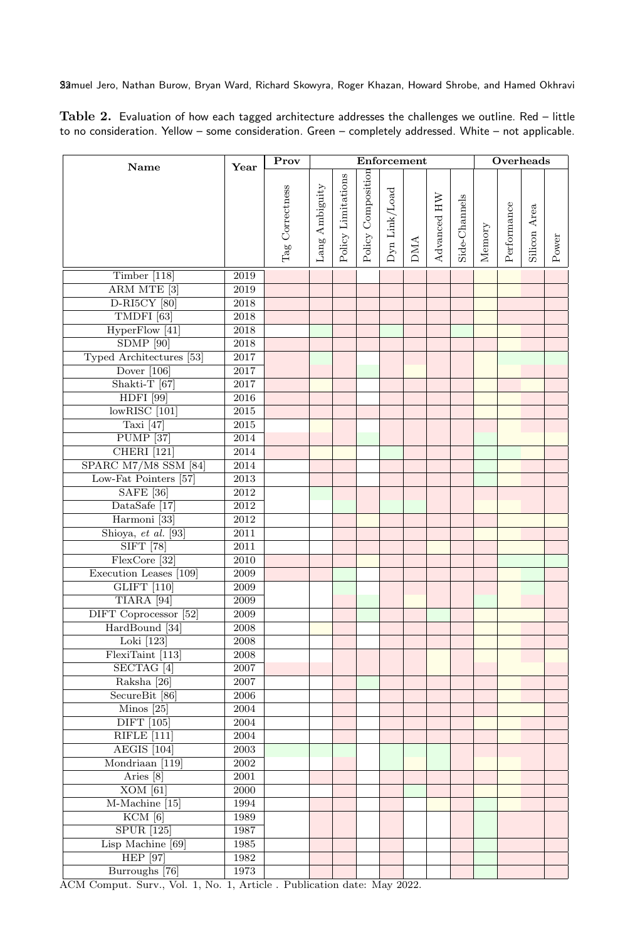<span id="page-21-0"></span>Table 2. Evaluation of how each tagged architecture addresses the challenges we outline. Red – little to no consideration. Yellow – some consideration. Green – completely addressed. White – not applicable.

| Name                                      | Year              | Prov            | Enforcement    |                    |                    |               |            |             |               | Overheads |             |              |       |  |
|-------------------------------------------|-------------------|-----------------|----------------|--------------------|--------------------|---------------|------------|-------------|---------------|-----------|-------------|--------------|-------|--|
|                                           |                   |                 |                |                    |                    |               |            |             |               |           |             |              |       |  |
|                                           |                   |                 |                | Policy Limitations | Policy Composition |               |            |             |               |           |             |              |       |  |
|                                           |                   |                 |                |                    |                    |               |            |             |               |           |             |              |       |  |
|                                           |                   |                 |                |                    |                    |               |            |             |               |           |             |              |       |  |
|                                           |                   |                 |                |                    |                    |               |            |             |               |           |             |              |       |  |
|                                           |                   | Tag Correctness | Lang Ambiguity |                    |                    | Dyn Link/Load | <b>DMA</b> | Advanced HW | Side-Channels | Memory    | Performance | Silicon Area |       |  |
|                                           |                   |                 |                |                    |                    |               |            |             |               |           |             |              | Power |  |
| Timber $[118]$                            | 2019              |                 |                |                    |                    |               |            |             |               |           |             |              |       |  |
| ARM MTE <sup>[3]</sup>                    | 2019              |                 |                |                    |                    |               |            |             |               |           |             |              |       |  |
| <b>D-RI5CY</b> [80]                       | $\,2018$          |                 |                |                    |                    |               |            |             |               |           |             |              |       |  |
| TMDFI <sup>[63]</sup>                     | $\,2018$          |                 |                |                    |                    |               |            |             |               |           |             |              |       |  |
| HyperFlow [41]                            | $\,2018$          |                 |                |                    |                    |               |            |             |               |           |             |              |       |  |
| $SDMP$ [90]                               | $\,2018$          |                 |                |                    |                    |               |            |             |               |           |             |              |       |  |
| Typed Architectures [53]                  | $2017\,$          |                 |                |                    |                    |               |            |             |               |           |             |              |       |  |
| Dover $[106]$                             | 2017              |                 |                |                    |                    |               |            |             |               |           |             |              |       |  |
| Shakti-T $[67]$                           | $2017\,$          |                 |                |                    |                    |               |            |             |               |           |             |              |       |  |
| <b>HDFI</b> [99]                          | 2016              |                 |                |                    |                    |               |            |             |               |           |             |              |       |  |
| $lowRISC$ [101]                           | $\,2015$          |                 |                |                    |                    |               |            |             |               |           |             |              |       |  |
| Taxi $[47]$                               | 2015              |                 |                |                    |                    |               |            |             |               |           |             |              |       |  |
| <b>PUMP</b> [37]                          | $\,2014$          |                 |                |                    |                    |               |            |             |               |           |             |              |       |  |
| <b>CHERI</b> [121]                        | $\,2014$          |                 |                |                    |                    |               |            |             |               |           |             |              |       |  |
| SPARC M7/M8 SSM [84]                      | $\,2014$          |                 |                |                    |                    |               |            |             |               |           |             |              |       |  |
| Low-Fat Pointers [57]                     | $\,2013$          |                 |                |                    |                    |               |            |             |               |           |             |              |       |  |
| <b>SAFE</b> [36]                          | 2012              |                 |                |                    |                    |               |            |             |               |           |             |              |       |  |
| DataSafe [17]                             | $\,2012$          |                 |                |                    |                    |               |            |             |               |           |             |              |       |  |
| Harmoni <sup>[33]</sup>                   | 2012              |                 |                |                    |                    |               |            |             |               |           |             |              |       |  |
| Shioya, et al. [93]                       | 2011              |                 |                |                    |                    |               |            |             |               |           |             |              |       |  |
| $SIFT$ [78]                               | 2011              |                 |                |                    |                    |               |            |             |               |           |             |              |       |  |
| FlexCore [32]                             | $2010\,$          |                 |                |                    |                    |               |            |             |               |           |             |              |       |  |
| Execution Leases [109]                    | 2009              |                 |                |                    |                    |               |            |             |               |           |             |              |       |  |
| <b>GLIFT</b> [110]                        | 2009              |                 |                |                    |                    |               |            |             |               |           |             |              |       |  |
| TIARA <sup>[94]</sup>                     | 2009              |                 |                |                    |                    |               |            |             |               |           |             |              |       |  |
| DIFT Coprocessor [52]                     | $20\overline{09}$ |                 |                |                    |                    |               |            |             |               |           |             |              |       |  |
| HardBound [34]                            | $\,2008\,$        |                 |                |                    |                    |               |            |             |               |           |             |              |       |  |
| Loki [123]                                | $\,2008\,$        |                 |                |                    |                    |               |            |             |               |           |             |              |       |  |
| FlexiTaint [113]                          | $\,2008\,$        |                 |                |                    |                    |               |            |             |               |           |             |              |       |  |
| SECTAG <sup>[4]</sup>                     | 2007              |                 |                |                    |                    |               |            |             |               |           |             |              |       |  |
| Raksha [26]                               | 2007              |                 |                |                    |                    |               |            |             |               |           |             |              |       |  |
| SecureBit [86]                            | 2006              |                 |                |                    |                    |               |            |             |               |           |             |              |       |  |
| Minos $[25]$                              | 2004              |                 |                |                    |                    |               |            |             |               |           |             |              |       |  |
| <b>DIFT</b> [105]                         | 2004              |                 |                |                    |                    |               |            |             |               |           |             |              |       |  |
| RIFLE [111]                               | 2004              |                 |                |                    |                    |               |            |             |               |           |             |              |       |  |
| AEGIS [104]                               | 2003              |                 |                |                    |                    |               |            |             |               |           |             |              |       |  |
| Mondriaan [119]                           | 2002              |                 |                |                    |                    |               |            |             |               |           |             |              |       |  |
| Aries [8]                                 | 2001              |                 |                |                    |                    |               |            |             |               |           |             |              |       |  |
| $XOM$ [61]                                | 2000              |                 |                |                    |                    |               |            |             |               |           |             |              |       |  |
| M-Machine [15]                            | 1994              |                 |                |                    |                    |               |            |             |               |           |             |              |       |  |
| $KCM$ [6]                                 | 1989              |                 |                |                    |                    |               |            |             |               |           |             |              |       |  |
| <b>SPUR</b> [125]                         | 1987              |                 |                |                    |                    |               |            |             |               |           |             |              |       |  |
| Lisp Machine [69]                         | 1985              |                 |                |                    |                    |               |            |             |               |           |             |              |       |  |
| <b>HEP</b> [97]                           | 1982              |                 |                |                    |                    |               |            |             |               |           |             |              |       |  |
| Burroughs [76]                            | 1973              |                 |                |                    |                    |               |            |             |               |           |             |              |       |  |
| $\overline{a}$<br>$\overline{r}$<br>C13.5 | $\overline{A}$    |                 |                |                    |                    |               | anno       |             |               |           |             |              |       |  |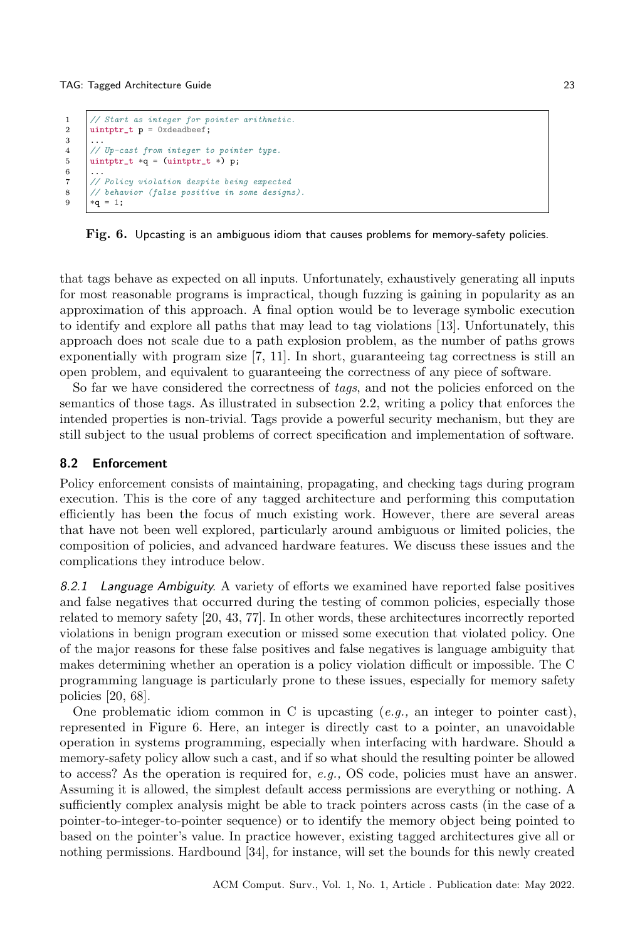```
1 // Start as integer for pointer arithmetic.<br>2 uintptr_t p = 0xdeadbeef;
        \texttt{uintptr}\_t p = 0xdeadbeef:
\begin{array}{c} 3 \\ 4 \end{array}4 // Up-cast from integer to pointer type.<br>5 untotr t *q = (untotr t *) p:
        uintptr_t *q = (uintptr_t *) p;^6_{\ 7}7 // Policy violation despite being expected<br>8 // behavior (false positive in some design
        8 // behavior (false positive in some designs).
9 *q = 1;
```
Fig. 6. Upcasting is an ambiguous idiom that causes problems for memory-safety policies.

that tags behave as expected on all inputs. Unfortunately, exhaustively generating all inputs for most reasonable programs is impractical, though fuzzing is gaining in popularity as an approximation of this approach. A final option would be to leverage symbolic execution to identify and explore all paths that may lead to tag violations [\[13\]](#page-30-11). Unfortunately, this approach does not scale due to a path explosion problem, as the number of paths grows exponentially with program size [\[7,](#page-30-12) [11\]](#page-30-13). In short, guaranteeing tag correctness is still an open problem, and equivalent to guaranteeing the correctness of any piece of software.

So far we have considered the correctness of tags, and not the policies enforced on the semantics of those tags. As illustrated in [subsection 2.2,](#page-3-1) writing a policy that enforces the intended properties is non-trivial. Tags provide a powerful security mechanism, but they are still subject to the usual problems of correct specification and implementation of software.

#### 8.2 Enforcement

Policy enforcement consists of maintaining, propagating, and checking tags during program execution. This is the core of any tagged architecture and performing this computation efficiently has been the focus of much existing work. However, there are several areas that have not been well explored, particularly around ambiguous or limited policies, the composition of policies, and advanced hardware features. We discuss these issues and the complications they introduce below.

8.2.1 Language Ambiguity. A variety of efforts we examined have reported false positives and false negatives that occurred during the testing of common policies, especially those related to memory safety [\[20,](#page-31-18) [43,](#page-32-14) [77\]](#page-34-21). In other words, these architectures incorrectly reported violations in benign program execution or missed some execution that violated policy. One of the major reasons for these false positives and false negatives is language ambiguity that makes determining whether an operation is a policy violation difficult or impossible. The C programming language is particularly prone to these issues, especially for memory safety policies [\[20,](#page-31-18) [68\]](#page-33-19).

One problematic idiom common in C is upcasting  $(e.g.,)$  an integer to pointer cast), represented in Figure [6.](#page-22-0) Here, an integer is directly cast to a pointer, an unavoidable operation in systems programming, especially when interfacing with hardware. Should a memory-safety policy allow such a cast, and if so what should the resulting pointer be allowed to access? As the operation is required for, e.g., OS code, policies must have an answer. Assuming it is allowed, the simplest default access permissions are everything or nothing. A sufficiently complex analysis might be able to track pointers across casts (in the case of a pointer-to-integer-to-pointer sequence) or to identify the memory object being pointed to based on the pointer's value. In practice however, existing tagged architectures give all or nothing permissions. Hardbound [\[34\]](#page-32-6), for instance, will set the bounds for this newly created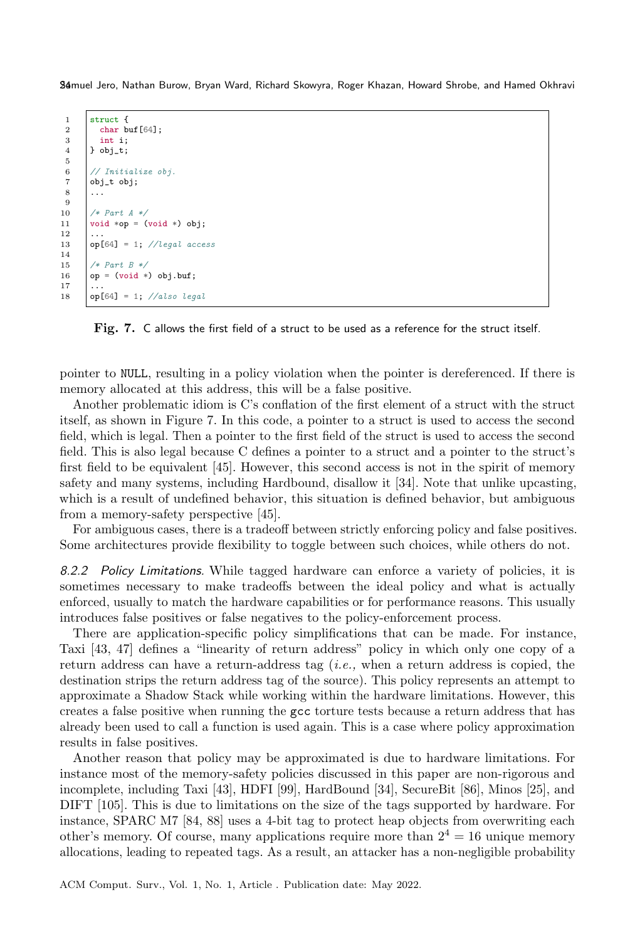```
\begin{array}{c|c} 1 & \text{struct } f \\ 2 & \text{char } b \end{array}char buf[64];
 \begin{array}{c|c} 3 & \text{int } i; \\ 4 & \text{obj}_t; \end{array}} obj_t;
 5
 6 \frac{1}{1} Mitialize obj.<br>7 obj_t obj;
 \begin{array}{c} 7 \\ 8 \end{array} obj_t obj;
  8 ...
 9
10 /* Part A */
11 \big| void *op = (void *) obj;
\frac{12}{13}op[64] = 1; //legal access
14
15 \begin{array}{c} | \text{# Part B *} / \\ 16 \end{array}op = (void *) obj.buf;17
18 \log[64] = 1; //also legal
```
Fig. 7. C allows the first field of a struct to be used as a reference for the struct itself.

pointer to NULL, resulting in a policy violation when the pointer is dereferenced. If there is memory allocated at this address, this will be a false positive.

Another problematic idiom is C's conflation of the first element of a struct with the struct itself, as shown in Figure [7.](#page-23-0) In this code, a pointer to a struct is used to access the second field, which is legal. Then a pointer to the first field of the struct is used to access the second field. This is also legal because C defines a pointer to a struct and a pointer to the struct's first field to be equivalent [\[45\]](#page-32-19). However, this second access is not in the spirit of memory safety and many systems, including Hardbound, disallow it [\[34\]](#page-32-6). Note that unlike upcasting, which is a result of undefined behavior, this situation is defined behavior, but ambiguous from a memory-safety perspective [\[45\]](#page-32-19).

For ambiguous cases, there is a tradeoff between strictly enforcing policy and false positives. Some architectures provide flexibility to toggle between such choices, while others do not.

8.2.2 Policy Limitations. While tagged hardware can enforce a variety of policies, it is sometimes necessary to make tradeoffs between the ideal policy and what is actually enforced, usually to match the hardware capabilities or for performance reasons. This usually introduces false positives or false negatives to the policy-enforcement process.

There are application-specific policy simplifications that can be made. For instance, Taxi [\[43,](#page-32-14) [47\]](#page-32-8) defines a "linearity of return address" policy in which only one copy of a return address can have a return-address tag (i.e., when a return address is copied, the destination strips the return address tag of the source). This policy represents an attempt to approximate a Shadow Stack while working within the hardware limitations. However, this creates a false positive when running the gcc torture tests because a return address that has already been used to call a function is used again. This is a case where policy approximation results in false positives.

Another reason that policy may be approximated is due to hardware limitations. For instance most of the memory-safety policies discussed in this paper are non-rigorous and incomplete, including Taxi [\[43\]](#page-32-14), HDFI [\[99\]](#page-34-7), HardBound [\[34\]](#page-32-6), SecureBit [\[86\]](#page-34-6), Minos [\[25\]](#page-31-13), and DIFT [\[105\]](#page-35-4). This is due to limitations on the size of the tags supported by hardware. For instance, SPARC M7 [\[84,](#page-34-14) [88\]](#page-34-15) uses a 4-bit tag to protect heap objects from overwriting each other's memory. Of course, many applications require more than  $2<sup>4</sup> = 16$  unique memory allocations, leading to repeated tags. As a result, an attacker has a non-negligible probability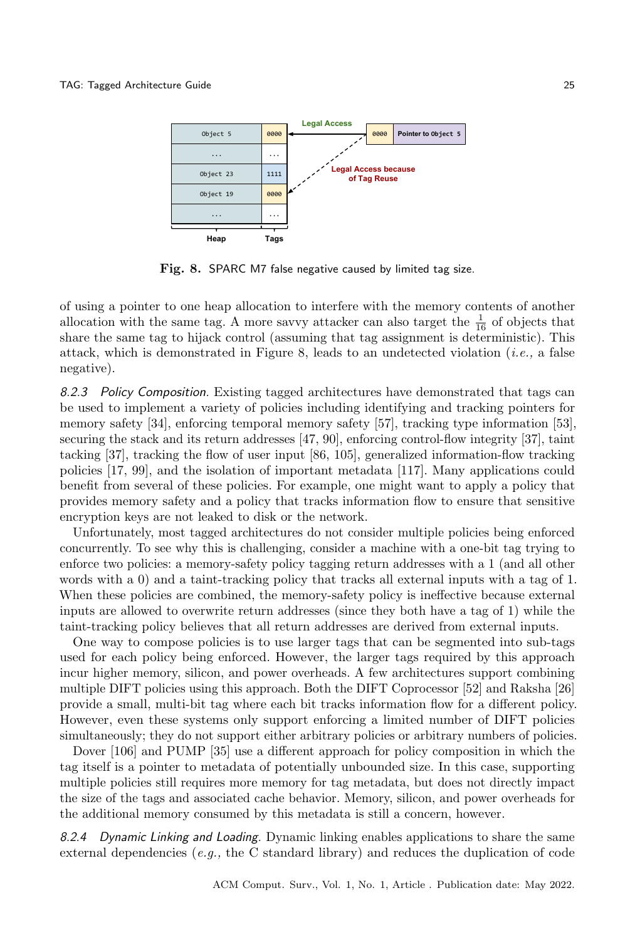<span id="page-24-0"></span>

Fig. 8. SPARC M7 false negative caused by limited tag size.

of using a pointer to one heap allocation to interfere with the memory contents of another allocation with the same tag. A more savvy attacker can also target the  $\frac{1}{16}$  of objects that share the same tag to hijack control (assuming that tag assignment is deterministic). This attack, which is demonstrated in Figure [8,](#page-24-0) leads to an undetected violation (*i.e.*, a false negative).

8.2.3 Policy Composition. Existing tagged architectures have demonstrated that tags can be used to implement a variety of policies including identifying and tracking pointers for memory safety [\[34\]](#page-32-6), enforcing temporal memory safety [\[57\]](#page-33-6), tracking type information [\[53\]](#page-32-7), securing the stack and its return addresses [\[47,](#page-32-8) [90\]](#page-34-5), enforcing control-flow integrity [\[37\]](#page-32-9), taint tacking [\[37\]](#page-32-9), tracking the flow of user input [\[86,](#page-34-6) [105\]](#page-35-4), generalized information-flow tracking policies [\[17,](#page-31-2) [99\]](#page-34-7), and the isolation of important metadata [\[117\]](#page-35-5). Many applications could benefit from several of these policies. For example, one might want to apply a policy that provides memory safety and a policy that tracks information flow to ensure that sensitive encryption keys are not leaked to disk or the network.

Unfortunately, most tagged architectures do not consider multiple policies being enforced concurrently. To see why this is challenging, consider a machine with a one-bit tag trying to enforce two policies: a memory-safety policy tagging return addresses with a 1 (and all other words with a 0) and a taint-tracking policy that tracks all external inputs with a tag of 1. When these policies are combined, the memory-safety policy is ineffective because external inputs are allowed to overwrite return addresses (since they both have a tag of 1) while the taint-tracking policy believes that all return addresses are derived from external inputs.

One way to compose policies is to use larger tags that can be segmented into sub-tags used for each policy being enforced. However, the larger tags required by this approach incur higher memory, silicon, and power overheads. A few architectures support combining multiple DIFT policies using this approach. Both the DIFT Coprocessor [\[52\]](#page-32-15) and Raksha [\[26\]](#page-31-14) provide a small, multi-bit tag where each bit tracks information flow for a different policy. However, even these systems only support enforcing a limited number of DIFT policies simultaneously; they do not support either arbitrary policies or arbitrary numbers of policies.

Dover [\[106\]](#page-35-12) and PUMP [\[35\]](#page-32-17) use a different approach for policy composition in which the tag itself is a pointer to metadata of potentially unbounded size. In this case, supporting multiple policies still requires more memory for tag metadata, but does not directly impact the size of the tags and associated cache behavior. Memory, silicon, and power overheads for the additional memory consumed by this metadata is still a concern, however.

8.2.4 Dynamic Linking and Loading. Dynamic linking enables applications to share the same external dependencies (*e.g.*, the C standard library) and reduces the duplication of code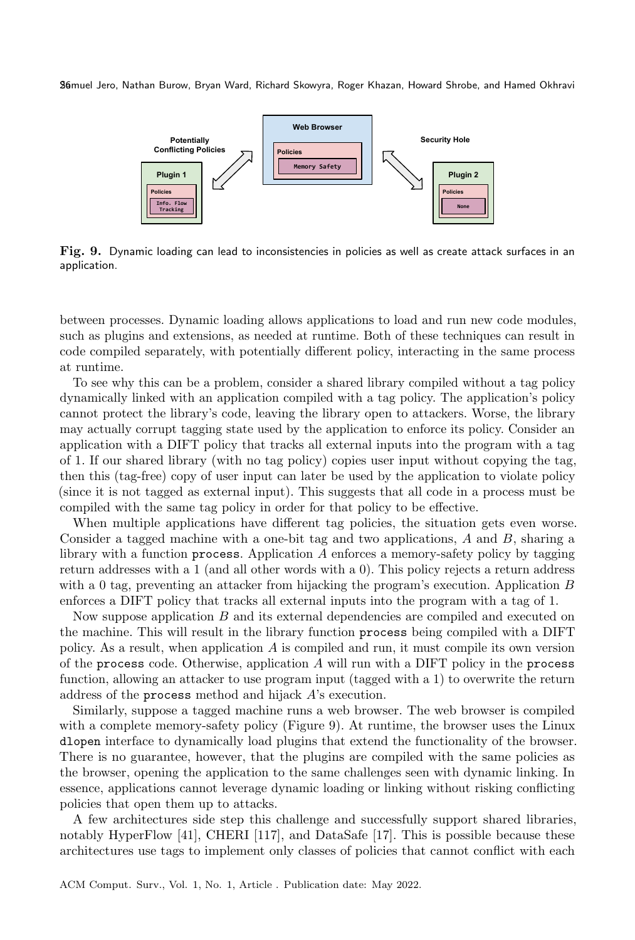<span id="page-25-0"></span>

Fig. 9. Dynamic loading can lead to inconsistencies in policies as well as create attack surfaces in an application.

between processes. Dynamic loading allows applications to load and run new code modules, such as plugins and extensions, as needed at runtime. Both of these techniques can result in code compiled separately, with potentially different policy, interacting in the same process at runtime.

To see why this can be a problem, consider a shared library compiled without a tag policy dynamically linked with an application compiled with a tag policy. The application's policy cannot protect the library's code, leaving the library open to attackers. Worse, the library may actually corrupt tagging state used by the application to enforce its policy. Consider an application with a DIFT policy that tracks all external inputs into the program with a tag of 1. If our shared library (with no tag policy) copies user input without copying the tag, then this (tag-free) copy of user input can later be used by the application to violate policy (since it is not tagged as external input). This suggests that all code in a process must be compiled with the same tag policy in order for that policy to be effective.

When multiple applications have different tag policies, the situation gets even worse. Consider a tagged machine with a one-bit tag and two applications,  $A$  and  $B$ , sharing a library with a function process. Application  $A$  enforces a memory-safety policy by tagging return addresses with a 1 (and all other words with a 0). This policy rejects a return address with a 0 tag, preventing an attacker from hijacking the program's execution. Application  $B$ enforces a DIFT policy that tracks all external inputs into the program with a tag of 1.

Now suppose application  $B$  and its external dependencies are compiled and executed on the machine. This will result in the library function process being compiled with a DIFT policy. As a result, when application  $A$  is compiled and run, it must compile its own version of the process code. Otherwise, application  $A$  will run with a DIFT policy in the process function, allowing an attacker to use program input (tagged with a 1) to overwrite the return address of the process method and hijack  $A$ 's execution.

Similarly, suppose a tagged machine runs a web browser. The web browser is compiled with a complete memory-safety policy (Figure [9\)](#page-25-0). At runtime, the browser uses the Linux dlopen interface to dynamically load plugins that extend the functionality of the browser. There is no guarantee, however, that the plugins are compiled with the same policies as the browser, opening the application to the same challenges seen with dynamic linking. In essence, applications cannot leverage dynamic loading or linking without risking conflicting policies that open them up to attacks.

A few architectures side step this challenge and successfully support shared libraries, notably HyperFlow [\[41\]](#page-32-11), CHERI [\[117\]](#page-35-5), and DataSafe [\[17\]](#page-31-2). This is possible because these architectures use tags to implement only classes of policies that cannot conflict with each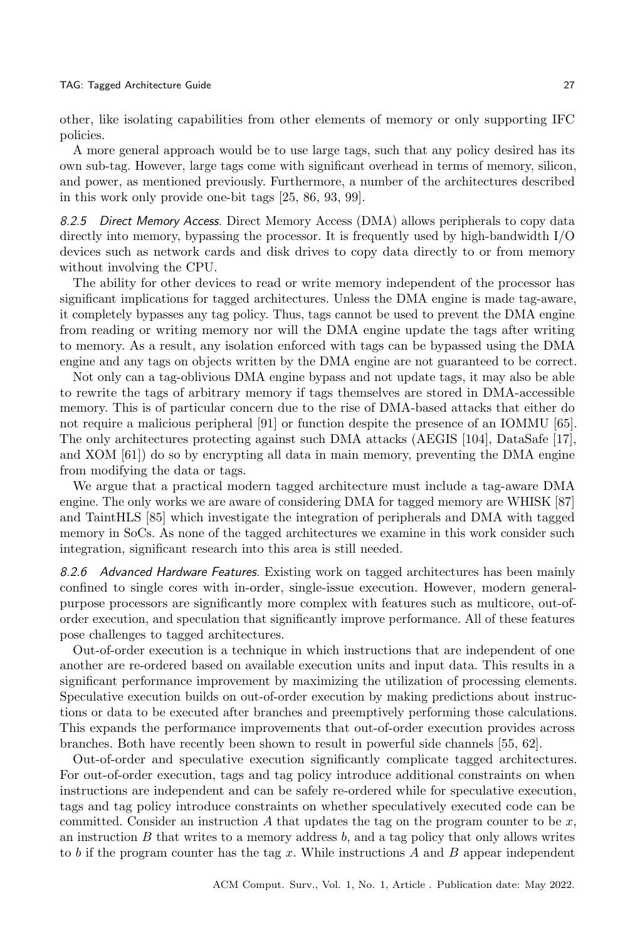#### TAG: Tagged Architecture Guide 27

other, like isolating capabilities from other elements of memory or only supporting IFC policies.

A more general approach would be to use large tags, such that any policy desired has its own sub-tag. However, large tags come with significant overhead in terms of memory, silicon, and power, as mentioned previously. Furthermore, a number of the architectures described in this work only provide one-bit tags [\[25,](#page-31-13) [86,](#page-34-6) [93,](#page-34-17) [99\]](#page-34-7).

8.2.5 Direct Memory Access. Direct Memory Access (DMA) allows peripherals to copy data directly into memory, bypassing the processor. It is frequently used by high-bandwidth I/O devices such as network cards and disk drives to copy data directly to or from memory without involving the CPU.

The ability for other devices to read or write memory independent of the processor has significant implications for tagged architectures. Unless the DMA engine is made tag-aware, it completely bypasses any tag policy. Thus, tags cannot be used to prevent the DMA engine from reading or writing memory nor will the DMA engine update the tags after writing to memory. As a result, any isolation enforced with tags can be bypassed using the DMA engine and any tags on objects written by the DMA engine are not guaranteed to be correct.

Not only can a tag-oblivious DMA engine bypass and not update tags, it may also be able to rewrite the tags of arbitrary memory if tags themselves are stored in DMA-accessible memory. This is of particular concern due to the rise of DMA-based attacks that either do not require a malicious peripheral [\[91\]](#page-34-22) or function despite the presence of an IOMMU [\[65\]](#page-33-20). The only architectures protecting against such DMA attacks (AEGIS [\[104\]](#page-35-13), DataSafe [\[17\]](#page-31-2), and XOM [\[61\]](#page-33-15)) do so by encrypting all data in main memory, preventing the DMA engine from modifying the data or tags.

We argue that a practical modern tagged architecture must include a tag-aware DMA engine. The only works we are aware of considering DMA for tagged memory are WHISK [\[87\]](#page-34-23) and TaintHLS [\[85\]](#page-34-24) which investigate the integration of peripherals and DMA with tagged memory in SoCs. As none of the tagged architectures we examine in this work consider such integration, significant research into this area is still needed.

8.2.6 Advanced Hardware Features. Existing work on tagged architectures has been mainly confined to single cores with in-order, single-issue execution. However, modern generalpurpose processors are significantly more complex with features such as multicore, out-oforder execution, and speculation that significantly improve performance. All of these features pose challenges to tagged architectures.

Out-of-order execution is a technique in which instructions that are independent of one another are re-ordered based on available execution units and input data. This results in a significant performance improvement by maximizing the utilization of processing elements. Speculative execution builds on out-of-order execution by making predictions about instructions or data to be executed after branches and preemptively performing those calculations. This expands the performance improvements that out-of-order execution provides across branches. Both have recently been shown to result in powerful side channels [\[55,](#page-33-7) [62\]](#page-33-8).

Out-of-order and speculative execution significantly complicate tagged architectures. For out-of-order execution, tags and tag policy introduce additional constraints on when instructions are independent and can be safely re-ordered while for speculative execution, tags and tag policy introduce constraints on whether speculatively executed code can be committed. Consider an instruction  $A$  that updates the tag on the program counter to be  $x$ , an instruction  $B$  that writes to a memory address  $b$ , and a tag policy that only allows writes to b if the program counter has the tag x. While instructions A and B appear independent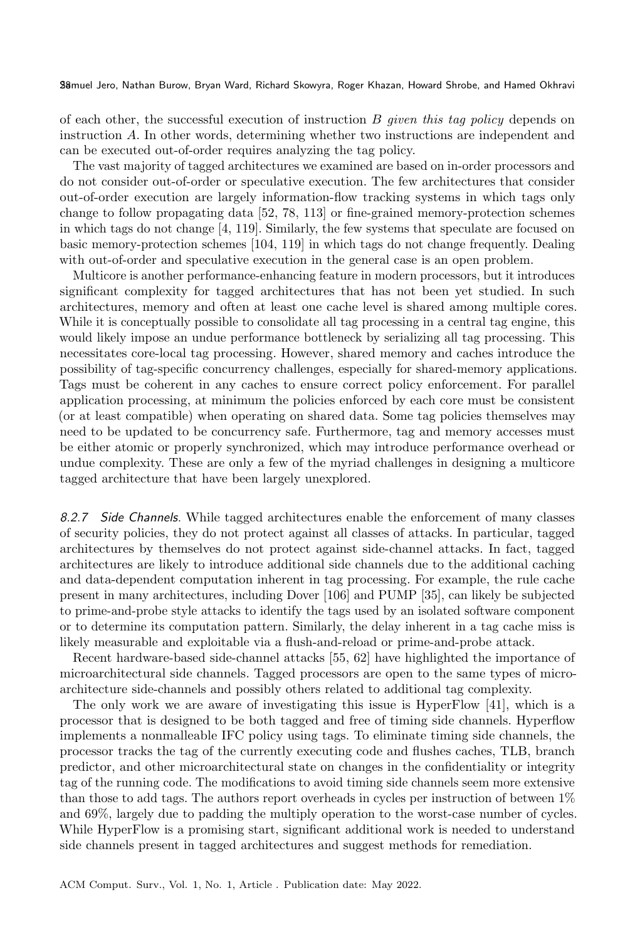of each other, the successful execution of instruction  $B$  given this tag policy depends on instruction  $A$ . In other words, determining whether two instructions are independent and can be executed out-of-order requires analyzing the tag policy.

The vast majority of tagged architectures we examined are based on in-order processors and do not consider out-of-order or speculative execution. The few architectures that consider out-of-order execution are largely information-flow tracking systems in which tags only change to follow propagating data [\[52,](#page-32-15) [78,](#page-34-18) [113\]](#page-35-17) or fine-grained memory-protection schemes in which tags do not change [\[4,](#page-30-7) [119\]](#page-35-18). Similarly, the few systems that speculate are focused on basic memory-protection schemes [\[104,](#page-35-13) [119\]](#page-35-18) in which tags do not change frequently. Dealing with out-of-order and speculative execution in the general case is an open problem.

Multicore is another performance-enhancing feature in modern processors, but it introduces significant complexity for tagged architectures that has not been yet studied. In such architectures, memory and often at least one cache level is shared among multiple cores. While it is conceptually possible to consolidate all tag processing in a central tag engine, this would likely impose an undue performance bottleneck by serializing all tag processing. This necessitates core-local tag processing. However, shared memory and caches introduce the possibility of tag-specific concurrency challenges, especially for shared-memory applications. Tags must be coherent in any caches to ensure correct policy enforcement. For parallel application processing, at minimum the policies enforced by each core must be consistent (or at least compatible) when operating on shared data. Some tag policies themselves may need to be updated to be concurrency safe. Furthermore, tag and memory accesses must be either atomic or properly synchronized, which may introduce performance overhead or undue complexity. These are only a few of the myriad challenges in designing a multicore tagged architecture that have been largely unexplored.

8.2.7 Side Channels. While tagged architectures enable the enforcement of many classes of security policies, they do not protect against all classes of attacks. In particular, tagged architectures by themselves do not protect against side-channel attacks. In fact, tagged architectures are likely to introduce additional side channels due to the additional caching and data-dependent computation inherent in tag processing. For example, the rule cache present in many architectures, including Dover [\[106\]](#page-35-12) and PUMP [\[35\]](#page-32-17), can likely be subjected to prime-and-probe style attacks to identify the tags used by an isolated software component or to determine its computation pattern. Similarly, the delay inherent in a tag cache miss is likely measurable and exploitable via a flush-and-reload or prime-and-probe attack.

Recent hardware-based side-channel attacks [\[55,](#page-33-7) [62\]](#page-33-8) have highlighted the importance of microarchitectural side channels. Tagged processors are open to the same types of microarchitecture side-channels and possibly others related to additional tag complexity.

The only work we are aware of investigating this issue is HyperFlow [\[41\]](#page-32-11), which is a processor that is designed to be both tagged and free of timing side channels. Hyperflow implements a nonmalleable IFC policy using tags. To eliminate timing side channels, the processor tracks the tag of the currently executing code and flushes caches, TLB, branch predictor, and other microarchitectural state on changes in the confidentiality or integrity tag of the running code. The modifications to avoid timing side channels seem more extensive than those to add tags. The authors report overheads in cycles per instruction of between 1% and 69%, largely due to padding the multiply operation to the worst-case number of cycles. While HyperFlow is a promising start, significant additional work is needed to understand side channels present in tagged architectures and suggest methods for remediation.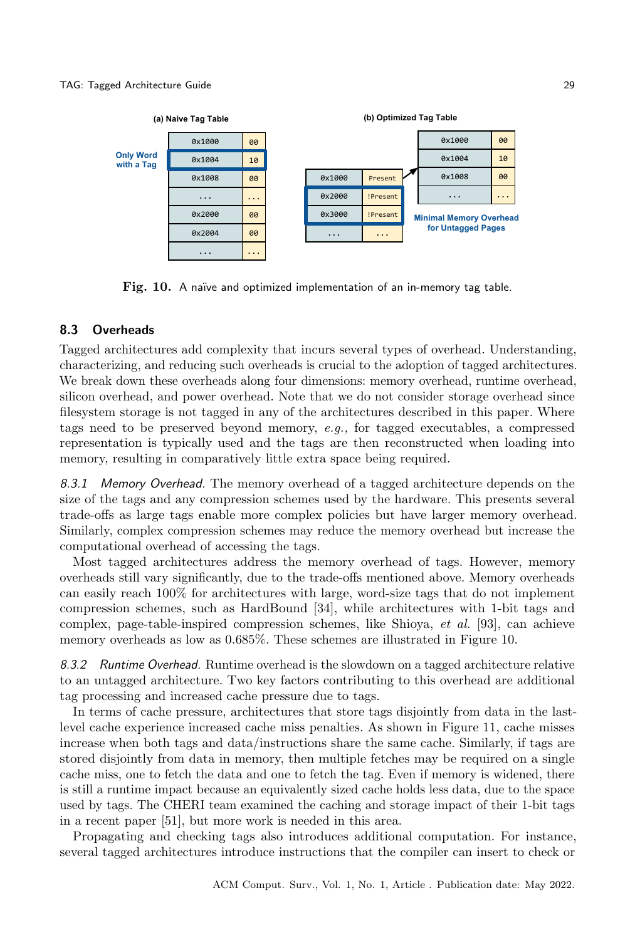<span id="page-28-0"></span>

Fig. 10. A naïve and optimized implementation of an in-memory tag table.

### 8.3 Overheads

Tagged architectures add complexity that incurs several types of overhead. Understanding, characterizing, and reducing such overheads is crucial to the adoption of tagged architectures. We break down these overheads along four dimensions: memory overhead, runtime overhead, silicon overhead, and power overhead. Note that we do not consider storage overhead since filesystem storage is not tagged in any of the architectures described in this paper. Where tags need to be preserved beyond memory, e.g., for tagged executables, a compressed representation is typically used and the tags are then reconstructed when loading into memory, resulting in comparatively little extra space being required.

8.3.1 Memory Overhead. The memory overhead of a tagged architecture depends on the size of the tags and any compression schemes used by the hardware. This presents several trade-offs as large tags enable more complex policies but have larger memory overhead. Similarly, complex compression schemes may reduce the memory overhead but increase the computational overhead of accessing the tags.

Most tagged architectures address the memory overhead of tags. However, memory overheads still vary significantly, due to the trade-offs mentioned above. Memory overheads can easily reach 100% for architectures with large, word-size tags that do not implement compression schemes, such as HardBound [\[34\]](#page-32-6), while architectures with 1-bit tags and complex, page-table-inspired compression schemes, like Shioya, et al. [\[93\]](#page-34-17), can achieve memory overheads as low as 0.685%. These schemes are illustrated in Figure [10.](#page-28-0)

8.3.2 Runtime Overhead. Runtime overhead is the slowdown on a tagged architecture relative to an untagged architecture. Two key factors contributing to this overhead are additional tag processing and increased cache pressure due to tags.

In terms of cache pressure, architectures that store tags disjointly from data in the lastlevel cache experience increased cache miss penalties. As shown in Figure [11,](#page-29-0) cache misses increase when both tags and data/instructions share the same cache. Similarly, if tags are stored disjointly from data in memory, then multiple fetches may be required on a single cache miss, one to fetch the data and one to fetch the tag. Even if memory is widened, there is still a runtime impact because an equivalently sized cache holds less data, due to the space used by tags. The CHERI team examined the caching and storage impact of their 1-bit tags in a recent paper [\[51\]](#page-32-18), but more work is needed in this area.

Propagating and checking tags also introduces additional computation. For instance, several tagged architectures introduce instructions that the compiler can insert to check or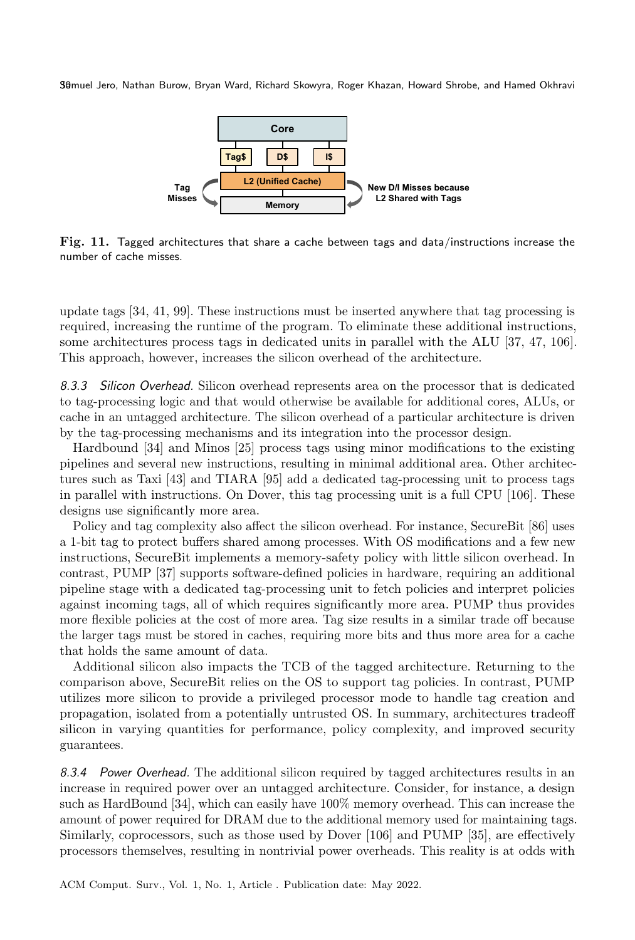<span id="page-29-0"></span>

Fig. 11. Tagged architectures that share a cache between tags and data/instructions increase the number of cache misses.

update tags [\[34,](#page-32-6) [41,](#page-32-11) [99\]](#page-34-7). These instructions must be inserted anywhere that tag processing is required, increasing the runtime of the program. To eliminate these additional instructions, some architectures process tags in dedicated units in parallel with the ALU [\[37,](#page-32-9) [47,](#page-32-8) [106\]](#page-35-12). This approach, however, increases the silicon overhead of the architecture.

8.3.3 Silicon Overhead. Silicon overhead represents area on the processor that is dedicated to tag-processing logic and that would otherwise be available for additional cores, ALUs, or cache in an untagged architecture. The silicon overhead of a particular architecture is driven by the tag-processing mechanisms and its integration into the processor design.

Hardbound [\[34\]](#page-32-6) and Minos [\[25\]](#page-31-13) process tags using minor modifications to the existing pipelines and several new instructions, resulting in minimal additional area. Other architectures such as Taxi [\[43\]](#page-32-14) and TIARA [\[95\]](#page-34-8) add a dedicated tag-processing unit to process tags in parallel with instructions. On Dover, this tag processing unit is a full CPU [\[106\]](#page-35-12). These designs use significantly more area.

Policy and tag complexity also affect the silicon overhead. For instance, SecureBit [\[86\]](#page-34-6) uses a 1-bit tag to protect buffers shared among processes. With OS modifications and a few new instructions, SecureBit implements a memory-safety policy with little silicon overhead. In contrast, PUMP [\[37\]](#page-32-9) supports software-defined policies in hardware, requiring an additional pipeline stage with a dedicated tag-processing unit to fetch policies and interpret policies against incoming tags, all of which requires significantly more area. PUMP thus provides more flexible policies at the cost of more area. Tag size results in a similar trade off because the larger tags must be stored in caches, requiring more bits and thus more area for a cache that holds the same amount of data.

Additional silicon also impacts the TCB of the tagged architecture. Returning to the comparison above, SecureBit relies on the OS to support tag policies. In contrast, PUMP utilizes more silicon to provide a privileged processor mode to handle tag creation and propagation, isolated from a potentially untrusted OS. In summary, architectures tradeoff silicon in varying quantities for performance, policy complexity, and improved security guarantees.

8.3.4 Power Overhead. The additional silicon required by tagged architectures results in an increase in required power over an untagged architecture. Consider, for instance, a design such as HardBound [\[34\]](#page-32-6), which can easily have 100% memory overhead. This can increase the amount of power required for DRAM due to the additional memory used for maintaining tags. Similarly, coprocessors, such as those used by Dover [\[106\]](#page-35-12) and PUMP [\[35\]](#page-32-17), are effectively processors themselves, resulting in nontrivial power overheads. This reality is at odds with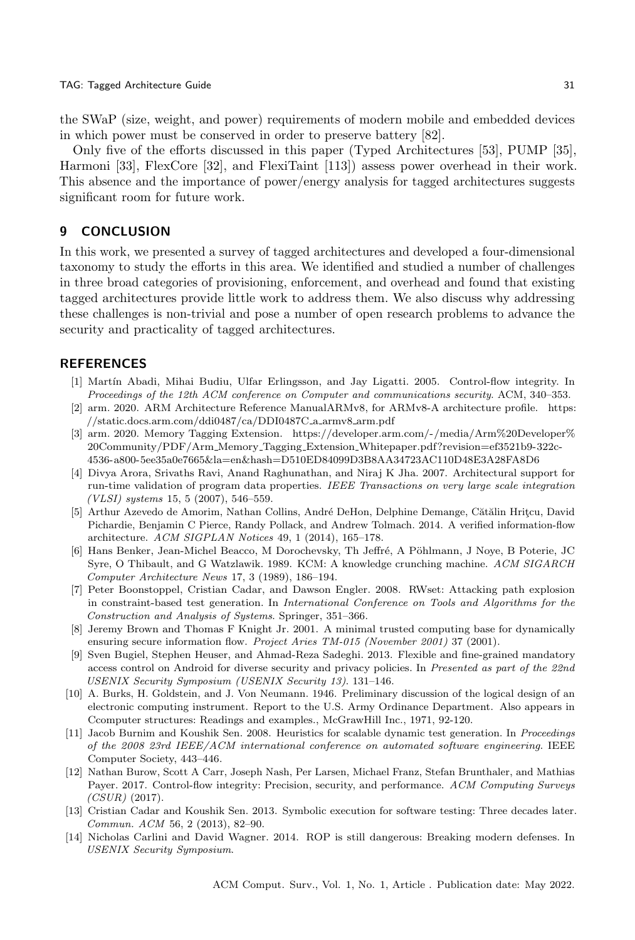the SWaP (size, weight, and power) requirements of modern mobile and embedded devices in which power must be conserved in order to preserve battery [\[82\]](#page-34-25).

Only five of the efforts discussed in this paper (Typed Architectures [\[53\]](#page-32-7), PUMP [\[35\]](#page-32-17), Harmoni [\[33\]](#page-31-15), FlexCore [\[32\]](#page-31-16), and FlexiTaint [\[113\]](#page-35-17)) assess power overhead in their work. This absence and the importance of power/energy analysis for tagged architectures suggests significant room for future work.

#### 9 CONCLUSION

In this work, we presented a survey of tagged architectures and developed a four-dimensional taxonomy to study the efforts in this area. We identified and studied a number of challenges in three broad categories of provisioning, enforcement, and overhead and found that existing tagged architectures provide little work to address them. We also discuss why addressing these challenges is non-trivial and pose a number of open research problems to advance the security and practicality of tagged architectures.

#### **REFERENCES**

- <span id="page-30-0"></span>[1] Martín Abadi, Mihai Budiu, Ulfar Erlingsson, and Jay Ligatti. 2005. Control-flow integrity. In Proceedings of the 12th ACM conference on Computer and communications security. ACM, 340–353.
- <span id="page-30-5"></span>[2] arm. 2020. ARM Architecture Reference ManualARMv8, for ARMv8-A architecture profile. [https:](https://static.docs.arm.com/ddi0487/ca/DDI0487C_a_armv8_arm.pdf) [//static.docs.arm.com/ddi0487/ca/DDI0487C](https://static.docs.arm.com/ddi0487/ca/DDI0487C_a_armv8_arm.pdf) a armv8 arm.pdf
- <span id="page-30-6"></span>[3] arm. 2020. Memory Tagging Extension. [https://developer.arm.com/-/media/Arm%20Developer%](https://developer.arm.com/-/media/Arm%20Developer%20Community/PDF/Arm_Memory_Tagging_Extension_Whitepaper.pdf?revision=ef3521b9-322c-4536-a800-5ee35a0e7665&la=en&hash=D510ED84099D3B8AA34723AC110D48E3A28FA8D6) 20Community/PDF/Arm Memory Tagging Extension [Whitepaper.pdf?revision=ef3521b9-322c-](https://developer.arm.com/-/media/Arm%20Developer%20Community/PDF/Arm_Memory_Tagging_Extension_Whitepaper.pdf?revision=ef3521b9-322c-4536-a800-5ee35a0e7665&la=en&hash=D510ED84099D3B8AA34723AC110D48E3A28FA8D6)[4536-a800-5ee35a0e7665&la=en&hash=D510ED84099D3B8AA34723AC110D48E3A28FA8D6](https://developer.arm.com/-/media/Arm%20Developer%20Community/PDF/Arm_Memory_Tagging_Extension_Whitepaper.pdf?revision=ef3521b9-322c-4536-a800-5ee35a0e7665&la=en&hash=D510ED84099D3B8AA34723AC110D48E3A28FA8D6)
- <span id="page-30-7"></span>[4] Divya Arora, Srivaths Ravi, Anand Raghunathan, and Niraj K Jha. 2007. Architectural support for run-time validation of program data properties. IEEE Transactions on very large scale integration (VLSI) systems 15, 5 (2007), 546–559.
- <span id="page-30-10"></span>[5] Arthur Azevedo de Amorim, Nathan Collins, André DeHon, Delphine Demange, Cătălin Hritçu, David Pichardie, Benjamin C Pierce, Randy Pollack, and Andrew Tolmach. 2014. A verified information-flow architecture. ACM SIGPLAN Notices 49, 1 (2014), 165–178.
- <span id="page-30-8"></span>[6] Hans Benker, Jean-Michel Beacco, M Dorochevsky, Th Jeffré, A Pöhlmann, J Noye, B Poterie, JC Syre, O Thibault, and G Watzlawik. 1989. KCM: A knowledge crunching machine. ACM SIGARCH Computer Architecture News 17, 3 (1989), 186–194.
- <span id="page-30-12"></span>[7] Peter Boonstoppel, Cristian Cadar, and Dawson Engler. 2008. RWset: Attacking path explosion in constraint-based test generation. In International Conference on Tools and Algorithms for the Construction and Analysis of Systems. Springer, 351–366.
- <span id="page-30-9"></span>[8] Jeremy Brown and Thomas F Knight Jr. 2001. A minimal trusted computing base for dynamically ensuring secure information flow. Project Aries TM-015 (November 2001) 37 (2001).
- <span id="page-30-1"></span>[9] Sven Bugiel, Stephen Heuser, and Ahmad-Reza Sadeghi. 2013. Flexible and fine-grained mandatory access control on Android for diverse security and privacy policies. In Presented as part of the 22nd USENIX Security Symposium (USENIX Security 13). 131–146.
- <span id="page-30-4"></span>[10] A. Burks, H. Goldstein, and J. Von Neumann. 1946. Preliminary discussion of the logical design of an electronic computing instrument. Report to the U.S. Army Ordinance Department. Also appears in Ccomputer structures: Readings and examples., McGrawHill Inc., 1971, 92-120.
- <span id="page-30-13"></span>[11] Jacob Burnim and Koushik Sen. 2008. Heuristics for scalable dynamic test generation. In Proceedings of the 2008 23rd IEEE/ACM international conference on automated software engineering. IEEE Computer Society, 443–446.
- <span id="page-30-2"></span>[12] Nathan Burow, Scott A Carr, Joseph Nash, Per Larsen, Michael Franz, Stefan Brunthaler, and Mathias Payer. 2017. Control-flow integrity: Precision, security, and performance. ACM Computing Surveys  $(CSUR)$  (2017).
- <span id="page-30-11"></span>[13] Cristian Cadar and Koushik Sen. 2013. Symbolic execution for software testing: Three decades later. Commun. ACM 56, 2 (2013), 82–90.
- <span id="page-30-3"></span>[14] Nicholas Carlini and David Wagner. 2014. ROP is still dangerous: Breaking modern defenses. In USENIX Security Symposium.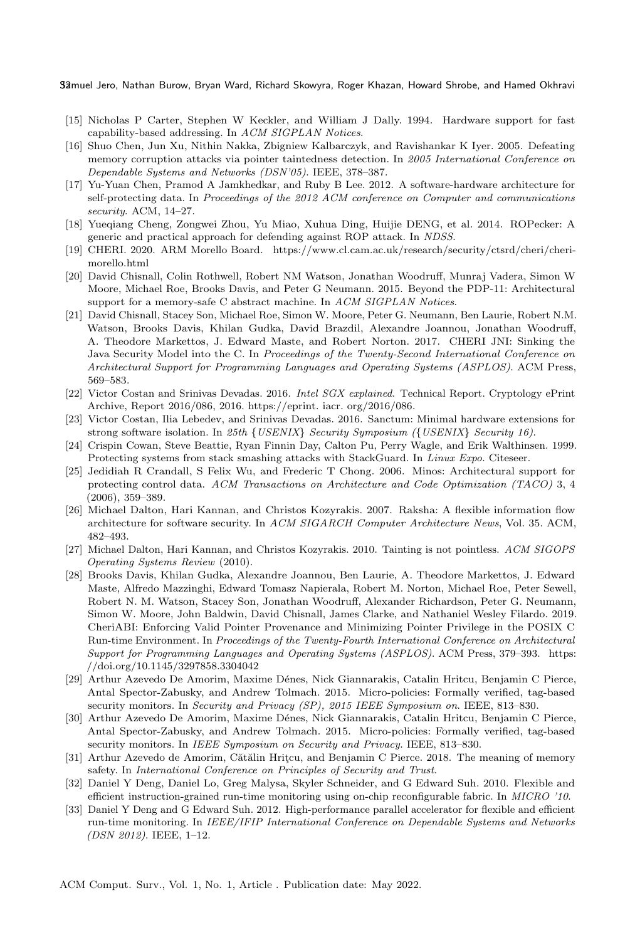- <span id="page-31-12"></span>[15] Nicholas P Carter, Stephen W Keckler, and William J Dally. 1994. Hardware support for fast capability-based addressing. In ACM SIGPLAN Notices.
- <span id="page-31-11"></span>[16] Shuo Chen, Jun Xu, Nithin Nakka, Zbigniew Kalbarczyk, and Ravishankar K Iyer. 2005. Defeating memory corruption attacks via pointer taintedness detection. In 2005 International Conference on Dependable Systems and Networks (DSN'05). IEEE, 378–387.
- <span id="page-31-2"></span>[17] Yu-Yuan Chen, Pramod A Jamkhedkar, and Ruby B Lee. 2012. A software-hardware architecture for self-protecting data. In Proceedings of the 2012 ACM conference on Computer and communications security. ACM, 14–27.
- <span id="page-31-0"></span>[18] Yueqiang Cheng, Zongwei Zhou, Yu Miao, Xuhua Ding, Huijie DENG, et al. 2014. ROPecker: A generic and practical approach for defending against ROP attack. In NDSS.
- <span id="page-31-9"></span>[19] CHERI. 2020. ARM Morello Board. [https://www.cl.cam.ac.uk/research/security/ctsrd/cheri/cheri](https://www.cl.cam.ac.uk/research/security/ctsrd/cheri/cheri-morello.html)[morello.html](https://www.cl.cam.ac.uk/research/security/ctsrd/cheri/cheri-morello.html)
- <span id="page-31-18"></span>[20] David Chisnall, Colin Rothwell, Robert NM Watson, Jonathan Woodruff, Munraj Vadera, Simon W Moore, Michael Roe, Brooks Davis, and Peter G Neumann. 2015. Beyond the PDP-11: Architectural support for a memory-safe C abstract machine. In ACM SIGPLAN Notices.
- <span id="page-31-7"></span>[21] David Chisnall, Stacey Son, Michael Roe, Simon W. Moore, Peter G. Neumann, Ben Laurie, Robert N.M. Watson, Brooks Davis, Khilan Gudka, David Brazdil, Alexandre Joannou, Jonathan Woodruff, A. Theodore Markettos, J. Edward Maste, and Robert Norton. 2017. CHERI JNI: Sinking the Java Security Model into the C. In Proceedings of the Twenty-Second International Conference on Architectural Support for Programming Languages and Operating Systems (ASPLOS). ACM Press, 569–583.
- <span id="page-31-3"></span>[22] Victor Costan and Srinivas Devadas. 2016. Intel SGX explained. Technical Report. Cryptology ePrint Archive, Report 2016/086, 2016. https://eprint. iacr. org/2016/086.
- <span id="page-31-4"></span>[23] Victor Costan, Ilia Lebedev, and Srinivas Devadas. 2016. Sanctum: Minimal hardware extensions for strong software isolation. In 25th {USENIX} Security Symposium ({USENIX} Security 16).
- <span id="page-31-1"></span>[24] Crispin Cowan, Steve Beattie, Ryan Finnin Day, Calton Pu, Perry Wagle, and Erik Walthinsen. 1999. Protecting systems from stack smashing attacks with StackGuard. In Linux Expo. Citeseer.
- <span id="page-31-13"></span>[25] Jedidiah R Crandall, S Felix Wu, and Frederic T Chong. 2006. Minos: Architectural support for protecting control data. ACM Transactions on Architecture and Code Optimization (TACO) 3, 4 (2006), 359–389.
- <span id="page-31-14"></span>[26] Michael Dalton, Hari Kannan, and Christos Kozyrakis. 2007. Raksha: A flexible information flow architecture for software security. In ACM SIGARCH Computer Architecture News, Vol. 35. ACM, 482–493.
- <span id="page-31-6"></span>[27] Michael Dalton, Hari Kannan, and Christos Kozyrakis. 2010. Tainting is not pointless. ACM SIGOPS Operating Systems Review (2010).
- <span id="page-31-8"></span>[28] Brooks Davis, Khilan Gudka, Alexandre Joannou, Ben Laurie, A. Theodore Markettos, J. Edward Maste, Alfredo Mazzinghi, Edward Tomasz Napierala, Robert M. Norton, Michael Roe, Peter Sewell, Robert N. M. Watson, Stacey Son, Jonathan Woodruff, Alexander Richardson, Peter G. Neumann, Simon W. Moore, John Baldwin, David Chisnall, James Clarke, and Nathaniel Wesley Filardo. 2019. CheriABI: Enforcing Valid Pointer Provenance and Minimizing Pointer Privilege in the POSIX C Run-time Environment. In Proceedings of the Twenty-Fourth International Conference on Architectural Support for Programming Languages and Operating Systems (ASPLOS). ACM Press, 379–393. [https:](https://doi.org/10.1145/3297858.3304042) [//doi.org/10.1145/3297858.3304042](https://doi.org/10.1145/3297858.3304042)
- <span id="page-31-10"></span>[29] Arthur Azevedo De Amorim, Maxime Dénes, Nick Giannarakis, Catalin Hritcu, Benjamin C Pierce, Antal Spector-Zabusky, and Andrew Tolmach. 2015. Micro-policies: Formally verified, tag-based security monitors. In Security and Privacy (SP), 2015 IEEE Symposium on. IEEE, 813–830.
- <span id="page-31-17"></span>[30] Arthur Azevedo De Amorim, Maxime Dénes, Nick Giannarakis, Catalin Hritcu, Benjamin C Pierce, Antal Spector-Zabusky, and Andrew Tolmach. 2015. Micro-policies: Formally verified, tag-based security monitors. In IEEE Symposium on Security and Privacy. IEEE, 813-830.
- <span id="page-31-5"></span>[31] Arthur Azevedo de Amorim, Cătălin Hritçu, and Benjamin C Pierce. 2018. The meaning of memory safety. In International Conference on Principles of Security and Trust.
- <span id="page-31-16"></span>[32] Daniel Y Deng, Daniel Lo, Greg Malysa, Skyler Schneider, and G Edward Suh. 2010. Flexible and efficient instruction-grained run-time monitoring using on-chip reconfigurable fabric. In MICRO '10.
- <span id="page-31-15"></span>[33] Daniel Y Deng and G Edward Suh. 2012. High-performance parallel accelerator for flexible and efficient run-time monitoring. In IEEE/IFIP International Conference on Dependable Systems and Networks (DSN 2012). IEEE, 1–12.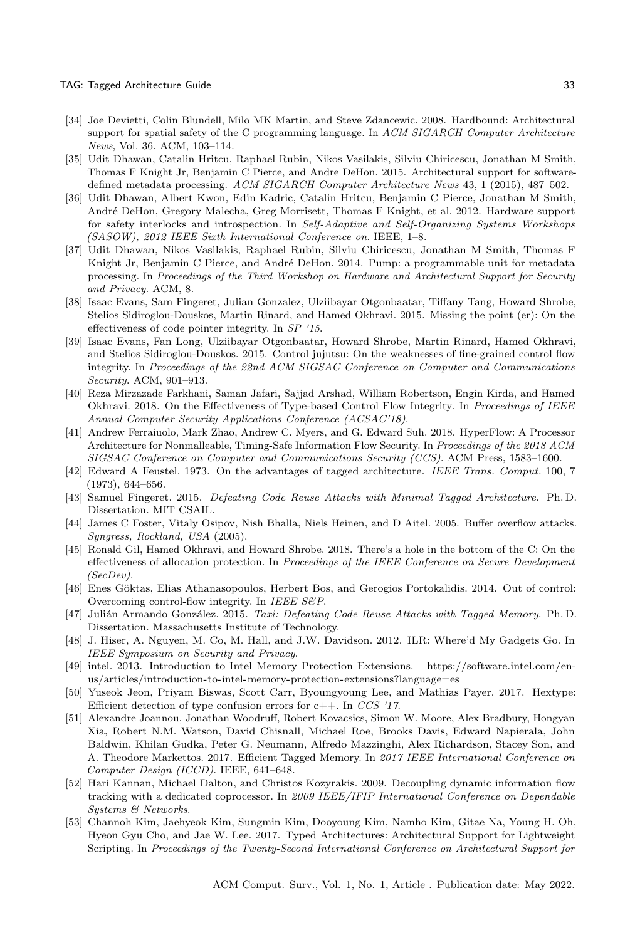#### TAG: Tagged Architecture Guide 33

- <span id="page-32-6"></span>[34] Joe Devietti, Colin Blundell, Milo MK Martin, and Steve Zdancewic. 2008. Hardbound: Architectural support for spatial safety of the C programming language. In ACM SIGARCH Computer Architecture News, Vol. 36. ACM, 103–114.
- <span id="page-32-17"></span>[35] Udit Dhawan, Catalin Hritcu, Raphael Rubin, Nikos Vasilakis, Silviu Chiricescu, Jonathan M Smith, Thomas F Knight Jr, Benjamin C Pierce, and Andre DeHon. 2015. Architectural support for softwaredefined metadata processing. ACM SIGARCH Computer Architecture News 43, 1 (2015), 487–502.
- <span id="page-32-16"></span>[36] Udit Dhawan, Albert Kwon, Edin Kadric, Catalin Hritcu, Benjamin C Pierce, Jonathan M Smith, Andr´e DeHon, Gregory Malecha, Greg Morrisett, Thomas F Knight, et al. 2012. Hardware support for safety interlocks and introspection. In Self-Adaptive and Self-Organizing Systems Workshops (SASOW), 2012 IEEE Sixth International Conference on. IEEE, 1–8.
- <span id="page-32-9"></span>[37] Udit Dhawan, Nikos Vasilakis, Raphael Rubin, Silviu Chiricescu, Jonathan M Smith, Thomas F Knight Jr, Benjamin C Pierce, and André DeHon. 2014. Pump: a programmable unit for metadata processing. In Proceedings of the Third Workshop on Hardware and Architectural Support for Security and Privacy. ACM, 8.
- <span id="page-32-5"></span>[38] Isaac Evans, Sam Fingeret, Julian Gonzalez, Ulziibayar Otgonbaatar, Tiffany Tang, Howard Shrobe, Stelios Sidiroglou-Douskos, Martin Rinard, and Hamed Okhravi. 2015. Missing the point (er): On the effectiveness of code pointer integrity. In SP '15.
- <span id="page-32-1"></span>[39] Isaac Evans, Fan Long, Ulziibayar Otgonbaatar, Howard Shrobe, Martin Rinard, Hamed Okhravi, and Stelios Sidiroglou-Douskos. 2015. Control jujutsu: On the weaknesses of fine-grained control flow integrity. In Proceedings of the 22nd ACM SIGSAC Conference on Computer and Communications Security. ACM, 901–913.
- <span id="page-32-3"></span>[40] Reza Mirzazade Farkhani, Saman Jafari, Sajjad Arshad, William Robertson, Engin Kirda, and Hamed Okhravi. 2018. On the Effectiveness of Type-based Control Flow Integrity. In Proceedings of IEEE Annual Computer Security Applications Conference (ACSAC'18).
- <span id="page-32-11"></span>[41] Andrew Ferraiuolo, Mark Zhao, Andrew C. Myers, and G. Edward Suh. 2018. HyperFlow: A Processor Architecture for Nonmalleable, Timing-Safe Information Flow Security. In Proceedings of the 2018 ACM SIGSAC Conference on Computer and Communications Security (CCS). ACM Press, 1583–1600.
- <span id="page-32-12"></span>[42] Edward A Feustel. 1973. On the advantages of tagged architecture. IEEE Trans. Comput. 100, 7 (1973), 644–656.
- <span id="page-32-14"></span>[43] Samuel Fingeret. 2015. Defeating Code Reuse Attacks with Minimal Tagged Architecture. Ph. D. Dissertation. MIT CSAIL.
- <span id="page-32-13"></span>[44] James C Foster, Vitaly Osipov, Nish Bhalla, Niels Heinen, and D Aitel. 2005. Buffer overflow attacks. Syngress, Rockland, USA (2005).
- <span id="page-32-19"></span>[45] Ronald Gil, Hamed Okhravi, and Howard Shrobe. 2018. There's a hole in the bottom of the C: On the effectiveness of allocation protection. In Proceedings of the IEEE Conference on Secure Development (SecDev).
- <span id="page-32-2"></span>[46] Enes Göktas, Elias Athanasopoulos, Herbert Bos, and Gerogios Portokalidis. 2014. Out of control: Overcoming control-flow integrity. In IEEE S&P.
- <span id="page-32-8"></span>[47] Julián Armando González. 2015. Taxi: Defeating Code Reuse Attacks with Tagged Memory. Ph. D. Dissertation. Massachusetts Institute of Technology.
- <span id="page-32-0"></span>[48] J. Hiser, A. Nguyen, M. Co, M. Hall, and J.W. Davidson. 2012. ILR: Where'd My Gadgets Go. In IEEE Symposium on Security and Privacy.
- <span id="page-32-10"></span>[49] intel. 2013. Introduction to Intel Memory Protection Extensions. [https://software.intel.com/en](https://software.intel.com/en-us/articles/introduction-to-intel-memory-protection-extensions?language=es)[us/articles/introduction-to-intel-memory-protection-extensions?language=es](https://software.intel.com/en-us/articles/introduction-to-intel-memory-protection-extensions?language=es)
- <span id="page-32-4"></span>[50] Yuseok Jeon, Priyam Biswas, Scott Carr, Byoungyoung Lee, and Mathias Payer. 2017. Hextype: Efficient detection of type confusion errors for  $c++$ . In CCS '17.
- <span id="page-32-18"></span>[51] Alexandre Joannou, Jonathan Woodruff, Robert Kovacsics, Simon W. Moore, Alex Bradbury, Hongyan Xia, Robert N.M. Watson, David Chisnall, Michael Roe, Brooks Davis, Edward Napierala, John Baldwin, Khilan Gudka, Peter G. Neumann, Alfredo Mazzinghi, Alex Richardson, Stacey Son, and A. Theodore Markettos. 2017. Efficient Tagged Memory. In 2017 IEEE International Conference on Computer Design (ICCD). IEEE, 641–648.
- <span id="page-32-15"></span>[52] Hari Kannan, Michael Dalton, and Christos Kozyrakis. 2009. Decoupling dynamic information flow tracking with a dedicated coprocessor. In 2009 IEEE/IFIP International Conference on Dependable Systems & Networks.
- <span id="page-32-7"></span>[53] Channoh Kim, Jaehyeok Kim, Sungmin Kim, Dooyoung Kim, Namho Kim, Gitae Na, Young H. Oh, Hyeon Gyu Cho, and Jae W. Lee. 2017. Typed Architectures: Architectural Support for Lightweight Scripting. In Proceedings of the Twenty-Second International Conference on Architectural Support for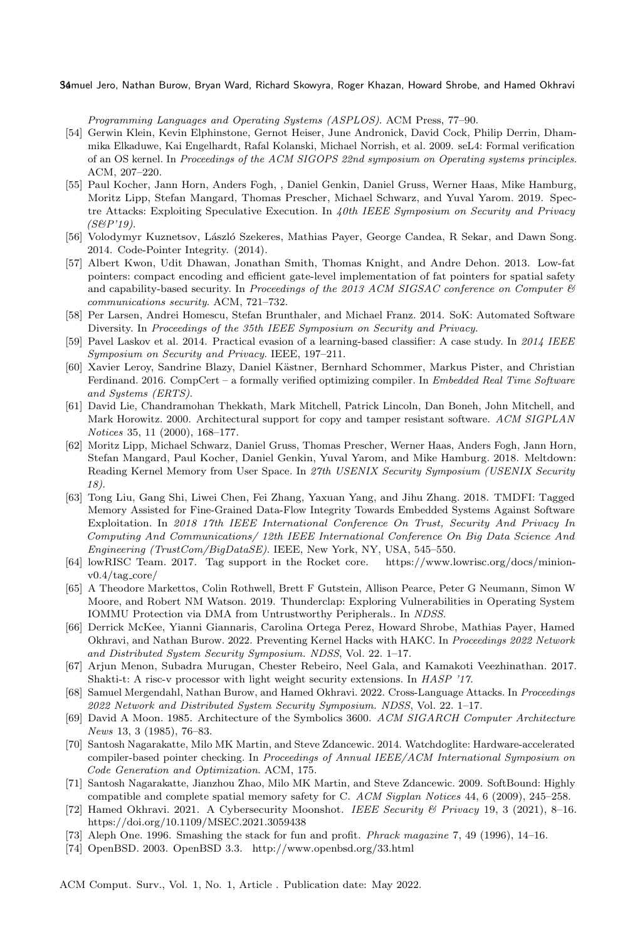Programming Languages and Operating Systems (ASPLOS). ACM Press, 77–90.

- <span id="page-33-12"></span>[54] Gerwin Klein, Kevin Elphinstone, Gernot Heiser, June Andronick, David Cock, Philip Derrin, Dhammika Elkaduwe, Kai Engelhardt, Rafal Kolanski, Michael Norrish, et al. 2009. seL4: Formal verification of an OS kernel. In Proceedings of the ACM SIGOPS 22nd symposium on Operating systems principles. ACM, 207–220.
- <span id="page-33-7"></span>[55] Paul Kocher, Jann Horn, Anders Fogh, , Daniel Genkin, Daniel Gruss, Werner Haas, Mike Hamburg, Moritz Lipp, Stefan Mangard, Thomas Prescher, Michael Schwarz, and Yuval Yarom. 2019. Spectre Attacks: Exploiting Speculative Execution. In 40th IEEE Symposium on Security and Privacy  $(SBP'19)$ .
- <span id="page-33-5"></span>[56] Volodymyr Kuznetsov, László Szekeres, Mathias Payer, George Candea, R Sekar, and Dawn Song. 2014. Code-Pointer Integrity. (2014).
- <span id="page-33-6"></span>[57] Albert Kwon, Udit Dhawan, Jonathan Smith, Thomas Knight, and Andre Dehon. 2013. Low-fat pointers: compact encoding and efficient gate-level implementation of fat pointers for spatial safety and capability-based security. In Proceedings of the 2013 ACM SIGSAC conference on Computer  $\mathcal C$ communications security. ACM, 721–732.
- <span id="page-33-1"></span>[58] Per Larsen, Andrei Homescu, Stefan Brunthaler, and Michael Franz. 2014. SoK: Automated Software Diversity. In Proceedings of the 35th IEEE Symposium on Security and Privacy.
- <span id="page-33-2"></span>[59] Pavel Laskov et al. 2014. Practical evasion of a learning-based classifier: A case study. In 2014 IEEE Symposium on Security and Privacy. IEEE, 197–211.
- <span id="page-33-18"></span>[60] Xavier Leroy, Sandrine Blazy, Daniel Kästner, Bernhard Schommer, Markus Pister, and Christian Ferdinand. 2016. CompCert – a formally verified optimizing compiler. In Embedded Real Time Software and Systems (ERTS).
- <span id="page-33-15"></span>[61] David Lie, Chandramohan Thekkath, Mark Mitchell, Patrick Lincoln, Dan Boneh, John Mitchell, and Mark Horowitz. 2000. Architectural support for copy and tamper resistant software. ACM SIGPLAN Notices 35, 11 (2000), 168–177.
- <span id="page-33-8"></span>[62] Moritz Lipp, Michael Schwarz, Daniel Gruss, Thomas Prescher, Werner Haas, Anders Fogh, Jann Horn, Stefan Mangard, Paul Kocher, Daniel Genkin, Yuval Yarom, and Mike Hamburg. 2018. Meltdown: Reading Kernel Memory from User Space. In 27th USENIX Security Symposium (USENIX Security 18).
- <span id="page-33-16"></span>[63] Tong Liu, Gang Shi, Liwei Chen, Fei Zhang, Yaxuan Yang, and Jihu Zhang. 2018. TMDFI: Tagged Memory Assisted for Fine-Grained Data-Flow Integrity Towards Embedded Systems Against Software Exploitation. In 2018 17th IEEE International Conference On Trust, Security And Privacy In Computing And Communications/ 12th IEEE International Conference On Big Data Science And Engineering (TrustCom/BigDataSE). IEEE, New York, NY, USA, 545–550.
- <span id="page-33-17"></span>[64] lowRISC Team. 2017. Tag support in the Rocket core. [https://www.lowrisc.org/docs/minion](https://www.lowrisc.org/docs/minion-v0.4/tag_core/) $v0.4/tag\_core/$  $v0.4/tag\_core/$
- <span id="page-33-20"></span>[65] A Theodore Markettos, Colin Rothwell, Brett F Gutstein, Allison Pearce, Peter G Neumann, Simon W Moore, and Robert NM Watson. 2019. Thunderclap: Exploring Vulnerabilities in Operating System IOMMU Protection via DMA from Untrustworthy Peripherals.. In NDSS.
- <span id="page-33-11"></span>[66] Derrick McKee, Yianni Giannaris, Carolina Ortega Perez, Howard Shrobe, Mathias Payer, Hamed Okhravi, and Nathan Burow. 2022. Preventing Kernel Hacks with HAKC. In Proceedings 2022 Network and Distributed System Security Symposium. NDSS, Vol. 22. 1–17.
- <span id="page-33-14"></span>[67] Arjun Menon, Subadra Murugan, Chester Rebeiro, Neel Gala, and Kamakoti Veezhinathan. 2017. Shakti-t: A risc-v processor with light weight security extensions. In HASP '17.
- <span id="page-33-19"></span>[68] Samuel Mergendahl, Nathan Burow, and Hamed Okhravi. 2022. Cross-Language Attacks. In Proceedings 2022 Network and Distributed System Security Symposium. NDSS, Vol. 22. 1–17.
- <span id="page-33-9"></span>[69] David A Moon. 1985. Architecture of the Symbolics 3600. ACM SIGARCH Computer Architecture News 13, 3 (1985), 76–83.
- <span id="page-33-10"></span>[70] Santosh Nagarakatte, Milo MK Martin, and Steve Zdancewic. 2014. Watchdoglite: Hardware-accelerated compiler-based pointer checking. In Proceedings of Annual IEEE/ACM International Symposium on Code Generation and Optimization. ACM, 175.
- <span id="page-33-3"></span>[71] Santosh Nagarakatte, Jianzhou Zhao, Milo MK Martin, and Steve Zdancewic. 2009. SoftBound: Highly compatible and complete spatial memory safety for C. ACM Sigplan Notices 44, 6 (2009), 245–258.
- <span id="page-33-4"></span>[72] Hamed Okhravi. 2021. A Cybersecurity Moonshot. IEEE Security & Privacy 19, 3 (2021), 8–16. <https://doi.org/10.1109/MSEC.2021.3059438>
- <span id="page-33-13"></span>[73] Aleph One. 1996. Smashing the stack for fun and profit. Phrack magazine 7, 49 (1996), 14–16.
- <span id="page-33-0"></span>[74] OpenBSD. 2003. OpenBSD 3.3.<http://www.openbsd.org/33.html>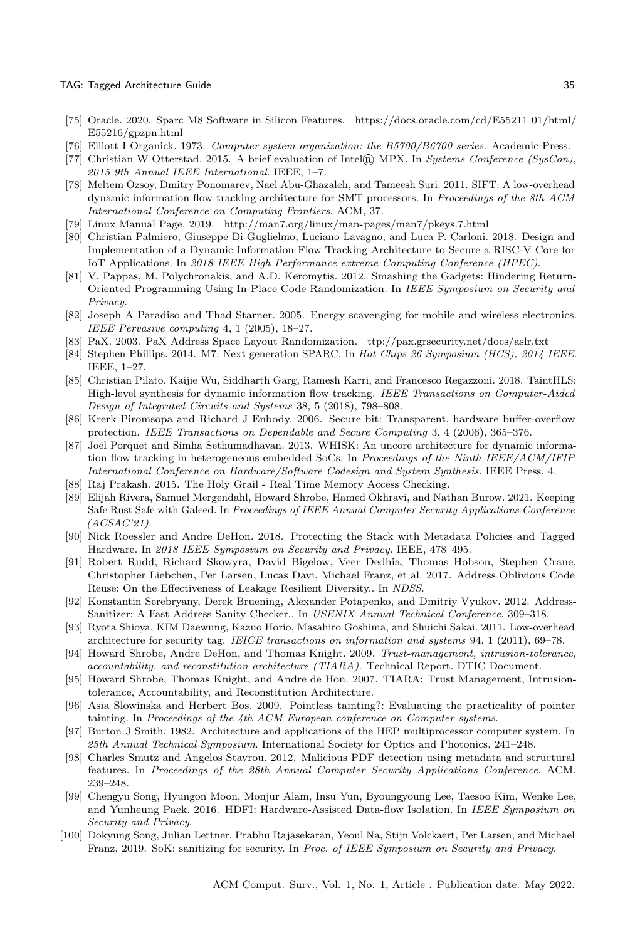#### TAG: Tagged Architecture Guide 35

- <span id="page-34-12"></span>[75] Oracle. 2020. Sparc M8 Software in Silicon Features. [https://docs.oracle.com/cd/E55211](https://docs.oracle.com/cd/E55211_01/html/E55216/gpzpn.html) 01/html/ [E55216/gpzpn.html](https://docs.oracle.com/cd/E55211_01/html/E55216/gpzpn.html)
- <span id="page-34-9"></span>[76] Elliott I Organick. 1973. Computer system organization: the B5700/B6700 series. Academic Press.
- <span id="page-34-21"></span>[77] Christian W Otterstad. 2015. A brief evaluation of Intel® MPX. In Systems Conference (SysCon), 2015 9th Annual IEEE International. IEEE, 1–7.
- <span id="page-34-18"></span>[78] Meltem Ozsoy, Dmitry Ponomarev, Nael Abu-Ghazaleh, and Tameesh Suri. 2011. SIFT: A low-overhead dynamic information flow tracking architecture for SMT processors. In Proceedings of the 8th ACM International Conference on Computing Frontiers. ACM, 37.
- <span id="page-34-10"></span>[79] Linux Manual Page. 2019.<http://man7.org/linux/man-pages/man7/pkeys.7.html>
- <span id="page-34-19"></span>[80] Christian Palmiero, Giuseppe Di Guglielmo, Luciano Lavagno, and Luca P. Carloni. 2018. Design and Implementation of a Dynamic Information Flow Tracking Architecture to Secure a RISC-V Core for IoT Applications. In 2018 IEEE High Performance extreme Computing Conference (HPEC).
- <span id="page-34-0"></span>[81] V. Pappas, M. Polychronakis, and A.D. Keromytis. 2012. Smashing the Gadgets: Hindering Return-Oriented Programming Using In-Place Code Randomization. In IEEE Symposium on Security and Privacy.
- <span id="page-34-25"></span>[82] Joseph A Paradiso and Thad Starner. 2005. Energy scavenging for mobile and wireless electronics. IEEE Pervasive computing 4, 1 (2005), 18–27.
- <span id="page-34-1"></span>[83] PaX. 2003. PaX Address Space Layout Randomization.<ttp://pax.grsecurity.net/docs/aslr.txt>
- <span id="page-34-14"></span>[84] Stephen Phillips. 2014. M7: Next generation SPARC. In Hot Chips 26 Symposium (HCS), 2014 IEEE. IEEE, 1–27.
- <span id="page-34-24"></span>[85] Christian Pilato, Kaijie Wu, Siddharth Garg, Ramesh Karri, and Francesco Regazzoni. 2018. TaintHLS: High-level synthesis for dynamic information flow tracking. IEEE Transactions on Computer-Aided Design of Integrated Circuits and Systems 38, 5 (2018), 798–808.
- <span id="page-34-6"></span>[86] Krerk Piromsopa and Richard J Enbody. 2006. Secure bit: Transparent, hardware buffer-overflow protection. IEEE Transactions on Dependable and Secure Computing 3, 4 (2006), 365–376.
- <span id="page-34-23"></span>[87] Joël Porquet and Simha Sethumadhavan. 2013. WHISK: An uncore architecture for dynamic information flow tracking in heterogeneous embedded SoCs. In Proceedings of the Ninth IEEE/ACM/IFIP International Conference on Hardware/Software Codesign and System Synthesis. IEEE Press, 4.
- <span id="page-34-15"></span>[88] Raj Prakash. 2015. The Holy Grail - Real Time Memory Access Checking.
- <span id="page-34-11"></span>[89] Elijah Rivera, Samuel Mergendahl, Howard Shrobe, Hamed Okhravi, and Nathan Burow. 2021. Keeping Safe Rust Safe with Galeed. In Proceedings of IEEE Annual Computer Security Applications Conference  $(ACSAC'21)$ .
- <span id="page-34-5"></span>[90] Nick Roessler and Andre DeHon. 2018. Protecting the Stack with Metadata Policies and Tagged Hardware. In 2018 IEEE Symposium on Security and Privacy. IEEE, 478–495.
- <span id="page-34-22"></span>[91] Robert Rudd, Richard Skowyra, David Bigelow, Veer Dedhia, Thomas Hobson, Stephen Crane, Christopher Liebchen, Per Larsen, Lucas Davi, Michael Franz, et al. 2017. Address Oblivious Code Reuse: On the Effectiveness of Leakage Resilient Diversity.. In NDSS.
- <span id="page-34-3"></span>[92] Konstantin Serebryany, Derek Bruening, Alexander Potapenko, and Dmitriy Vyukov. 2012. Address-Sanitizer: A Fast Address Sanity Checker.. In USENIX Annual Technical Conference. 309–318.
- <span id="page-34-17"></span>[93] Ryota Shioya, KIM Daewung, Kazuo Horio, Masahiro Goshima, and Shuichi Sakai. 2011. Low-overhead architecture for security tag. IEICE transactions on information and systems 94, 1 (2011), 69–78.
- <span id="page-34-20"></span>[94] Howard Shrobe, Andre DeHon, and Thomas Knight. 2009. Trust-management, intrusion-tolerance, accountability, and reconstitution architecture (TIARA). Technical Report. DTIC Document.
- <span id="page-34-8"></span>[95] Howard Shrobe, Thomas Knight, and Andre de Hon. 2007. TIARA: Trust Management, Intrusiontolerance, Accountability, and Reconstitution Architecture.
- <span id="page-34-13"></span>[96] Asia Slowinska and Herbert Bos. 2009. Pointless tainting?: Evaluating the practicality of pointer tainting. In Proceedings of the 4th ACM European conference on Computer systems.
- <span id="page-34-16"></span>[97] Burton J Smith. 1982. Architecture and applications of the HEP multiprocessor computer system. In 25th Annual Technical Symposium. International Society for Optics and Photonics, 241–248.
- <span id="page-34-2"></span>[98] Charles Smutz and Angelos Stavrou. 2012. Malicious PDF detection using metadata and structural features. In Proceedings of the 28th Annual Computer Security Applications Conference. ACM, 239–248.
- <span id="page-34-7"></span>[99] Chengyu Song, Hyungon Moon, Monjur Alam, Insu Yun, Byoungyoung Lee, Taesoo Kim, Wenke Lee, and Yunheung Paek. 2016. HDFI: Hardware-Assisted Data-flow Isolation. In IEEE Symposium on Security and Privacy.
- <span id="page-34-4"></span>[100] Dokyung Song, Julian Lettner, Prabhu Rajasekaran, Yeoul Na, Stijn Volckaert, Per Larsen, and Michael Franz. 2019. SoK: sanitizing for security. In Proc. of IEEE Symposium on Security and Privacy.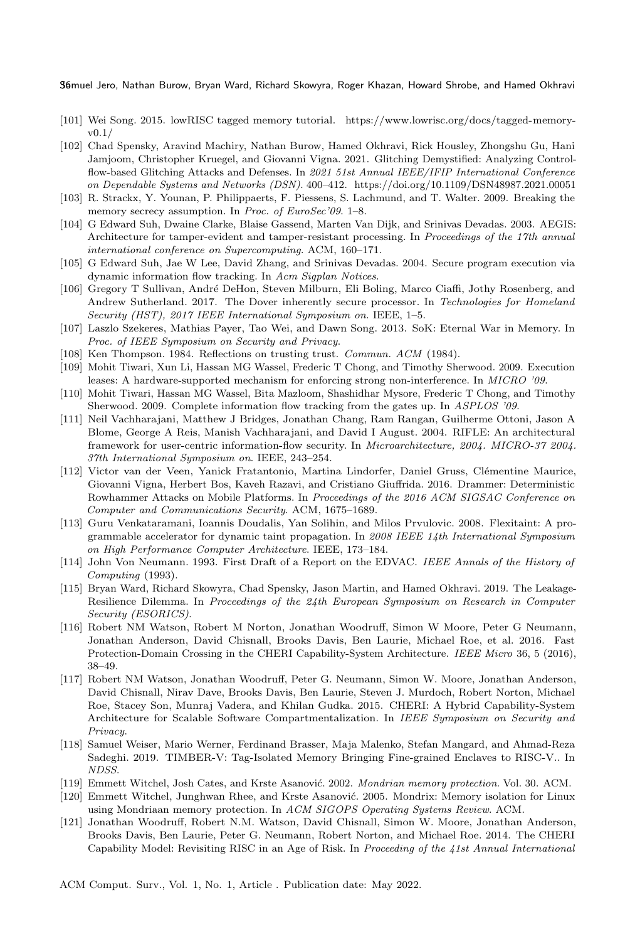- <span id="page-35-11"></span>[101] Wei Song. 2015. lowRISC tagged memory tutorial. [https://www.lowrisc.org/docs/tagged-memory](https://www.lowrisc.org/docs/tagged-memory-v0.1/)[v0.1/](https://www.lowrisc.org/docs/tagged-memory-v0.1/)
- <span id="page-35-7"></span>[102] Chad Spensky, Aravind Machiry, Nathan Burow, Hamed Okhravi, Rick Housley, Zhongshu Gu, Hani Jamjoom, Christopher Kruegel, and Giovanni Vigna. 2021. Glitching Demystified: Analyzing Controlflow-based Glitching Attacks and Defenses. In 2021 51st Annual IEEE/IFIP International Conference on Dependable Systems and Networks (DSN). 400–412.<https://doi.org/10.1109/DSN48987.2021.00051>
- <span id="page-35-2"></span>[103] R. Strackx, Y. Younan, P. Philippaerts, F. Piessens, S. Lachmund, and T. Walter. 2009. Breaking the memory secrecy assumption. In Proc. of EuroSec'09. 1-8.
- <span id="page-35-13"></span>[104] G Edward Suh, Dwaine Clarke, Blaise Gassend, Marten Van Dijk, and Srinivas Devadas. 2003. AEGIS: Architecture for tamper-evident and tamper-resistant processing. In Proceedings of the 17th annual international conference on Supercomputing. ACM, 160–171.
- <span id="page-35-4"></span>[105] G Edward Suh, Jae W Lee, David Zhang, and Srinivas Devadas. 2004. Secure program execution via dynamic information flow tracking. In Acm Sigplan Notices.
- <span id="page-35-12"></span>[106] Gregory T Sullivan, André DeHon, Steven Milburn, Eli Boling, Marco Ciaffi, Jothy Rosenberg, and Andrew Sutherland. 2017. The Dover inherently secure processor. In Technologies for Homeland Security (HST), 2017 IEEE International Symposium on. IEEE, 1–5.
- <span id="page-35-0"></span>[107] Laszlo Szekeres, Mathias Payer, Tao Wei, and Dawn Song. 2013. SoK: Eternal War in Memory. In Proc. of IEEE Symposium on Security and Privacy.
- <span id="page-35-20"></span>[108] Ken Thompson. 1984. Reflections on trusting trust. Commun. ACM (1984).
- <span id="page-35-16"></span>[109] Mohit Tiwari, Xun Li, Hassan MG Wassel, Frederic T Chong, and Timothy Sherwood. 2009. Execution leases: A hardware-supported mechanism for enforcing strong non-interference. In MICRO '09.
- <span id="page-35-15"></span>[110] Mohit Tiwari, Hassan MG Wassel, Bita Mazloom, Shashidhar Mysore, Frederic T Chong, and Timothy Sherwood. 2009. Complete information flow tracking from the gates up. In ASPLOS '09.
- <span id="page-35-14"></span>[111] Neil Vachharajani, Matthew J Bridges, Jonathan Chang, Ram Rangan, Guilherme Ottoni, Jason A Blome, George A Reis, Manish Vachharajani, and David I August. 2004. RIFLE: An architectural framework for user-centric information-flow security. In Microarchitecture, 2004. MICRO-37 2004. 37th International Symposium on. IEEE, 243–254.
- <span id="page-35-1"></span>[112] Victor van der Veen, Yanick Fratantonio, Martina Lindorfer, Daniel Gruss, Clémentine Maurice, Giovanni Vigna, Herbert Bos, Kaveh Razavi, and Cristiano Giuffrida. 2016. Drammer: Deterministic Rowhammer Attacks on Mobile Platforms. In Proceedings of the 2016 ACM SIGSAC Conference on Computer and Communications Security. ACM, 1675–1689.
- <span id="page-35-17"></span>[113] Guru Venkataramani, Ioannis Doudalis, Yan Solihin, and Milos Prvulovic. 2008. Flexitaint: A programmable accelerator for dynamic taint propagation. In 2008 IEEE 14th International Symposium on High Performance Computer Architecture. IEEE, 173–184.
- <span id="page-35-6"></span>[114] John Von Neumann. 1993. First Draft of a Report on the EDVAC. IEEE Annals of the History of Computing (1993).
- <span id="page-35-3"></span>[115] Bryan Ward, Richard Skowyra, Chad Spensky, Jason Martin, and Hamed Okhravi. 2019. The Leakage-Resilience Dilemma. In Proceedings of the 24th European Symposium on Research in Computer Security (ESORICS).
- <span id="page-35-9"></span>[116] Robert NM Watson, Robert M Norton, Jonathan Woodruff, Simon W Moore, Peter G Neumann, Jonathan Anderson, David Chisnall, Brooks Davis, Ben Laurie, Michael Roe, et al. 2016. Fast Protection-Domain Crossing in the CHERI Capability-System Architecture. IEEE Micro 36, 5 (2016), 38–49.
- <span id="page-35-5"></span>[117] Robert NM Watson, Jonathan Woodruff, Peter G. Neumann, Simon W. Moore, Jonathan Anderson, David Chisnall, Nirav Dave, Brooks Davis, Ben Laurie, Steven J. Murdoch, Robert Norton, Michael Roe, Stacey Son, Munraj Vadera, and Khilan Gudka. 2015. CHERI: A Hybrid Capability-System Architecture for Scalable Software Compartmentalization. In IEEE Symposium on Security and Privacy.
- <span id="page-35-8"></span>[118] Samuel Weiser, Mario Werner, Ferdinand Brasser, Maja Malenko, Stefan Mangard, and Ahmad-Reza Sadeghi. 2019. TIMBER-V: Tag-Isolated Memory Bringing Fine-grained Enclaves to RISC-V.. In NDSS.
- <span id="page-35-18"></span>[119] Emmett Witchel, Josh Cates, and Krste Asanović. 2002. Mondrian memory protection. Vol. 30. ACM.
- <span id="page-35-19"></span>[120] Emmett Witchel, Junghwan Rhee, and Krste Asanović. 2005. Mondrix: Memory isolation for Linux using Mondriaan memory protection. In ACM SIGOPS Operating Systems Review. ACM.
- <span id="page-35-10"></span>[121] Jonathan Woodruff, Robert N.M. Watson, David Chisnall, Simon W. Moore, Jonathan Anderson, Brooks Davis, Ben Laurie, Peter G. Neumann, Robert Norton, and Michael Roe. 2014. The CHERI Capability Model: Revisiting RISC in an Age of Risk. In Proceeding of the 41st Annual International